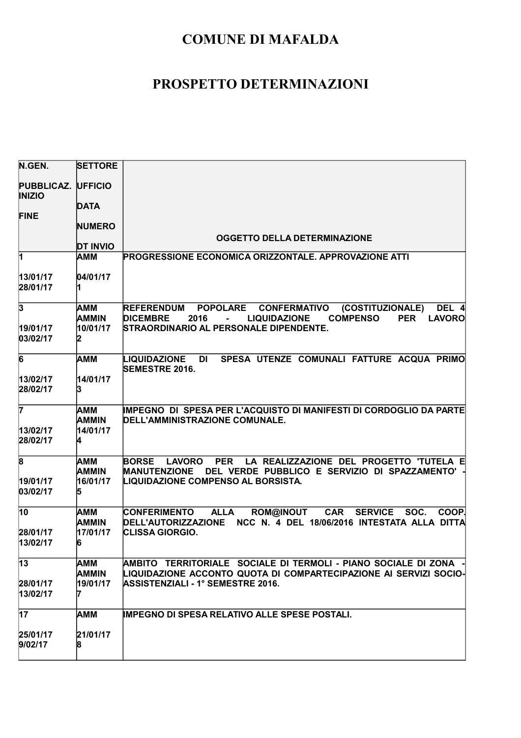| N.GEN.                                     | <b>SETTORE</b>                  |                                                                                                                                                                                                      |
|--------------------------------------------|---------------------------------|------------------------------------------------------------------------------------------------------------------------------------------------------------------------------------------------------|
| <b>PUBBLICAZ. UFFICIO</b><br><b>INIZIO</b> |                                 |                                                                                                                                                                                                      |
| <b>FINE</b>                                | <b>DATA</b>                     |                                                                                                                                                                                                      |
|                                            | <b>NUMERO</b>                   |                                                                                                                                                                                                      |
|                                            | <b>DT INVIO</b>                 | <b>OGGETTO DELLA DETERMINAZIONE</b>                                                                                                                                                                  |
| 1                                          | AMM                             | PROGRESSIONE ECONOMICA ORIZZONTALE. APPROVAZIONE ATTI                                                                                                                                                |
| 13/01/17<br>28/01/17                       | 04/01/17                        |                                                                                                                                                                                                      |
| $\overline{\mathbf{3}}$                    | AMM<br>AMMIN                    | POPOLARE CONFERMATIVO<br><b>REFERENDUM</b><br>(COSTITUZIONALE)<br>DEL 4<br>LAVORO<br><b>DICEMBRE</b><br><b>LIQUIDAZIONE</b><br><b>COMPENSO</b><br><b>PER</b><br>2016                                 |
| 19/01/17<br>03/02/17                       | 10/01/17                        | STRAORDINARIO AL PERSONALE DIPENDENTE.                                                                                                                                                               |
| $\overline{6}$                             | іамм                            | SPESA UTENZE COMUNALI FATTURE ACQUA PRIMO<br><b>LIQUIDAZIONE DI</b><br><b>SEMESTRE 2016.</b>                                                                                                         |
| 13/02/17<br>28/02/17                       | 14/01/17<br>13                  |                                                                                                                                                                                                      |
| 7<br>13/02/17                              | AMM<br><b>AMMIN</b><br>14/01/17 | <b>IMPEGNO DI SPESA PER L'ACQUISTO DI MANIFESTI DI CORDOGLIO DA PARTE</b><br>DELL'AMMINISTRAZIONE COMUNALE.                                                                                          |
| 28/02/17                                   |                                 |                                                                                                                                                                                                      |
| $\overline{\mathbf{8}}$<br>19/01/17        | AMM<br>AMMIN<br>16/01/17        | <b>LAVORO</b><br><b>PER</b><br>LA REALIZZAZIONE DEL PROGETTO 'TUTELA E<br><b>BORSE</b><br><b>MANUTENZIONE</b><br>DEL VERDE PUBBLICO E SERVIZIO DI SPAZZAMENTO'<br>LIQUIDAZIONE COMPENSO AL BORSISTA. |
| 03/02/17                                   |                                 |                                                                                                                                                                                                      |
| 10                                         | AMM<br><b>AMMIN</b>             | <b>ALLA</b><br><b>ROM@INOUT</b><br><b>CAR</b><br><b>SERVICE</b><br>SOC.<br>COOP.<br><b>CONFERIMENTO</b><br>NCC N. 4 DEL 18/06/2016 INTESTATA ALLA DITTA<br><b>DELL'AUTORIZZAZIONE</b>                |
| 28/01/17<br>13/02/17                       | 17/01/17<br>16                  | <b>CLISSA GIORGIO.</b>                                                                                                                                                                               |
| $\overline{13}$                            | AMM<br><b>AMMIN</b>             | AMBITO TERRITORIALE SOCIALE DI TERMOLI - PIANO SOCIALE DI ZONA<br>LIQUIDAZIONE ACCONTO QUOTA DI COMPARTECIPAZIONE AI SERVIZI SOCIO-                                                                  |
| 28/01/17<br>13/02/17                       | 19/01/17                        | <b>ASSISTENZIALI - 1° SEMESTRE 2016.</b>                                                                                                                                                             |
| $\overline{17}$                            | AMM                             | <b>IMPEGNO DI SPESA RELATIVO ALLE SPESE POSTALI.</b>                                                                                                                                                 |
| 25/01/17<br>9/02/17                        | 21/01/17<br>8                   |                                                                                                                                                                                                      |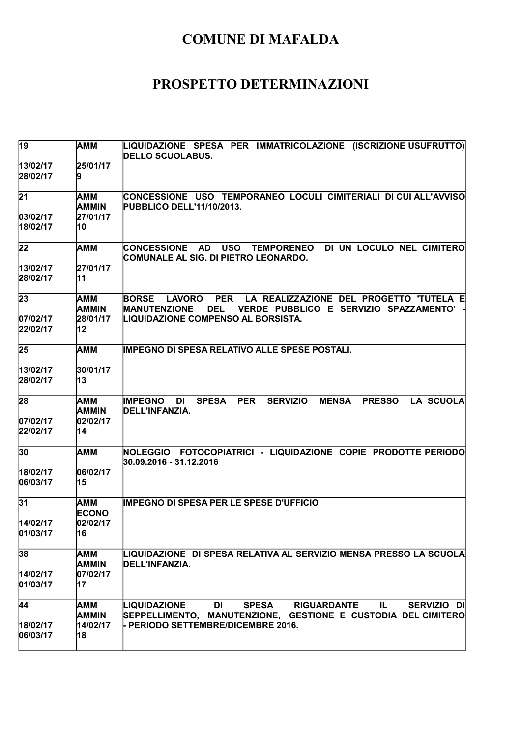| $\overline{19}$       | AMM                 | LIQUIDAZIONE SPESA PER IMMATRICOLAZIONE (ISCRIZIONE USUFRUTTO)<br><b>DELLO SCUOLABUS.</b>                                                                             |
|-----------------------|---------------------|-----------------------------------------------------------------------------------------------------------------------------------------------------------------------|
| 13/02/17<br>28/02/17  | 25/01/17            |                                                                                                                                                                       |
| $\overline{21}$       | AMM<br>AMMIN        | CONCESSIONE USO TEMPORANEO LOCULI CIMITERIALI DI CUI ALL'AVVISO<br><b>PUBBLICO DELL'11/10/2013.</b>                                                                   |
| 03/02/17 <br>18/02/17 | 27/01/17<br>10      |                                                                                                                                                                       |
| 22                    | АММ                 | <b>USO</b><br>DI UN LOCULO NEL CIMITERO<br><b>TEMPORENEO</b><br><b>ICONCESSIONE</b><br><b>AD</b><br>COMUNALE AL SIG. DI PIETRO LEONARDO.                              |
| 13/02/17<br>28/02/17  | 27/01/17<br>11      |                                                                                                                                                                       |
| 23                    | AMM<br>AMMIN        | LA REALIZZAZIONE DEL PROGETTO 'TUTELA E<br><b>BORSE</b><br><b>PER</b><br><b>LAVORO</b><br><b>MANUTENZIONE</b><br><b>DEL</b><br>VERDE PUBBLICO E SERVIZIO SPAZZAMENTO' |
| 07/02/17<br>22/02/17  | 28/01/17<br>12      | LIQUIDAZIONE COMPENSO AL BORSISTA.                                                                                                                                    |
| 25                    | AMM                 | IMPEGNO DI SPESA RELATIVO ALLE SPESE POSTALI.                                                                                                                         |
| 13/02/17<br>28/02/17  | 30/01/17<br>13      |                                                                                                                                                                       |
| 28                    | AMM<br>AMMIN        | <b>IMPEGNO</b><br><b>SPESA</b><br><b>PER</b><br><b>SERVIZIO</b><br><b>MENSA</b><br><b>PRESSO</b><br><b>LA SCUOLA</b><br>DI<br>DELL'INFANZIA.                          |
| 07/02/17<br>22/02/17  | 02/02/17<br>14      |                                                                                                                                                                       |
| 30                    | AMM                 | NOLEGGIO FOTOCOPIATRICI - LIQUIDAZIONE COPIE PRODOTTE PERIODO<br>30.09.2016 - 31.12.2016                                                                              |
| 18/02/17<br>06/03/17  | 06/02/17<br>15      |                                                                                                                                                                       |
| 31                    | АММ<br><b>ECONO</b> | <b>IMPEGNO DI SPESA PER LE SPESE D'UFFICIO</b>                                                                                                                        |
| 14/02/17<br>01/03/17  | 02/02/17<br>16      |                                                                                                                                                                       |
| 38                    | АММ<br>AMMIN        | LIQUIDAZIONE  DI SPESA RELATIVA AL SERVIZIO MENSA PRESSO LA SCUOLA<br>DELL'INFANZIA.                                                                                  |
| 14/02/17<br>01/03/17  | 07/02/17<br>17      |                                                                                                                                                                       |
| 44                    | AMM<br>AMMIN        | LIQUIDAZIONE<br><b>DI</b><br><b>SPESA</b><br><b>RIGUARDANTE</b><br>IL.<br>SERVIZIO DI<br>SEPPELLIMENTO, MANUTENZIONE, GESTIONE E CUSTODIA DEL CIMITERO                |
| 18/02/17<br>06/03/17  | 14/02/17<br>18      | - PERIODO SETTEMBRE/DICEMBRE 2016.                                                                                                                                    |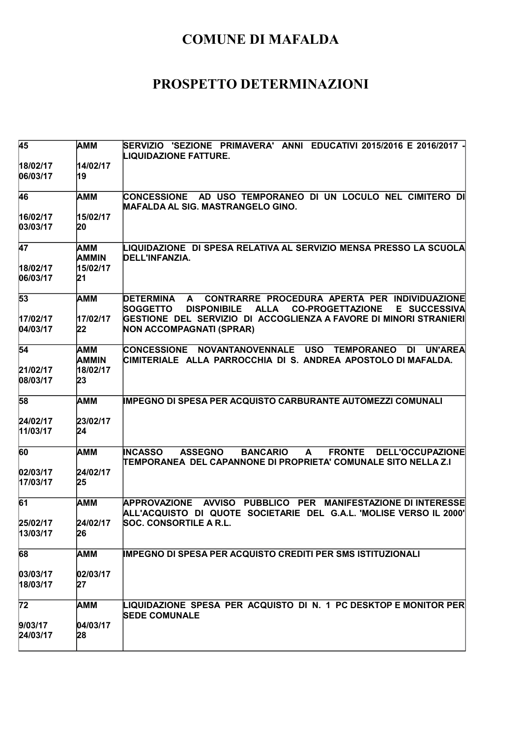| 45                    | AMM                 | SERVIZIO   'SEZIONE   PRIMAVERA'   ANNI   EDUCATIVI  2015/2016  E  2016/2017  -<br>LIQUIDAZIONE FATTURE.                                                                             |
|-----------------------|---------------------|--------------------------------------------------------------------------------------------------------------------------------------------------------------------------------------|
| 18/02/17<br>06/03/17  | 14/02/17<br>19      |                                                                                                                                                                                      |
| 46                    | <b>AMM</b>          | CONCESSIONE AD USO TEMPORANEO DI UN LOCULO NEL CIMITERO DI<br><b>MAFALDA AL SIG. MASTRANGELO GINO.</b>                                                                               |
| 16/02/17<br>03/03/17  | 15/02/17<br>20      |                                                                                                                                                                                      |
| 47                    | AMM<br><b>AMMIN</b> | LIQUIDAZIONE  DI SPESA RELATIVA AL SERVIZIO MENSA PRESSO LA SCUOLA<br>DELL'INFANZIA.                                                                                                 |
| 18/02/17<br>06/03/17  | 15/02/17<br>21      |                                                                                                                                                                                      |
| 53                    | <b>AMM</b>          | CONTRARRE PROCEDURA APERTA PER INDIVIDUAZIONE<br><b>DETERMINA</b><br>$\mathsf{A}$<br><b>SOGGETTO</b><br><b>DISPONIBILE</b><br><b>ALLA</b><br><b>CO-PROGETTAZIONE</b><br>E SUCCESSIVA |
| 17/02/17<br>04/03/17  | 17/02/17<br>22      | GESTIONE DEL SERVIZIO DI ACCOGLIENZA A FAVORE DI MINORI STRANIERI<br>NON ACCOMPAGNATI (SPRAR)                                                                                        |
| 54                    | AMM<br>AMMIN        | <b>NOVANTANOVENNALE</b><br><b>CONCESSIONE</b><br><b>USO</b><br><b>TEMPORANEO</b><br><b>UN'AREA</b><br>DI<br>CIMITERIALE ALLA PARROCCHIA DI S. ANDREA APOSTOLO DI MAFALDA.            |
| 21/02/17<br>08/03/17  | 18/02/17<br>23      |                                                                                                                                                                                      |
| 58                    | AMM                 | <b>IMPEGNO DI SPESA PER ACQUISTO CARBURANTE AUTOMEZZI COMUNALI</b>                                                                                                                   |
| 24/02/17<br>11/03/17  | 23/02/17<br>24      |                                                                                                                                                                                      |
| 60                    | <b>AMM</b>          | <b>INCASSO</b><br><b>ASSEGNO</b><br><b>BANCARIO</b><br><b>FRONTE</b><br><b>DELL'OCCUPAZIONE</b><br>A<br>TEMPORANEA DEL CAPANNONE DI PROPRIETA' COMUNALE SITO NELLA Z.I               |
| 02/03/17<br>17/03/17  | 24/02/17<br>25      |                                                                                                                                                                                      |
| 61                    | AMM                 | AVVISO PUBBLICO PER MANIFESTAZIONE DI INTERESSE<br><b>APPROVAZIONE</b><br>ALL'ACQUISTO DI QUOTE SOCIETARIE DEL G.A.L. 'MOLISE VERSO IL 2000'                                         |
| 25/02/17<br>13/03/17  | 24/02/17<br>26      | <b>SOC. CONSORTILE A R.L.</b>                                                                                                                                                        |
| 68                    | <b>AMM</b>          | <b>IMPEGNO DI SPESA PER ACQUISTO CREDITI PER SMS ISTITUZIONALI</b>                                                                                                                   |
| 03/03/17 <br>18/03/17 | 02/03/17<br>27      |                                                                                                                                                                                      |
| 72                    | AMM                 | LIQUIDAZIONE SPESA PER ACQUISTO DI N. 1 PC DESKTOP E MONITOR PER<br><b>SEDE COMUNALE</b>                                                                                             |
| 9/03/17<br>24/03/17   | 04/03/17<br>28      |                                                                                                                                                                                      |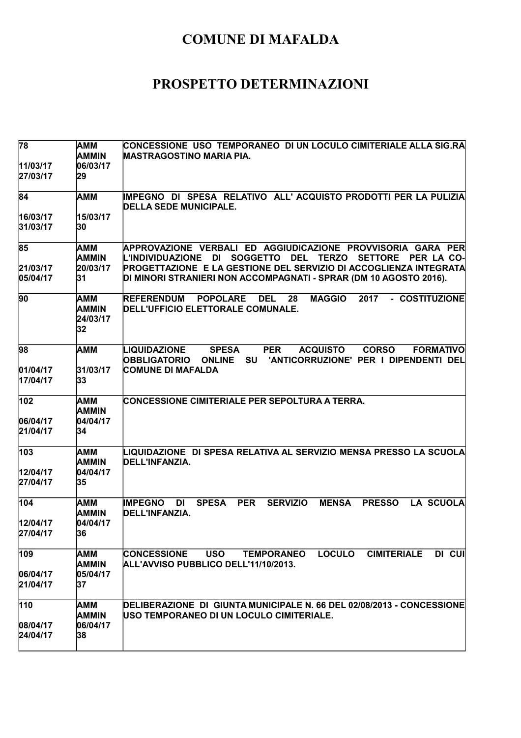| 78                           | <b>AMM</b><br>AMMIN                   | CONCESSIONE  USO  TEMPORANEO  DI UN LOCULO CIMITERIALE ALLA SIG.RA<br><b>MASTRAGOSTINO MARIA PIA.</b>                                                                                           |
|------------------------------|---------------------------------------|-------------------------------------------------------------------------------------------------------------------------------------------------------------------------------------------------|
| 11/03/17<br>27/03/17         | 06/03/17<br>29                        |                                                                                                                                                                                                 |
| 84                           | AMM                                   | IMPEGNO DI SPESA RELATIVO ALL'ACQUISTO PRODOTTI PER LA PULIZIA<br><b>DELLA SEDE MUNICIPALE.</b>                                                                                                 |
| 16/03/17<br>31/03/17         | 15/03/17<br>30                        |                                                                                                                                                                                                 |
| 85                           | AMM<br>AMMIN                          | APPROVAZIONE VERBALI ED AGGIUDICAZIONE PROVVISORIA GARA PER<br>L'INDIVIDUAZIONE DI SOGGETTO DEL<br><b>TERZO</b><br>SETTORE PER LA CO-                                                           |
| 21/03/17<br>05/04/17         | 20/03/17<br>31                        | PROGETTAZIONE E LA GESTIONE DEL SERVIZIO DI ACCOGLIENZA INTEGRATA<br>DI MINORI STRANIERI NON ACCOMPAGNATI - SPRAR (DM 10 AGOSTO 2016).                                                          |
| 90                           | AMM<br>AMMIN<br>24/03/17<br> 32       | <b>REFERENDUM</b><br><b>POPOLARE</b><br><b>MAGGIO</b><br>2017<br>- COSTITUZIONE<br><b>DEL</b><br>28<br>DELL'UFFICIO ELETTORALE COMUNALE.                                                        |
| 98                           | АММ                                   | LIQUIDAZIONE<br><b>SPESA</b><br><b>PER</b><br><b>ACQUISTO</b><br><b>CORSO</b><br><b>FORMATIVO</b><br>'ANTICORRUZIONE' PER I DIPENDENTI DEL<br><b>OBBLIGATORIO</b><br><b>ONLINE</b><br><b>SU</b> |
| 01/04/17<br>17/04/17         | 31/03/17<br>33                        | <b>COMUNE DI MAFALDA</b>                                                                                                                                                                        |
| 102<br>06/04/17<br>21/04/17  | AMM<br>AMMIN<br>04/04/17<br>34        | CONCESSIONE CIMITERIALE PER SEPOLTURA A TERRA.                                                                                                                                                  |
| 103<br>12/04/17<br>27/04/17  | AMM<br><b>AMMIN</b><br>04/04/17<br>35 | LIQUIDAZIONE  DI SPESA RELATIVA AL SERVIZIO MENSA PRESSO LA SCUOLA<br>DELL'INFANZIA.                                                                                                            |
| 104<br>12/04/17<br>27/04/17  | AMM<br>AMMIN<br>04/04/17<br>36        | <b>IMPEGNO</b><br><b>SPESA</b><br><b>PER</b><br><b>SERVIZIO</b><br><b>MENSA</b><br><b>PRESSO</b><br><b>LA SCUOLA</b><br>DI<br>DELL'INFANZIA.                                                    |
| 109<br>06/04/17<br>21/04/17  | AMM<br>AMMIN<br>05/04/17<br>37        | <b>LOCULO</b><br><b>CIMITERIALE</b><br>DI CUI<br><b>CONCESSIONE</b><br><b>USO</b><br><b>TEMPORANEO</b><br>ALL'AVVISO PUBBLICO DELL'11/10/2013.                                                  |
| 110<br> 08/04/17<br>24/04/17 | AMM<br>AMMIN<br>06/04/17<br>38        | DELIBERAZIONE DI GIUNTA MUNICIPALE N. 66 DEL 02/08/2013 - CONCESSIONE<br>USO TEMPORANEO DI UN LOCULO CIMITERIALE.                                                                               |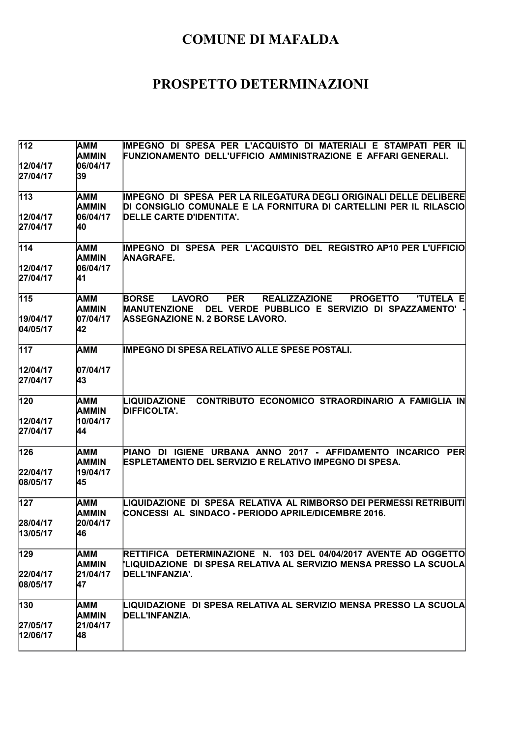| 112                   | AMM<br><b>AMMIN</b>        | IMPEGNO DI SPESA PER L'ACQUISTO DI MATERIALI E STAMPATI PER IL<br>FUNZIONAMENTO DELL'UFFICIO AMMINISTRAZIONE E AFFARI GENERALI.                                                    |
|-----------------------|----------------------------|------------------------------------------------------------------------------------------------------------------------------------------------------------------------------------|
| 12/04/17 <br>27/04/17 | 06/04/17<br>39             |                                                                                                                                                                                    |
| 113                   | <b>AMM</b><br><b>AMMIN</b> | IMPEGNO DI SPESA PER LA RILEGATURA DEGLI ORIGINALI DELLE DELIBERE<br>DI CONSIGLIO COMUNALE E LA FORNITURA DI CARTELLINI PER IL RILASCIO                                            |
| 12/04/17<br>27/04/17  | 06/04/17<br>40             | DELLE CARTE D'IDENTITA'.                                                                                                                                                           |
| 114                   | AMM<br><b>AMMIN</b>        | IMPEGNO DI SPESA PER L'ACQUISTO DEL REGISTRO AP10 PER L'UFFICIO<br><b>ANAGRAFE.</b>                                                                                                |
| 12/04/17<br>27/04/17  | 06/04/17<br>41             |                                                                                                                                                                                    |
| 115                   | <b>AMM</b><br><b>AMMIN</b> | <b>PER</b><br><b>REALIZZAZIONE</b><br><b>PROGETTO</b><br><b>'TUTELA E</b><br><b>BORSE</b><br><b>LAVORO</b><br>DEL VERDE PUBBLICO E SERVIZIO DI SPAZZAMENTO'<br><b>MANUTENZIONE</b> |
| 19/04/17<br>04/05/17  | 07/04/17<br>42             | ASSEGNAZIONE N. 2 BORSE LAVORO.                                                                                                                                                    |
| 117                   | <b>AMM</b>                 | IMPEGNO DI SPESA RELATIVO ALLE SPESE POSTALI.                                                                                                                                      |
| 12/04/17<br>27/04/17  | 07/04/17<br>43             |                                                                                                                                                                                    |
| 120                   | AMM<br><b>AMMIN</b>        | CONTRIBUTO ECONOMICO STRAORDINARIO A FAMIGLIA IN<br>LIQUIDAZIONE<br><b>DIFFICOLTA'.</b>                                                                                            |
| 12/04/17<br>27/04/17  | 10/04/17<br>44             |                                                                                                                                                                                    |
| 126                   | AMM<br><b>AMMIN</b>        | PIANO DI IGIENE URBANA ANNO 2017 - AFFIDAMENTO INCARICO PER<br><b>ESPLETAMENTO DEL SERVIZIO E RELATIVO IMPEGNO DI SPESA.</b>                                                       |
| 22/04/17<br>08/05/17  | 19/04/17<br>45             |                                                                                                                                                                                    |
| 127                   | <b>AMM</b><br><b>AMMIN</b> | LIQUIDAZIONE  DI  SPESA  RELATIVA  AL RIMBORSO DEI PERMESSI RETRIBUITI<br>CONCESSI AL SINDACO - PERIODO APRILE/DICEMBRE 2016.                                                      |
| 28/04/17<br>13/05/17  | 20/04/17<br>46             |                                                                                                                                                                                    |
| 129                   | <b>AMM</b><br>AMMIN        | RETTIFICA DETERMINAZIONE N. 103 DEL 04/04/2017 AVENTE AD OGGETTO<br>'LIQUIDAZIONE DI SPESA RELATIVA AL SERVIZIO MENSA PRESSO LA SCUOLA                                             |
| 22/04/17<br>08/05/17  | 21/04/17<br>47             | DELL'INFANZIA'.                                                                                                                                                                    |
| 130                   | AMM<br>AMMIN               | LIQUIDAZIONE DI SPESA RELATIVA AL SERVIZIO MENSA PRESSO LA SCUOLA<br>DELL'INFANZIA.                                                                                                |
| 27/05/17<br>12/06/17  | 21/04/17<br>48             |                                                                                                                                                                                    |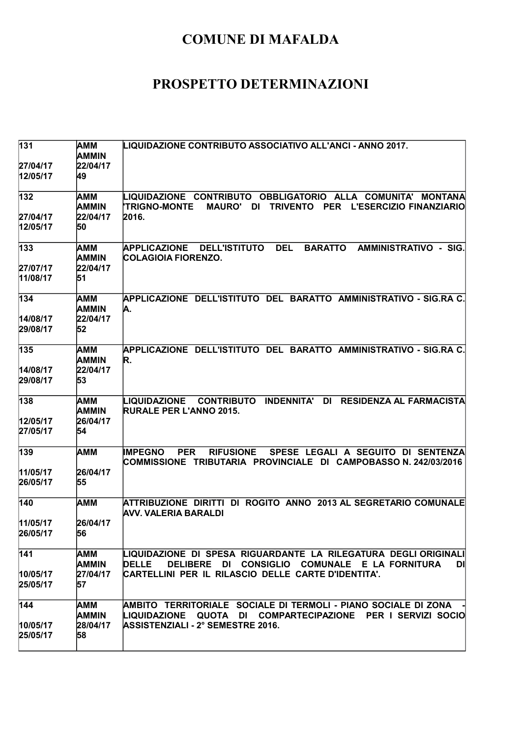| 131                  | AMM<br>AMMIN        | LIQUIDAZIONE CONTRIBUTO ASSOCIATIVO ALL'ANCI - ANNO 2017.                                                                                                                                                            |
|----------------------|---------------------|----------------------------------------------------------------------------------------------------------------------------------------------------------------------------------------------------------------------|
| 27/04/17<br>12/05/17 | 22/04/17<br>49      |                                                                                                                                                                                                                      |
| 132                  | AMM<br>AMMIN        | LIQUIDAZIONE CONTRIBUTO<br><b>OBBLIGATORIO</b><br>ALLA<br><b>COMUNITA'</b><br><b>MONTANA</b><br><b>TRIGNO-MONTE</b><br><b>MAURO'</b><br><b>DI</b><br><b>PER</b><br><b>L'ESERCIZIO FINANZIARIO</b><br><b>TRIVENTO</b> |
| 27/04/17<br>12/05/17 | 22/04/17<br>50      | 2016.                                                                                                                                                                                                                |
| 133                  | AMM<br>AMMIN        | <b>DEL</b><br>AMMINISTRATIVO - SIG.<br><b>APPLICAZIONE</b><br><b>DELL'ISTITUTO</b><br><b>BARATTO</b><br>COLAGIOIA FIORENZO.                                                                                          |
| 27/07/17<br>11/08/17 | 22/04/17<br>51      |                                                                                                                                                                                                                      |
| 134                  | AMM<br>AMMIN        | APPLICAZIONE DELL'ISTITUTO DEL BARATTO AMMINISTRATIVO - SIG.RA C.<br>A.                                                                                                                                              |
| 14/08/17<br>29/08/17 | 22/04/17<br>52      |                                                                                                                                                                                                                      |
| 135                  | AMM<br><b>AMMIN</b> | APPLICAZIONE DELL'ISTITUTO DEL BARATTO AMMINISTRATIVO - SIG.RA C.<br>R.                                                                                                                                              |
| 14/08/17<br>29/08/17 | 22/04/17<br>53      |                                                                                                                                                                                                                      |
| 138                  | AMM<br>AMMIN        | <b>INDENNITA'</b><br><b>RESIDENZA AL FARMACISTA</b><br>LIQUIDAZIONE<br><b>CONTRIBUTO</b><br><b>DI</b><br><b>RURALE PER L'ANNO 2015.</b>                                                                              |
| 12/05/17<br>27/05/17 | 26/04/17<br>54      |                                                                                                                                                                                                                      |
| 139                  | AMM                 | <b>PER</b><br><b>RIFUSIONE</b><br>SPESE LEGALI A SEGUITO DI SENTENZA<br><b>IMPEGNO</b><br>COMMISSIONE TRIBUTARIA PROVINCIALE DI CAMPOBASSO N. 242/03/2016                                                            |
| 11/05/17<br>26/05/17 | 26/04/17<br>55      |                                                                                                                                                                                                                      |
| 140                  | AMM                 | ATTRIBUZIONE DIRITTI DI ROGITO ANNO 2013 AL SEGRETARIO COMUNALE<br>AVV. VALERIA BARALDI                                                                                                                              |
| 11/05/17<br>26/05/17 | 26/04/17<br>56      |                                                                                                                                                                                                                      |
| $\overline{1}$ 41    | AMM<br><b>AMMIN</b> | LIQUIDAZIONE DI SPESA RIGUARDANTE LA RILEGATURA DEGLI ORIGINALI<br><b>DELLE</b><br>DELIBERE DI CONSIGLIO COMUNALE E LA FORNITURA<br>DI                                                                               |
| 10/05/17<br>25/05/17 | 27/04/17<br>57      | CARTELLINI PER IL RILASCIO DELLE CARTE D'IDENTITA'.                                                                                                                                                                  |
| 144                  | AMM<br><b>AMMIN</b> | AMBITO TERRITORIALE SOCIALE DI TERMOLI - PIANO SOCIALE DI ZONA<br>LIQUIDAZIONE QUOTA DI COMPARTECIPAZIONE PER I SERVIZI SOCIO                                                                                        |
| 10/05/17<br>25/05/17 | 28/04/17<br>58      | ASSISTENZIALI - 2° SEMESTRE 2016.                                                                                                                                                                                    |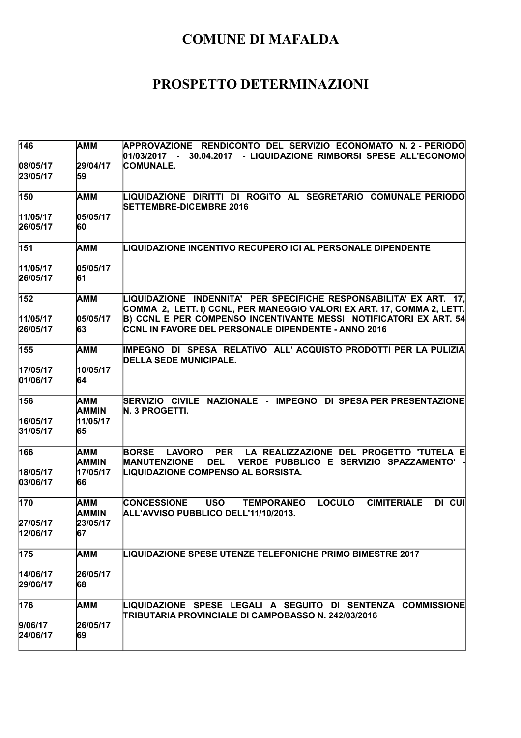| 146                         | AMM                                   | APPROVAZIONE RENDICONTO DEL SERVIZIO ECONOMATO N.2-PERIODO<br>01/03/2017 - 30.04.2017 - LIQUIDAZIONE RIMBORSI SPESE ALL'ECONOMO                                                                             |
|-----------------------------|---------------------------------------|-------------------------------------------------------------------------------------------------------------------------------------------------------------------------------------------------------------|
| 08/05/17<br>23/05/17        | 29/04/17<br>59                        | <b>COMUNALE.</b>                                                                                                                                                                                            |
| 150                         | іамм                                  | LIQUIDAZIONE DIRITTI DI ROGITO AL SEGRETARIO COMUNALE PERIODO<br><b>SETTEMBRE-DICEMBRE 2016</b>                                                                                                             |
| 11/05/17<br>26/05/17        | 05/05/17<br>60                        |                                                                                                                                                                                                             |
| 151                         | AMM                                   | LIQUIDAZIONE INCENTIVO RECUPERO ICI AL PERSONALE DIPENDENTE                                                                                                                                                 |
| 11/05/17<br>26/05/17        | 05/05/17<br>61                        |                                                                                                                                                                                                             |
| 152                         | AMM                                   | LIQUIDAZIONE INDENNITA' PER SPECIFICHE RESPONSABILITA' EX ART. 17.<br>COMMA 2, LETT. I) CCNL, PER MANEGGIO VALORI EX ART. 17, COMMA 2, LETT.                                                                |
| 11/05/17<br>26/05/17        | 05/05/17<br>63                        | B) CCNL E PER COMPENSO INCENTIVANTE MESSI NOTIFICATORI EX ART. 54<br>CCNL IN FAVORE DEL PERSONALE DIPENDENTE - ANNO 2016                                                                                    |
| 155                         | іамм                                  | IMPEGNO DI SPESA RELATIVO ALL'ACQUISTO PRODOTTI PER LA PULIZIA<br><b>DELLA SEDE MUNICIPALE.</b>                                                                                                             |
| 17/05/17<br>01/06/17        | 10/05/17<br>64                        |                                                                                                                                                                                                             |
| 156<br>16/05/17<br>31/05/17 | AMM<br><b>AMMIN</b><br>11/05/17<br>65 | SERVIZIO CIVILE NAZIONALE - IMPEGNO DI SPESA PER PRESENTAZIONE<br>N. 3 PROGETTI.                                                                                                                            |
| 166<br>18/05/17<br>03/06/17 | AMM<br><b>AMMIN</b><br>17/05/17<br>66 | <b>PER</b><br>LA REALIZZAZIONE DEL PROGETTO 'TUTELA E<br><b>BORSE</b><br><b>LAVORO</b><br><b>DEL</b><br>VERDE PUBBLICO E SERVIZIO SPAZZAMENTO'<br><b>MANUTENZIONE</b><br>LIQUIDAZIONE COMPENSO AL BORSISTA. |
| 170<br>27/05/17             | AMM<br>AMMIN<br>23/05/17              | <b>LOCULO</b><br><b>CIMITERIALE</b><br>DI CUI<br><b>CONCESSIONE</b><br><b>USO</b><br><b>TEMPORANEO</b><br>ALL'AVVISO PUBBLICO DELL'11/10/2013.                                                              |
| 12/06/17                    | 67                                    |                                                                                                                                                                                                             |
| 175                         | AMM                                   | <b>LIQUIDAZIONE SPESE UTENZE TELEFONICHE PRIMO BIMESTRE 2017</b>                                                                                                                                            |
| 14/06/17<br>29/06/17        | 26/05/17<br>68                        |                                                                                                                                                                                                             |
| 176                         | AMM                                   | LIQUIDAZIONE SPESE LEGALI A SEGUITO DI SENTENZA COMMISSIONE<br>TRIBUTARIA PROVINCIALE DI CAMPOBASSO N. 242/03/2016                                                                                          |
| 9/06/17<br>24/06/17         | 26/05/17<br>69                        |                                                                                                                                                                                                             |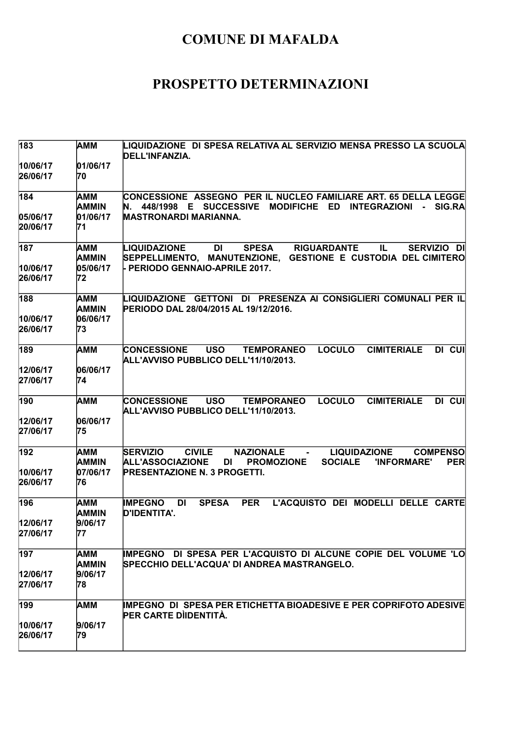| 183                  | AMM                      | LIQUIDAZIONE  DI SPESA RELATIVA AL SERVIZIO MENSA PRESSO LA SCUOLA<br>DELL'INFANZIA.                                                                                                                                            |
|----------------------|--------------------------|---------------------------------------------------------------------------------------------------------------------------------------------------------------------------------------------------------------------------------|
| 10/06/17<br>26/06/17 | 01/06/17<br>70           |                                                                                                                                                                                                                                 |
| 184                  | AMM<br>AMMIN             | CONCESSIONE ASSEGNO PER IL NUCLEO FAMILIARE ART. 65 DELLA LEGGE<br>N. 448/1998 E SUCCESSIVE<br>MODIFICHE ED INTEGRAZIONI<br>- SIG.RA                                                                                            |
| 05/06/17<br>20/06/17 | 01/06/17<br>71           | <b>MASTRONARDI MARIANNA.</b>                                                                                                                                                                                                    |
| 187                  | AMM<br>AMMIN             | <b>LIQUIDAZIONE</b><br><b>DI</b><br><b>SPESA</b><br><b>RIGUARDANTE</b><br>IL.<br>SERVIZIO DI<br>SEPPELLIMENTO, MANUTENZIONE, GESTIONE E CUSTODIA DEL CIMITERO                                                                   |
| 10/06/17<br>26/06/17 | 05/06/17<br>72           | - PERIODO GENNAIO-APRILE 2017.                                                                                                                                                                                                  |
| 188<br>10/06/17      | AMM<br>AMMIN<br>06/06/17 | LIQUIDAZIONE GETTONI DI PRESENZA AI CONSIGLIERI COMUNALI PER IL<br>PERIODO DAL 28/04/2015 AL 19/12/2016.                                                                                                                        |
| 26/06/17             | 73                       |                                                                                                                                                                                                                                 |
| 189                  | AMM                      | <b>USO</b><br><b>LOCULO</b><br><b>CIMITERIALE</b><br>DI CUI<br><b>CONCESSIONE</b><br><b>TEMPORANEO</b><br>ALL'AVVISO PUBBLICO DELL'11/10/2013.                                                                                  |
| 12/06/17<br>27/06/17 | 06/06/17<br>74           |                                                                                                                                                                                                                                 |
| 190                  | AMM                      | <b>LOCULO</b><br><b>USO</b><br><b>CIMITERIALE</b><br>DI CUI<br><b>CONCESSIONE</b><br><b>TEMPORANEO</b><br>ALL'AVVISO PUBBLICO DELL'11/10/2013.                                                                                  |
| 12/06/17<br>27/06/17 | 06/06/17<br>75           |                                                                                                                                                                                                                                 |
| 192                  | AMM<br><b>AMMIN</b>      | <b>CIVILE</b><br><b>NAZIONALE</b><br><b>LIQUIDAZIONE</b><br><b>SERVIZIO</b><br><b>COMPENSO</b><br><b>Contract Contract</b><br><b>ALL'ASSOCIAZIONE</b><br>DI<br><b>PROMOZIONE</b><br><b>SOCIALE</b><br>'INFORMARE'<br><b>PER</b> |
| 10/06/17<br>26/06/17 | 07/06/17<br>76           | <b>PRESENTAZIONE N. 3 PROGETTI.</b>                                                                                                                                                                                             |
| 196                  | AMM<br>AMMIN             | <b>SPESA</b><br><b>PER</b><br>L'ACQUISTO DEI MODELLI DELLE CARTE<br><b>IMPEGNO</b><br>DI<br>D'IDENTITA'.                                                                                                                        |
| 12/06/17<br>27/06/17 | 9/06/17<br>77            |                                                                                                                                                                                                                                 |
| 197                  | АММ<br>AMMIN             | IMPEGNO DI SPESA PER L'ACQUISTO DI ALCUNE COPIE DEL VOLUME 'LO<br>SPECCHIO DELL'ACQUA' DI ANDREA MASTRANGELO.                                                                                                                   |
| 12/06/17<br>27/06/17 | 9/06/17<br>78            |                                                                                                                                                                                                                                 |
| 199                  | AMM                      | IMPEGNO DI SPESA PER ETICHETTA BIOADESIVE E PER COPRIFOTO ADESIVE<br>PER CARTE DIIDENTITÀ.                                                                                                                                      |
| 10/06/17<br>26/06/17 | 9/06/17<br>79            |                                                                                                                                                                                                                                 |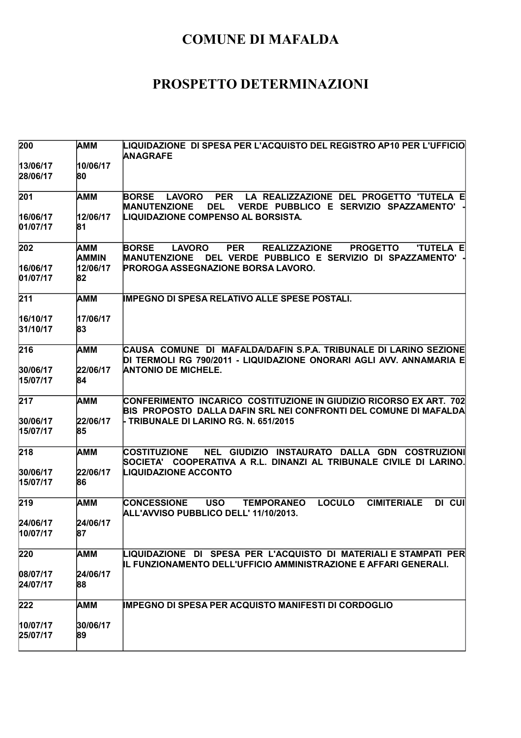| 200                  | <b>AMM</b>          | LIQUIDAZIONE DI SPESA PER L'ACQUISTO DEL REGISTRO AP10 PER L'UFFICIO<br><b>ANAGRAFE</b>                                                                                              |
|----------------------|---------------------|--------------------------------------------------------------------------------------------------------------------------------------------------------------------------------------|
| 13/06/17<br>28/06/17 | 10/06/17<br>80      |                                                                                                                                                                                      |
| 201                  | AMM                 | LA REALIZZAZIONE DEL PROGETTO 'TUTELA E<br><b>BORSE</b><br><b>PER</b><br><b>LAVORO</b><br><b>MANUTENZIONE</b><br><b>DEL</b><br>VERDE PUBBLICO E SERVIZIO SPAZZAMENTO'                |
| 16/06/17<br>01/07/17 | 12/06/17<br>81      | <b>LIQUIDAZIONE COMPENSO AL BORSISTA.</b>                                                                                                                                            |
| 202                  | AMM<br><b>AMMIN</b> | <b>BORSE</b><br><b>PER</b><br><b>REALIZZAZIONE</b><br><b>LAVORO</b><br><b>PROGETTO</b><br><b>'TUTELA E</b><br><b>MANUTENZIONE</b><br>DEL VERDE PUBBLICO E SERVIZIO DI SPAZZAMENTO' - |
| 16/06/17<br>01/07/17 | 12/06/17<br>82      | <b>PROROGA ASSEGNAZIONE BORSA LAVORO.</b>                                                                                                                                            |
| 211                  | <b>AMM</b>          | IMPEGNO DI SPESA RELATIVO ALLE SPESE POSTALI.                                                                                                                                        |
| 16/10/17<br>31/10/17 | 17/06/17<br>83      |                                                                                                                                                                                      |
| 216                  | <b>AMM</b>          | CAUSA COMUNE DI MAFALDA/DAFIN S.P.A. TRIBUNALE DI LARINO SEZIONE<br>DI TERMOLI RG 790/2011 - LIQUIDAZIONE ONORARI AGLI AVV. ANNAMARIA E                                              |
| 30/06/17<br>15/07/17 | 22/06/17<br>84      | <b>ANTONIO DE MICHELE.</b>                                                                                                                                                           |
| 217                  | AMM                 | CONFERIMENTO INCARICO COSTITUZIONE IN GIUDIZIO RICORSO EX ART. 702<br>BIS PROPOSTO DALLA DAFIN SRL NEI CONFRONTI DEL COMUNE DI MAFALDA                                               |
| 30/06/17<br>15/07/17 | 22/06/17<br>85      | - TRIBUNALE DI LARINO RG. N. 651/2015                                                                                                                                                |
| 218                  | AMM                 | NEL GIUDIZIO INSTAURATO DALLA GDN COSTRUZIONI<br><b>COSTITUZIONE</b><br>SOCIETA' COOPERATIVA A R.L. DINANZI AL TRIBUNALE CIVILE DI LARINO.                                           |
| 30/06/17<br>15/07/17 | 22/06/17<br>86      | <b>LIQUIDAZIONE ACCONTO</b>                                                                                                                                                          |
| 219                  | AMM                 | <b>LOCULO</b><br><b>CIMITERIALE</b><br>DI CUI<br><b>CONCESSIONE</b><br><b>USO</b><br><b>TEMPORANEO</b><br>ALL'AVVISO PUBBLICO DELL' 11/10/2013.                                      |
| 24/06/17<br>10/07/17 | 24/06/17<br>87      |                                                                                                                                                                                      |
| 220                  | <b>AMM</b>          | LIQUIDAZIONE DI SPESA PER L'ACQUISTO DI MATERIALI E STAMPATI PER<br>IL FUNZIONAMENTO DELL'UFFICIO AMMINISTRAZIONE E AFFARI GENERALI.                                                 |
| 08/07/17<br>24/07/17 | 24/06/17<br>88      |                                                                                                                                                                                      |
| 222                  | AMM                 | <b>IMPEGNO DI SPESA PER ACQUISTO MANIFESTI DI CORDOGLIO</b>                                                                                                                          |
| 10/07/17<br>25/07/17 | 30/06/17<br>89      |                                                                                                                                                                                      |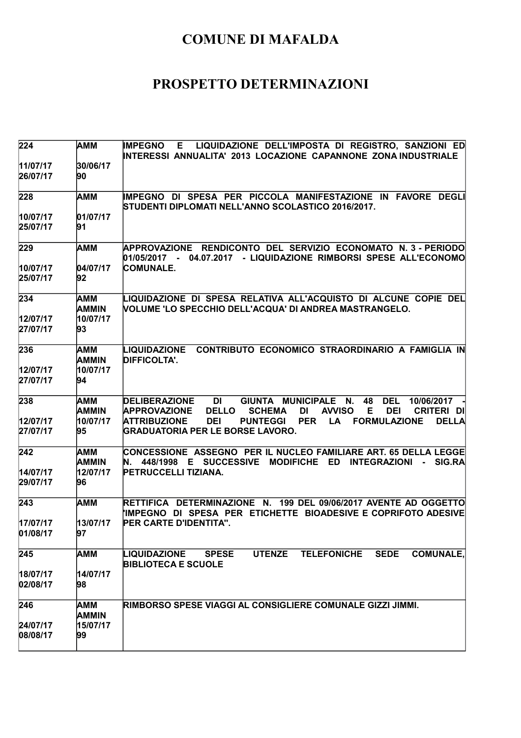| 224                  | <b>AMM</b>                      | LIQUIDAZIONE DELL'IMPOSTA DI REGISTRO, SANZIONI ED<br><b>IMPEGNO</b><br>E.<br>INTERESSI ANNUALITA' 2013 LOCAZIONE CAPANNONE ZONA INDUSTRIALE                                                                                                                                                                                                    |
|----------------------|---------------------------------|-------------------------------------------------------------------------------------------------------------------------------------------------------------------------------------------------------------------------------------------------------------------------------------------------------------------------------------------------|
| 11/07/17<br>26/07/17 | 30/06/17<br>90                  |                                                                                                                                                                                                                                                                                                                                                 |
| 228                  | <b>AMM</b>                      | IMPEGNO DI SPESA PER PICCOLA MANIFESTAZIONE IN FAVORE DEGLI<br>STUDENTI DIPLOMATI NELL'ANNO SCOLASTICO 2016/2017.                                                                                                                                                                                                                               |
| 10/07/17<br>25/07/17 | 01/07/17<br>91                  |                                                                                                                                                                                                                                                                                                                                                 |
| 229                  | <b>AMM</b>                      | APPROVAZIONE RENDICONTO DEL SERVIZIO ECONOMATO N. 3 - PERIODO<br>01/05/2017 - 04.07.2017 - LIQUIDAZIONE RIMBORSI SPESE ALL'ECONOMO                                                                                                                                                                                                              |
| 10/07/17<br>25/07/17 | 04/07/17<br>92                  | <b>COMUNALE.</b>                                                                                                                                                                                                                                                                                                                                |
| 234<br>12/07/17      | AMM<br><b>AMMIN</b><br>10/07/17 | LIQUIDAZIONE DI SPESA RELATIVA ALL'ACQUISTO DI ALCUNE COPIE DEL<br>VOLUME 'LO SPECCHIO DELL'ACQUA' DI ANDREA MASTRANGELO.                                                                                                                                                                                                                       |
| 27/07/17             | 93                              |                                                                                                                                                                                                                                                                                                                                                 |
| 236                  | AMM<br><b>AMMIN</b>             | CONTRIBUTO ECONOMICO STRAORDINARIO A FAMIGLIA IN<br>LIQUIDAZIONE<br><b>DIFFICOLTA'.</b>                                                                                                                                                                                                                                                         |
| 12/07/17<br>27/07/17 | 10/07/17<br>94                  |                                                                                                                                                                                                                                                                                                                                                 |
| 238<br>12/07/17      | AMM<br><b>AMMIN</b><br>10/07/17 | <b>DI</b><br>GIUNTA MUNICIPALE<br><b>DELIBERAZIONE</b><br>N.<br>48<br><b>DEL</b><br>10/06/2017<br><b>DELLO</b><br><b>AVVISO</b><br>E<br><b>DEI</b><br><b>APPROVAZIONE</b><br><b>SCHEMA</b><br><b>DI</b><br><b>CRITERI DI</b><br><b>ATTRIBUZIONE</b><br><b>DEI</b><br><b>PUNTEGGI</b><br><b>PER</b><br>LA<br><b>FORMULAZIONE</b><br><b>DELLA</b> |
| 27/07/17             | 95                              | <b>GRADUATORIA PER LE BORSE LAVORO.</b>                                                                                                                                                                                                                                                                                                         |
| 242                  | <b>AMM</b><br><b>AMMIN</b>      | CONCESSIONE ASSEGNO PER IL NUCLEO FAMILIARE ART. 65 DELLA LEGGE<br><b>E</b> SUCCESSIVE<br><b>MODIFICHE</b><br><b>ED</b><br><b>INTEGRAZIONI</b><br>448/1998<br>- SIG.RA                                                                                                                                                                          |
| 14/07/17<br>29/07/17 | 12/07/17<br>96                  | PETRUCCELLI TIZIANA.                                                                                                                                                                                                                                                                                                                            |
| 243                  | <b>AMM</b>                      | RETTIFICA DETERMINAZIONE N. 199 DEL 09/06/2017 AVENTE AD OGGETTO<br>IMPEGNO DI SPESA PER ETICHETTE BIOADESIVE E COPRIFOTO ADESIVE                                                                                                                                                                                                               |
| 17/07/17<br>01/08/17 | 13/07/17<br>97                  | PER CARTE D'IDENTITA".                                                                                                                                                                                                                                                                                                                          |
| 245                  | <b>AMM</b>                      | LIQUIDAZIONE<br><b>SPESE</b><br><b>UTENZE</b><br><b>TELEFONICHE</b><br><b>SEDE</b><br><b>COMUNALE,</b><br><b>BIBLIOTECA E SCUOLE</b>                                                                                                                                                                                                            |
| 18/07/17<br>02/08/17 | 14/07/17<br>98                  |                                                                                                                                                                                                                                                                                                                                                 |
| 246                  | AMM<br><b>AMMIN</b>             | RIMBORSO SPESE VIAGGI AL CONSIGLIERE COMUNALE GIZZI JIMMI.                                                                                                                                                                                                                                                                                      |
| 24/07/17<br>08/08/17 | 15/07/17<br>99                  |                                                                                                                                                                                                                                                                                                                                                 |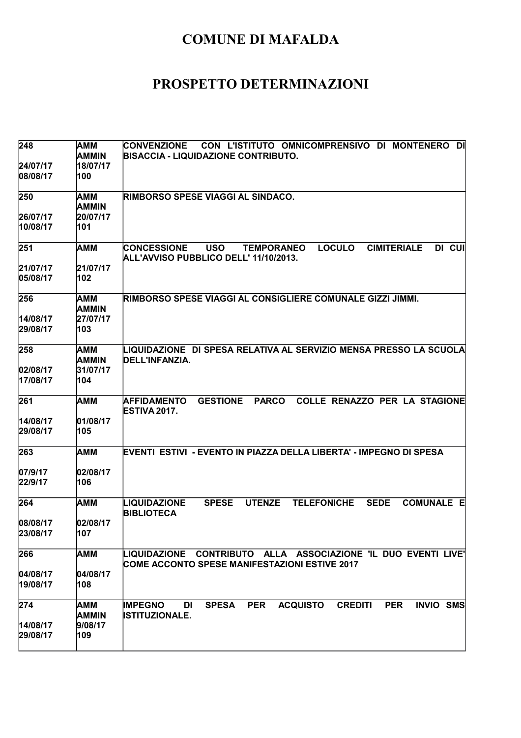| 248                  | AMM<br><b>AMMIN</b> | CON L'ISTITUTO OMNICOMPRENSIVO DI MONTENERO<br><b>DI</b><br><b>CONVENZIONE</b><br><b>BISACCIA - LIQUIDAZIONE CONTRIBUTO.</b>                                     |
|----------------------|---------------------|------------------------------------------------------------------------------------------------------------------------------------------------------------------|
| 24/07/17<br>08/08/17 | 18/07/17<br>100     |                                                                                                                                                                  |
| 250                  | AMM<br><b>AMMIN</b> | <b>RIMBORSO SPESE VIAGGI AL SINDACO.</b>                                                                                                                         |
| 26/07/17<br>10/08/17 | 20/07/17<br>101     |                                                                                                                                                                  |
| 251                  | <b>AMM</b>          | <b>LOCULO</b><br><b>CUI</b><br><b>CONCESSIONE</b><br><b>USO</b><br><b>CIMITERIALE</b><br><b>DI</b><br><b>TEMPORANEO</b><br>ALL'AVVISO PUBBLICO DELL' 11/10/2013. |
| 21/07/17<br>05/08/17 | 21/07/17<br>102     |                                                                                                                                                                  |
| 256                  | AMM<br><b>AMMIN</b> | RIMBORSO SPESE VIAGGI AL CONSIGLIERE COMUNALE GIZZI JIMMI.                                                                                                       |
| 14/08/17<br>29/08/17 | 27/07/17<br>103     |                                                                                                                                                                  |
| 258                  | AMM<br>AMMIN        | LIQUIDAZIONE  DI SPESA RELATIVA AL SERVIZIO MENSA PRESSO LA SCUOLA<br>DELL'INFANZIA.                                                                             |
| 02/08/17<br>17/08/17 | 31/07/17<br>104     |                                                                                                                                                                  |
| 261                  | AMM                 | <b>AFFIDAMENTO</b><br><b>GESTIONE</b><br><b>PARCO</b><br><b>COLLE RENAZZO PER LA STAGIONE</b><br><b>ESTIVA 2017.</b>                                             |
| 14/08/17<br>29/08/17 | 01/08/17<br>105     |                                                                                                                                                                  |
| 263                  | AMM                 | EVENTI ESTIVI - EVENTO IN PIAZZA DELLA LIBERTA' - IMPEGNO DI SPESA                                                                                               |
| 07/9/17<br>22/9/17   | 02/08/17<br>106     |                                                                                                                                                                  |
| 264                  | AMM                 | <b>LIQUIDAZIONE</b><br><b>SPESE</b><br><b>UTENZE</b><br><b>TELEFONICHE</b><br><b>SEDE</b><br><b>COMUNALE E</b><br><b>BIBLIOTECA</b>                              |
| 08/08/17<br>23/08/17 | 02/08/17<br>107     |                                                                                                                                                                  |
| 266                  | AMM                 | LIQUIDAZIONE CONTRIBUTO ALLA ASSOCIAZIONE 'IL DUO EVENTI LIVE'<br>COME ACCONTO SPESE MANIFESTAZIONI ESTIVE 2017                                                  |
| 04/08/17<br>19/08/17 | 04/08/17<br>108     |                                                                                                                                                                  |
| 274                  | AMM<br><b>AMMIN</b> | <b>PER</b><br><b>IMPEGNO</b><br><b>SPESA</b><br><b>ACQUISTO</b><br><b>CREDITI</b><br><b>PER</b><br><b>INVIO SMS</b><br>DI<br><b>ISTITUZIONALE.</b>               |
| 14/08/17<br>29/08/17 | 9/08/17<br>109      |                                                                                                                                                                  |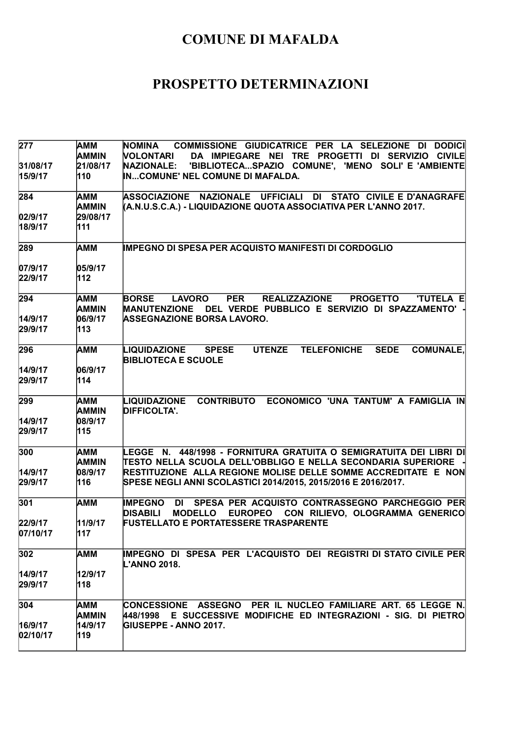| <b>AMM</b><br><b>AMMIN</b> | NOMINA COMMISSIONE GIUDICATRICE PER LA SELEZIONE DI DODICI<br>VOLONTARI<br>DA IMPIEGARE NEI TRE PROGETTI DI SERVIZIO CIVILE                                                |
|----------------------------|----------------------------------------------------------------------------------------------------------------------------------------------------------------------------|
| 21/08/17<br>110            | <b>NAZIONALE:</b><br>'BIBLIOTECASPAZIO COMUNE', 'MENO SOLI' E 'AMBIENTE<br>INCOMUNE' NEL COMUNE DI MAFALDA.                                                                |
| AMM<br><b>AMMIN</b>        | <b>ASSOCIAZIONE</b><br>NAZIONALE UFFICIALI DI STATO CIVILE E D'ANAGRAFE<br>(A.N.U.S.C.A.) - LIQUIDAZIONE QUOTA ASSOCIATIVA PER L'ANNO 2017.                                |
| 29/08/17                   |                                                                                                                                                                            |
| 111                        |                                                                                                                                                                            |
| AMM                        | <b>IMPEGNO DI SPESA PER ACQUISTO MANIFESTI DI CORDOGLIO</b>                                                                                                                |
|                            |                                                                                                                                                                            |
| 112                        |                                                                                                                                                                            |
| AMM                        | <b>BORSE</b><br><b>LAVORO</b><br><b>PER</b><br><b>REALIZZAZIONE</b><br><b>PROGETTO</b><br><b>'TUTELA E</b><br>MANUTENZIONE DEL VERDE PUBBLICO E SERVIZIO DI SPAZZAMENTO' · |
|                            | <b>ASSEGNAZIONE BORSA LAVORO.</b>                                                                                                                                          |
| 113                        |                                                                                                                                                                            |
| АММ                        | <b>UTENZE</b><br><b>TELEFONICHE</b><br><b>SEDE</b><br><b>COMUNALE,</b><br>LIQUIDAZIONE<br><b>SPESE</b><br><b>BIBLIOTECA E SCUOLE</b>                                       |
| 06/9/17                    |                                                                                                                                                                            |
| 114                        |                                                                                                                                                                            |
| <b>AMM</b><br><b>AMMIN</b> | CONTRIBUTO ECONOMICO 'UNA TANTUM' A FAMIGLIA IN<br>LIQUIDAZIONE<br><b>DIFFICOLTA'.</b>                                                                                     |
|                            |                                                                                                                                                                            |
| 115                        |                                                                                                                                                                            |
| AMM<br><b>AMMIN</b>        | LEGGE N. 448/1998 - FORNITURA GRATUITA O SEMIGRATUITA DEI LIBRI DI<br>TESTO NELLA SCUOLA DELL'OBBLIGO E NELLA SECONDARIA SUPERIORE                                         |
|                            | RESTITUZIONE ALLA REGIONE MOLISE DELLE SOMME ACCREDITATE E NON                                                                                                             |
|                            | SPESE NEGLI ANNI SCOLASTICI 2014/2015, 2015/2016 E 2016/2017.                                                                                                              |
| AMM                        | SPESA PER ACQUISTO CONTRASSEGNO PARCHEGGIO PER<br><b>IMPEGNO</b><br>DI<br><b>DISABILI</b><br><b>MODELLO</b><br>EUROPEO CON RILIEVO, OLOGRAMMA GENERICO                     |
| 11/9/17<br>117             | <b>FUSTELLATO E PORTATESSERE TRASPARENTE</b>                                                                                                                               |
| AMM                        | IMPEGNO DI SPESA PER L'ACQUISTO DEI REGISTRI DI STATO CIVILE PER<br><b>L'ANNO 2018.</b>                                                                                    |
| 12/9/17<br>118             |                                                                                                                                                                            |
| AMM                        | CONCESSIONE ASSEGNO PER IL NUCLEO FAMILIARE ART. 65 LEGGE N.                                                                                                               |
|                            | E SUCCESSIVE MODIFICHE ED INTEGRAZIONI - SIG. DI PIETRO<br>448/1998                                                                                                        |
| 119                        | <b>GIUSEPPE - ANNO 2017.</b>                                                                                                                                               |
|                            | 05/9/17<br><b>AMMIN</b><br>06/9/17<br>08/9/17<br>08/9/17<br>116<br><b>AMMIN</b><br>14/9/17                                                                                 |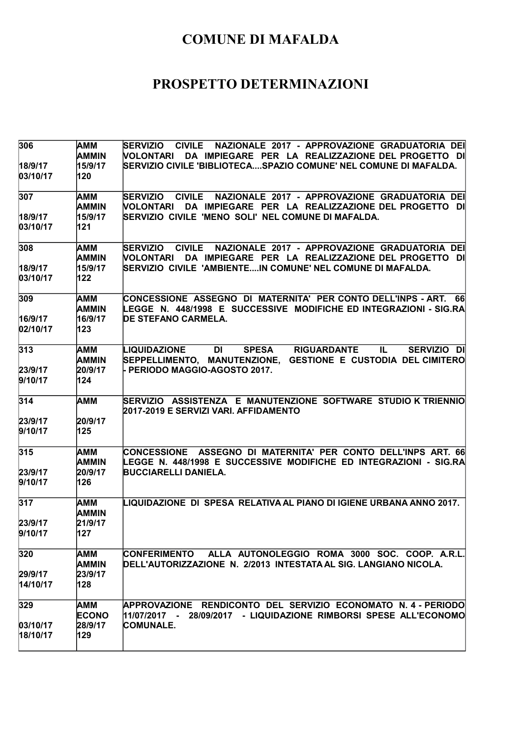| 306                  | <b>AMM</b><br><b>AMMIN</b> | SERVIZIO CIVILE NAZIONALE 2017 - APPROVAZIONE GRADUATORIA DEI<br>DA IMPIEGARE PER LA REALIZZAZIONE DEL PROGETTO DI<br><b>NOLONTARI</b>                     |
|----------------------|----------------------------|------------------------------------------------------------------------------------------------------------------------------------------------------------|
| 18/9/17<br>03/10/17  | 15/9/17<br>120             | SERVIZIO CIVILE 'BIBLIOTECASPAZIO COMUNE' NEL COMUNE DI MAFALDA.                                                                                           |
| 307                  | AMM<br><b>AMMIN</b>        | <b>SERVIZIO</b><br><b>CIVILE</b><br>NAZIONALE 2017 - APPROVAZIONE GRADUATORIA DEI<br><b>NOLONTARI</b><br>DA IMPIEGARE PER LA REALIZZAZIONE DEL PROGETTO DI |
| 18/9/17<br>03/10/17  | 15/9/17<br>121             | SERVIZIO CIVILE 'MENO SOLI' NEL COMUNE DI MAFALDA.                                                                                                         |
| 308                  | AMM<br><b>AMMIN</b>        | CIVILE NAZIONALE 2017 - APPROVAZIONE GRADUATORIA DEI<br><b>SERVIZIO</b><br>DA IMPIEGARE PER LA REALIZZAZIONE DEL PROGETTO DI<br><b>NOLONTARI</b>           |
| 18/9/17<br>03/10/17  | 15/9/17<br>122             |                                                                                                                                                            |
| 309                  | AMM<br><b>AMMIN</b>        | CONCESSIONE ASSEGNO DI MATERNITA' PER CONTO DELL'INPS - ART. 66<br>LEGGE N. 448/1998 E SUCCESSIVE MODIFICHE ED INTEGRAZIONI - SIG.RA                       |
| 16/9/17<br>02/10/17  | 16/9/17<br>123             | <b>DE STEFANO CARMELA.</b>                                                                                                                                 |
| 313                  | AMM<br><b>AMMIN</b>        | LIQUIDAZIONE<br>DI<br><b>SPESA</b><br><b>RIGUARDANTE</b><br>IL.<br>SERVIZIO DI<br>SEPPELLIMENTO, MANUTENZIONE, GESTIONE E CUSTODIA DEL CIMITERO            |
| 23/9/17<br>9/10/17   | 20/9/17<br>124             | - PERIODO MAGGIO-AGOSTO 2017.                                                                                                                              |
| 314                  | <b>AMM</b>                 | SERVIZIO ASSISTENZA E MANUTENZIONE SOFTWARE STUDIO K TRIENNIO<br>2017-2019 E SERVIZI VARI. AFFIDAMENTO                                                     |
| 23/9/17<br>9/10/17   | 20/9/17<br>125             |                                                                                                                                                            |
| 315                  | AMM<br><b>AMMIN</b>        | CONCESSIONE ASSEGNO DI MATERNITA' PER CONTO DELL'INPS ART. 66<br>LEGGE N. 448/1998 E SUCCESSIVE MODIFICHE ED INTEGRAZIONI - SIG.RA                         |
| 23/9/17<br>9/10/17   | 20/9/17<br>126             | <b>BUCCIARELLI DANIELA.</b>                                                                                                                                |
| 317                  | AMM<br><b>AMMIN</b>        | LIQUIDAZIONE DI SPESA RELATIVA AL PIANO DI IGIENE URBANA ANNO 2017.                                                                                        |
| 23/9/17<br>9/10/17   | 21/9/17<br>127             |                                                                                                                                                            |
| 320                  | <b>AMM</b><br><b>AMMIN</b> | CONFERIMENTO ALLA AUTONOLEGGIO ROMA 3000 SOC. COOP. A.R.L.<br>DELL'AUTORIZZAZIONE N. 2/2013 INTESTATA AL SIG. LANGIANO NICOLA.                             |
| 29/9/17<br>14/10/17  | 23/9/17<br>128             |                                                                                                                                                            |
| 329                  | AMM<br><b>ECONO</b>        | APPROVAZIONE RENDICONTO DEL SERVIZIO ECONOMATO N.4-PERIODO<br>11/07/2017 - 28/09/2017 - LIQUIDAZIONE RIMBORSI SPESE ALL'ECONOMO                            |
| 03/10/17<br>18/10/17 | 28/9/17<br>129             | <b>COMUNALE.</b>                                                                                                                                           |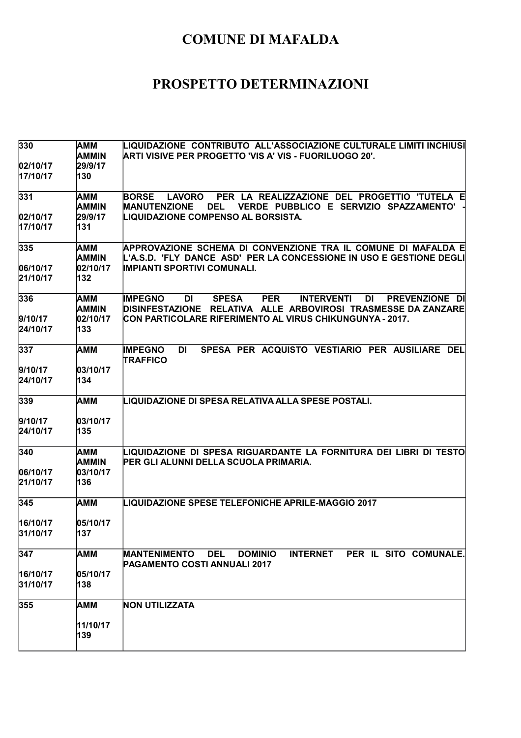| 330                  | AMM            | LIQUIDAZIONE CONTRIBUTO ALL'ASSOCIAZIONE CULTURALE LIMITI INCHIUSI                                                              |
|----------------------|----------------|---------------------------------------------------------------------------------------------------------------------------------|
|                      | <b>AMMIN</b>   | ARTI VISIVE PER PROGETTO 'VIS A' VIS - FUORILUOGO 20'.                                                                          |
| 02/10/17<br>17/10/17 | 29/9/17<br>130 |                                                                                                                                 |
|                      |                |                                                                                                                                 |
| 331                  | AMM            | PER LA REALIZZAZIONE DEL PROGETTIO 'TUTELA E<br><b>BORSE</b><br><b>LAVORO</b>                                                   |
|                      | <b>AMMIN</b>   | VERDE PUBBLICO E SERVIZIO SPAZZAMENTO'<br><b>MANUTENZIONE</b><br><b>DEL</b>                                                     |
| 02/10/17             | 29/9/17        | <b>LIQUIDAZIONE COMPENSO AL BORSISTA.</b>                                                                                       |
| 17/10/17             | 131            |                                                                                                                                 |
| 335                  | AMM            | APPROVAZIONE SCHEMA DI CONVENZIONE TRA IL COMUNE DI MAFALDA E                                                                   |
|                      | AMMIN          | L'A.S.D. 'FLY DANCE ASD' PER LA CONCESSIONE IN USO E GESTIONE DEGLI                                                             |
| 06/10/17             | 02/10/17       | <b>IMPIANTI SPORTIVI COMUNALI.</b>                                                                                              |
| 21/10/17             | 132            |                                                                                                                                 |
| 336                  | AMM            | <b>SPESA</b><br><b>PER</b><br><b>INTERVENTI</b><br><b>DI</b><br>PREVENZIONE DI<br><b>IMPEGNO</b><br><b>DI</b>                   |
|                      | <b>AMMIN</b>   | RELATIVA ALLE ARBOVIROSI TRASMESSE DA ZANZARE<br><b>DISINFESTAZIONE</b>                                                         |
| 9/10/17              | 02/10/17       | CON PARTICOLARE RIFERIMENTO AL VIRUS CHIKUNGUNYA - 2017.                                                                        |
| 24/10/17             | 133            |                                                                                                                                 |
| 337                  | АММ            | SPESA PER ACQUISTO VESTIARIO PER AUSILIARE DEL<br><b>IMPEGNO</b><br>DI                                                          |
|                      |                | <b>TRAFFICO</b>                                                                                                                 |
| 9/10/17              | 03/10/17       |                                                                                                                                 |
| 24/10/17             | 134            |                                                                                                                                 |
| 339                  | АММ            | LIQUIDAZIONE DI SPESA RELATIVA ALLA SPESE POSTALI.                                                                              |
| 9/10/17              | 03/10/17       |                                                                                                                                 |
| 24/10/17             | 135            |                                                                                                                                 |
| 340                  | AMM            | LIQUIDAZIONE DI SPESA RIGUARDANTE LA FORNITURA DEI LIBRI DI TESTO                                                               |
|                      | <b>AMMIN</b>   | PER GLI ALUNNI DELLA SCUOLA PRIMARIA.                                                                                           |
| 06/10/17             | 03/10/17       |                                                                                                                                 |
| 21/10/17             | 136            |                                                                                                                                 |
| 345                  | <b>AMM</b>     | <b>LIQUIDAZIONE SPESE TELEFONICHE APRILE-MAGGIO 2017</b>                                                                        |
| 16/10/17             | 05/10/17       |                                                                                                                                 |
| 31/10/17             | 137            |                                                                                                                                 |
|                      |                |                                                                                                                                 |
| 347                  | <b>AMM</b>     | <b>MANTENIMENTO</b><br><b>DEL</b><br><b>DOMINIO</b><br><b>INTERNET</b><br>PER IL SITO COMUNALE.<br>PAGAMENTO COSTI ANNUALI 2017 |
| 16/10/17             | 05/10/17       |                                                                                                                                 |
| 31/10/17             | 138            |                                                                                                                                 |
| 355                  | AMM            | <b>NON UTILIZZATA</b>                                                                                                           |
|                      | 11/10/17       |                                                                                                                                 |
|                      | 139            |                                                                                                                                 |
|                      |                |                                                                                                                                 |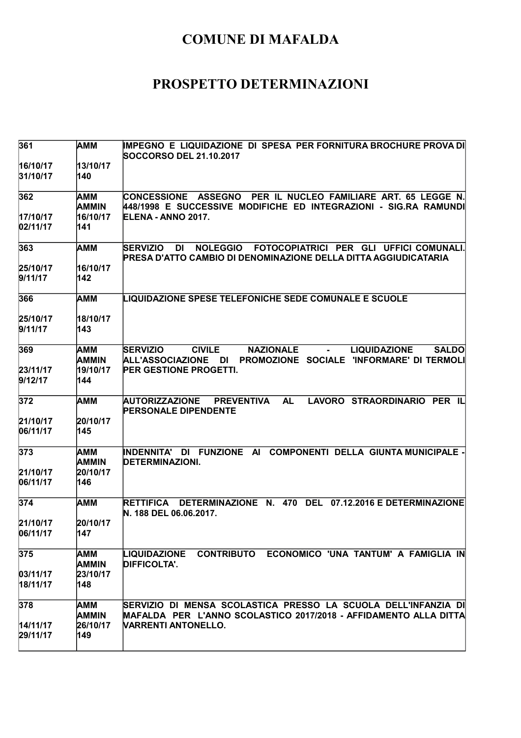| 361                  | AMM                        | IMPEGNO E LIQUIDAZIONE DI SPESA PER FORNITURA BROCHURE PROVA DI<br>SOCCORSO DEL 21.10.2017                                                                                         |
|----------------------|----------------------------|------------------------------------------------------------------------------------------------------------------------------------------------------------------------------------|
| 16/10/17<br>31/10/17 | 13/10/17<br>140            |                                                                                                                                                                                    |
| 362                  | AMM<br><b>AMMIN</b>        | PER IL NUCLEO FAMILIARE ART. 65 LEGGE N.<br><b>CONCESSIONE ASSEGNO</b><br>448/1998 E SUCCESSIVE MODIFICHE ED INTEGRAZIONI - SIG.RA RAMUNDI                                         |
| 17/10/17<br>02/11/17 | 16/10/17<br>141            | ELENA - ANNO 2017.                                                                                                                                                                 |
| 363                  | AMM                        | <b>SERVIZIO</b><br><b>DI</b><br><b>NOLEGGIO</b><br>FOTOCOPIATRICI PER GLI UFFICI COMUNALI.<br>PRESA D'ATTO CAMBIO DI DENOMINAZIONE DELLA DITTA AGGIUDICATARIA                      |
| 25/10/17<br>9/11/17  | 16/10/17<br>142            |                                                                                                                                                                                    |
| 366                  | AMM                        | <b>LIQUIDAZIONE SPESE TELEFONICHE SEDE COMUNALE E SCUOLE</b>                                                                                                                       |
| 25/10/17<br>9/11/17  | 18/10/17<br>143            |                                                                                                                                                                                    |
| 369                  | AMM<br><b>AMMIN</b>        | <b>NAZIONALE</b><br><b>SERVIZIO</b><br><b>CIVILE</b><br><b>LIQUIDAZIONE</b><br><b>SALDO</b><br>$\sim$ 10 $\pm$<br>ALL'ASSOCIAZIONE DI<br>PROMOZIONE SOCIALE 'INFORMARE' DI TERMOLI |
| 23/11/17<br>9/12/17  | 19/10/17<br>144            | <b>PER GESTIONE PROGETTI.</b>                                                                                                                                                      |
| 372                  | AMM                        | LAVORO STRAORDINARIO PER IL<br>AUTORIZZAZIONE<br><b>PREVENTIVA</b><br><b>AL</b><br><b>PERSONALE DIPENDENTE</b>                                                                     |
| 21/10/17<br>06/11/17 | 20/10/17<br>145            |                                                                                                                                                                                    |
| 373                  | AMM<br><b>AMMIN</b>        | INDENNITA' DI FUNZIONE AI<br><b>COMPONENTI DELLA GIUNTA MUNICIPALE -</b><br><b>DETERMINAZIONI.</b>                                                                                 |
| 21/10/17<br>06/11/17 | 20/10/17<br>146            |                                                                                                                                                                                    |
| 374                  | AMM                        | DETERMINAZIONE N. 470 DEL<br><b>RETTIFICA</b><br>07.12.2016 E DETERMINAZIONE<br>N. 188 DEL 06.06.2017.                                                                             |
| 21/10/17<br>06/11/17 | 20/10/17<br>147            |                                                                                                                                                                                    |
| 375                  | AMM<br><b>AMMIN</b>        | CONTRIBUTO ECONOMICO 'UNA TANTUM' A FAMIGLIA IN<br><b>LIQUIDAZIONE</b><br><b>DIFFICOLTA'.</b>                                                                                      |
| 03/11/17<br>18/11/17 | 23/10/17<br>148            |                                                                                                                                                                                    |
| 378                  | <b>AMM</b><br><b>AMMIN</b> | SERVIZIO DI MENSA SCOLASTICA PRESSO LA SCUOLA DELL'INFANZIA DI<br>MAFALDA PER L'ANNO SCOLASTICO 2017/2018 - AFFIDAMENTO ALLA DITTA                                                 |
| 14/11/17<br>29/11/17 | 26/10/17<br>149            | VARRENTI ANTONELLO.                                                                                                                                                                |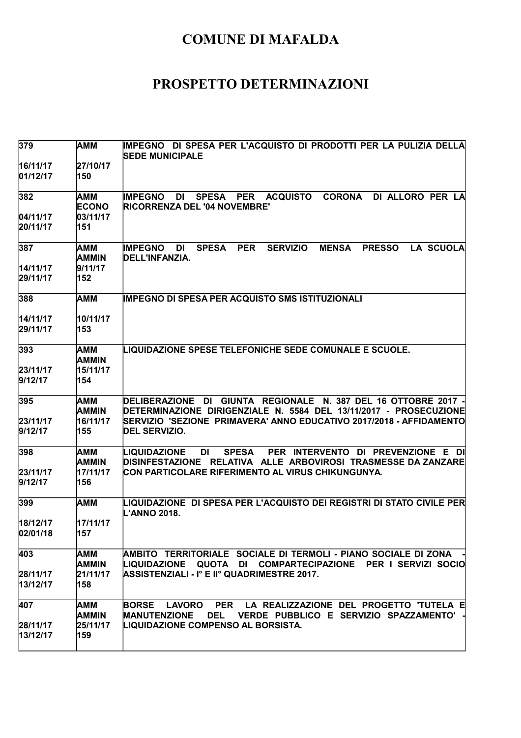| 379                  | <b>AMM</b>                      | IMPEGNO DI SPESA PER L'ACQUISTO DI PRODOTTI PER LA PULIZIA DELLA<br><b>SEDE MUNICIPALE</b>                                                                                                                 |
|----------------------|---------------------------------|------------------------------------------------------------------------------------------------------------------------------------------------------------------------------------------------------------|
| 16/11/17<br>01/12/17 | 27/10/17<br>150                 |                                                                                                                                                                                                            |
| 382                  | AMM<br><b>ECONO</b>             | <b>ACQUISTO</b><br><b>CORONA</b><br><b>IMPEGNO</b><br><b>SPESA</b><br>DI ALLORO PER LA<br>DI<br>PER<br>RICORRENZA DEL '04 NOVEMBRE'                                                                        |
| 04/11/17<br>20/11/17 | 03/11/17<br>151                 |                                                                                                                                                                                                            |
| 387                  | AMM<br><b>AMMIN</b>             | <b>PER</b><br><b>IMPEGNO</b><br><b>SPESA</b><br><b>SERVIZIO</b><br><b>MENSA</b><br><b>PRESSO</b><br>LA SCUOLA<br>DI<br>DELL'INFANZIA.                                                                      |
| 14/11/17<br>29/11/17 | 9/11/17<br>152                  |                                                                                                                                                                                                            |
| 388                  | AMM                             | <b>IMPEGNO DI SPESA PER ACQUISTO SMS ISTITUZIONALI</b>                                                                                                                                                     |
| 14/11/17<br>29/11/17 | 10/11/17<br>153                 |                                                                                                                                                                                                            |
| 393                  | AMM<br><b>AMMIN</b>             | <b>LIQUIDAZIONE SPESE TELEFONICHE SEDE COMUNALE E SCUOLE.</b>                                                                                                                                              |
| 23/11/17<br>9/12/17  | 15/11/17<br>154                 |                                                                                                                                                                                                            |
| 395<br>23/11/17      | AMM<br><b>AMMIN</b><br>16/11/17 | DELIBERAZIONE DI GIUNTA REGIONALE N. 387 DEL 16 OTTOBRE 2017 -<br>DETERMINAZIONE DIRIGENZIALE N. 5584 DEL 13/11/2017 - PROSECUZIONE<br>SERVIZIO 'SEZIONE PRIMAVERA' ANNO EDUCATIVO 2017/2018 - AFFIDAMENTO |
| 9/12/17              | 155                             | <b>DEL SERVIZIO.</b>                                                                                                                                                                                       |
| 398                  | AMM<br><b>AMMIN</b>             | <b>DI</b><br><b>SPESA</b><br>PER INTERVENTO DI PREVENZIONE E DI<br>LIQUIDAZIONE<br>DISINFESTAZIONE RELATIVA ALLE ARBOVIROSI TRASMESSE DA ZANZARE                                                           |
| 23/11/17<br>9/12/17  | 17/11/17<br>156                 | CON PARTICOLARE RIFERIMENTO AL VIRUS CHIKUNGUNYA.                                                                                                                                                          |
| 399                  | <b>AMM</b>                      | LIQUIDAZIONE  DI SPESA PER L'ACQUISTO DEI REGISTRI DI STATO CIVILE PER<br>L'ANNO 2018.                                                                                                                     |
| 18/12/17<br>02/01/18 | 17/11/17<br>157                 |                                                                                                                                                                                                            |
| 403                  | AMM<br>AMMIN                    | AMBITO TERRITORIALE SOCIALE DI TERMOLI - PIANO SOCIALE DI ZONA<br>LIQUIDAZIONE QUOTA DI COMPARTECIPAZIONE PER I SERVIZI SOCIO                                                                              |
| 28/11/17<br>13/12/17 | 21/11/17<br>158                 | ASSISTENZIALI - I° E II° QUADRIMESTRE 2017.                                                                                                                                                                |
| 407                  | AMM<br><b>AMMIN</b>             | <b>PER</b><br>LA REALIZZAZIONE DEL PROGETTO 'TUTELA E<br><b>BORSE</b><br><b>LAVORO</b><br><b>DEL</b><br>VERDE PUBBLICO E SERVIZIO SPAZZAMENTO'<br><b>MANUTENZIONE</b>                                      |
| 28/11/17<br>13/12/17 | 25/11/17<br>159                 | LIQUIDAZIONE COMPENSO AL BORSISTA.                                                                                                                                                                         |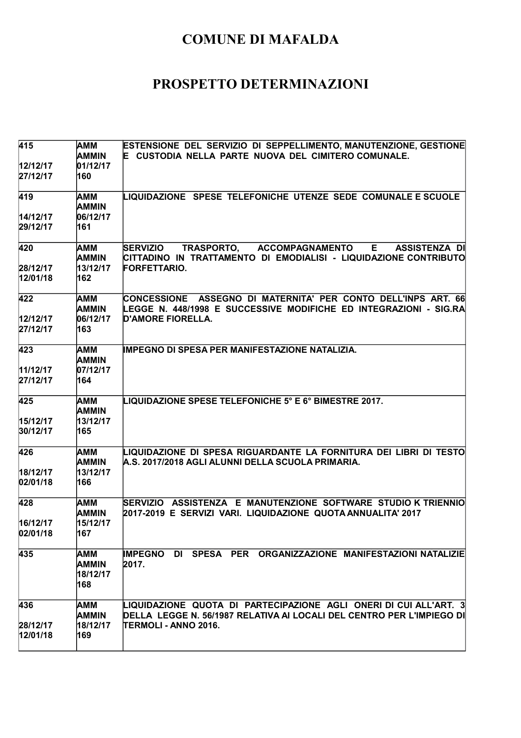| 415                  | AMM<br><b>AMMIN</b>                    | ESTENSIONE DEL SERVIZIO DI SEPPELLIMENTO, MANUTENZIONE, GESTIONE<br>E CUSTODIA NELLA PARTE NUOVA DEL CIMITERO COMUNALE.                                   |
|----------------------|----------------------------------------|-----------------------------------------------------------------------------------------------------------------------------------------------------------|
| 12/12/17<br>27/12/17 | 01/12/17<br>160                        |                                                                                                                                                           |
| 419                  | AMM<br><b>AMMIN</b>                    | LIQUIDAZIONE SPESE TELEFONICHE UTENZE SEDE COMUNALE E SCUOLE                                                                                              |
| 14/12/17             | 06/12/17                               |                                                                                                                                                           |
| 29/12/17             | 161                                    |                                                                                                                                                           |
| 420                  | AMM<br><b>AMMIN</b>                    | <b>SERVIZIO</b><br>TRASPORTO,<br><b>ACCOMPAGNAMENTO</b><br>E.<br><b>ASSISTENZA DI</b><br>CITTADINO IN TRATTAMENTO DI EMODIALISI - LIQUIDAZIONE CONTRIBUTO |
| 28/12/17             | 13/12/17                               | FORFETTARIO.                                                                                                                                              |
| 12/01/18             | 162                                    |                                                                                                                                                           |
| 422                  | AMM<br><b>AMMIN</b>                    | CONCESSIONE ASSEGNO DI MATERNITA' PER CONTO DELL'INPS ART. 66<br>LEGGE N. 448/1998 E SUCCESSIVE MODIFICHE ED INTEGRAZIONI - SIG.RA                        |
| 12/12/17             | 06/12/17                               | <b>D'AMORE FIORELLA.</b>                                                                                                                                  |
| 27/12/17             | 163                                    |                                                                                                                                                           |
| 423                  | AMM<br><b>AMMIN</b>                    | <b>IMPEGNO DI SPESA PER MANIFESTAZIONE NATALIZIA.</b>                                                                                                     |
| 11/12/17             | 07/12/17                               |                                                                                                                                                           |
| 27/12/17             | 164                                    |                                                                                                                                                           |
|                      |                                        |                                                                                                                                                           |
| 425                  | AMM<br><b>AMMIN</b>                    | LIQUIDAZIONE SPESE TELEFONICHE 5° E 6° BIMESTRE 2017.                                                                                                     |
| 15/12/17             | 13/12/17                               |                                                                                                                                                           |
| 30/12/17             | 165                                    |                                                                                                                                                           |
| 426                  | AMM<br><b>AMMIN</b>                    | LIQUIDAZIONE DI SPESA RIGUARDANTE LA FORNITURA DEI LIBRI DI TESTO<br>A.S. 2017/2018 AGLI ALUNNI DELLA SCUOLA PRIMARIA.                                    |
| 18/12/17             | 13/12/17                               |                                                                                                                                                           |
| 02/01/18             | 166                                    |                                                                                                                                                           |
| 428                  | AMM<br>AMMIN                           | SERVIZIO ASSISTENZA E MANUTENZIONE SOFTWARE STUDIO K TRIENNIO<br>2017-2019 E SERVIZI VARI. LIQUIDAZIONE QUOTA ANNUALITA' 2017                             |
| 16/12/17             | 15/12/17                               |                                                                                                                                                           |
| 02/01/18             | 167                                    |                                                                                                                                                           |
| 435                  | AMM<br><b>AMMIN</b><br>18/12/17<br>168 | IMPEGNO DI SPESA PER ORGANIZZAZIONE MANIFESTAZIONI NATALIZIE<br>2017.                                                                                     |
| 436                  | AMM                                    | LIQUIDAZIONE QUOTA DI PARTECIPAZIONE AGLI ONERI DI CUI ALL'ART. 3                                                                                         |
|                      | <b>AMMIN</b>                           | DELLA LEGGE N. 56/1987 RELATIVA AI LOCALI DEL CENTRO PER L'IMPIEGO DI                                                                                     |
| 28/12/17             | 18/12/17                               | ITERMOLI - ANNO 2016.                                                                                                                                     |
| 12/01/18             | 169                                    |                                                                                                                                                           |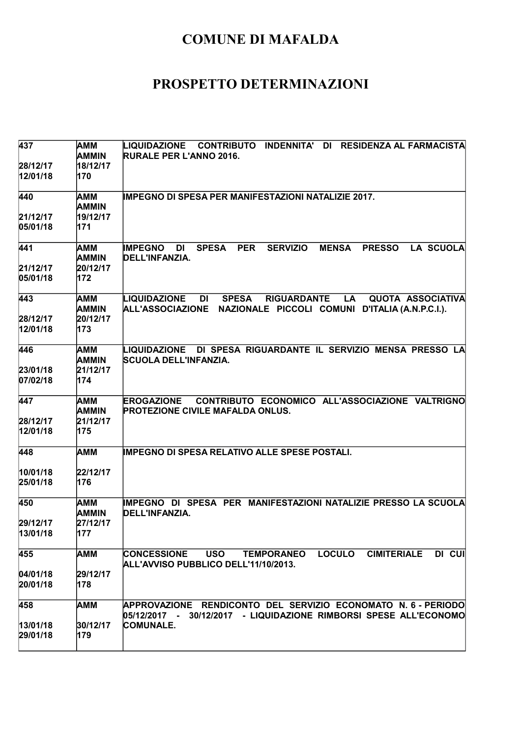| 437                  | AMM<br>AMMIN        | CONTRIBUTO INDENNITA'<br>LIQUIDAZIONE<br>DI<br><b>RESIDENZA AL FARMACISTA</b><br><b>RURALE PER L'ANNO 2016.</b>                                                                 |
|----------------------|---------------------|---------------------------------------------------------------------------------------------------------------------------------------------------------------------------------|
| 28/12/17<br>12/01/18 | 18/12/17<br>170     |                                                                                                                                                                                 |
| 440                  | AMM<br><b>AMMIN</b> | <b>IMPEGNO DI SPESA PER MANIFESTAZIONI NATALIZIE 2017.</b>                                                                                                                      |
| 21/12/17             | 19/12/17            |                                                                                                                                                                                 |
| 05/01/18             | 171                 |                                                                                                                                                                                 |
| 441                  | AMM<br><b>AMMIN</b> | <b>SPESA</b><br><b>PER</b><br><b>SERVIZIO</b><br>LA SCUOLA<br><b>IMPEGNO</b><br><b>MENSA</b><br><b>PRESSO</b><br><b>DI</b><br>DELL'INFANZIA.                                    |
| 21/12/17<br>05/01/18 | 20/12/17<br>172     |                                                                                                                                                                                 |
| 443                  | AMM<br><b>AMMIN</b> | <b>LIQUIDAZIONE</b><br>DI<br><b>SPESA</b><br><b>RIGUARDANTE</b><br>LA<br><b>QUOTA ASSOCIATIVA</b><br><b>ALL'ASSOCIAZIONE</b><br>NAZIONALE PICCOLI COMUNI D'ITALIA (A.N.P.C.I.). |
| 28/12/17             | 20/12/17            |                                                                                                                                                                                 |
| 12/01/18             | 173                 |                                                                                                                                                                                 |
| 446                  | AMM<br><b>AMMIN</b> | LIQUIDAZIONE DI SPESA RIGUARDANTE IL SERVIZIO MENSA PRESSO LA<br><b>SCUOLA DELL'INFANZIA.</b>                                                                                   |
| 23/01/18             | 21/12/17            |                                                                                                                                                                                 |
| 07/02/18             | 174                 |                                                                                                                                                                                 |
| 447                  | AMM<br><b>AMMIN</b> | CONTRIBUTO ECONOMICO ALL'ASSOCIAZIONE VALTRIGNO<br><b>EROGAZIONE</b><br><b>PROTEZIONE CIVILE MAFALDA ONLUS.</b>                                                                 |
| 28/12/17             | 21/12/17            |                                                                                                                                                                                 |
| 12/01/18             | 175                 |                                                                                                                                                                                 |
| 448                  | AMM                 | <b>IMPEGNO DI SPESA RELATIVO ALLE SPESE POSTALI.</b>                                                                                                                            |
| 10/01/18             | 22/12/17            |                                                                                                                                                                                 |
| 25/01/18             | 176                 |                                                                                                                                                                                 |
| 450                  | <b>AMM</b><br>AMMIN | IMPEGNO DI SPESA PER MANIFESTAZIONI NATALIZIE PRESSO LA SCUOLA<br>DELL'INFANZIA.                                                                                                |
| 29/12/17             | 27/12/17            |                                                                                                                                                                                 |
| 13/01/18             | 177                 |                                                                                                                                                                                 |
| 455                  | AMM                 | <b>LOCULO</b><br>DI CUI<br><b>USO</b><br><b>CIMITERIALE</b><br><b>CONCESSIONE</b><br><b>TEMPORANEO</b><br>ALL'AVVISO PUBBLICO DELL'11/10/2013.                                  |
| 04/01/18             | 29/12/17            |                                                                                                                                                                                 |
| 20/01/18             | 178                 |                                                                                                                                                                                 |
| 458                  | AMM                 | APPROVAZIONE RENDICONTO DEL SERVIZIO ECONOMATO N.6-PERIODO<br>05/12/2017 - 30/12/2017 - LIQUIDAZIONE RIMBORSI SPESE ALL'ECONOMO                                                 |
| 13/01/18             | 30/12/17            | <b>COMUNALE.</b>                                                                                                                                                                |
| 29/01/18             | 179                 |                                                                                                                                                                                 |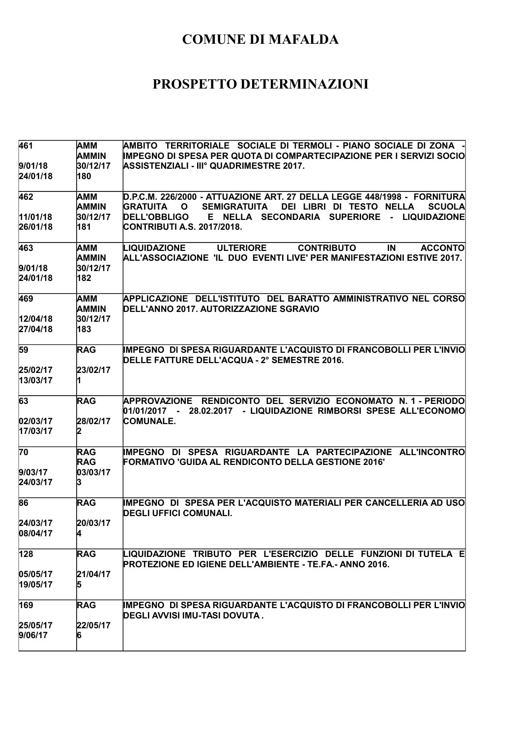| 461              | AMM                      | AMBITO TERRITORIALE SOCIALE DI TERMOLI - PIANO SOCIALE DI ZONA                                                                    |
|------------------|--------------------------|-----------------------------------------------------------------------------------------------------------------------------------|
|                  | AMMIN                    | <b>IMPEGNO DI SPESA PER QUOTA DI COMPARTECIPAZIONE PER I SERVIZI SOCIO</b>                                                        |
| 9/01/18          | 30/12/17                 | ASSISTENZIALI - IIIº QUADRIMESTRE 2017.                                                                                           |
| 24/01/18         | 180                      |                                                                                                                                   |
| 462              | AMM                      | D.P.C.M. 226/2000 - ATTUAZIONE ART. 27 DELLA LEGGE 448/1998 - FORNITURA                                                           |
|                  | <b>AMMIN</b>             | <b>GRATUITA</b><br><b>SEMIGRATUITA</b><br>DEI LIBRI DI TESTO NELLA<br><b>SCUOLA</b><br>$\mathbf{o}$                               |
| 11/01/18         | 30/12/17                 | <b>DELL'OBBLIGO</b><br>E NELLA SECONDARIA SUPERIORE - LIQUIDAZIONE                                                                |
| 26/01/18         | 181                      | CONTRIBUTI A.S. 2017/2018.                                                                                                        |
| 463              | AMM                      | LIQUIDAZIONE<br><b>ULTERIORE</b><br><b>CONTRIBUTO</b><br><b>ACCONTO</b><br>IN                                                     |
|                  | <b>AMMIN</b>             | ALL'ASSOCIAZIONE 'IL DUO EVENTI LIVE' PER MANIFESTAZIONI ESTIVE 2017.                                                             |
| 9/01/18          | 30/12/17                 |                                                                                                                                   |
| 24/01/18         | 182                      |                                                                                                                                   |
| 469              | AMM                      | APPLICAZIONE DELL'ISTITUTO DEL BARATTO AMMINISTRATIVO NEL CORSO                                                                   |
|                  | <b>AMMIN</b>             | DELL'ANNO 2017. AUTORIZZAZIONE SGRAVIO                                                                                            |
| 12/04/18         | 30/12/17                 |                                                                                                                                   |
| 27/04/18         | 183                      |                                                                                                                                   |
| 59               | RAG                      | <b>IMPEGNO DI SPESA RIGUARDANTE L'ACQUISTO DI FRANCOBOLLI PER L'INVIO</b>                                                         |
|                  |                          | DELLE FATTURE DELL'ACQUA - 2° SEMESTRE 2016.                                                                                      |
| 25/02/17         | 23/02/17                 |                                                                                                                                   |
| 13/03/17         |                          |                                                                                                                                   |
| 63               | <b>RAG</b>               | APPROVAZIONE RENDICONTO DEL SERVIZIO ECONOMATO N.1 - PERIODO<br>01/01/2017 - 28.02.2017 - LIQUIDAZIONE RIMBORSI SPESE ALL'ECONOMO |
| 02/03/17         | 28/02/17                 | COMUNALE.                                                                                                                         |
| 17/03/17         | 12.                      |                                                                                                                                   |
| 70               |                          |                                                                                                                                   |
|                  | <b>RAG</b><br><b>RAG</b> | IMPEGNO DI SPESA RIGUARDANTE LA PARTECIPAZIONE ALL'INCONTRO<br>FORMATIVO 'GUIDA AL RENDICONTO DELLA GESTIONE 2016'                |
| 9/03/17          | 03/03/17                 |                                                                                                                                   |
| 24/03/17         |                          |                                                                                                                                   |
|                  |                          |                                                                                                                                   |
| 86               | <b>RAG</b>               | IMPEGNO DI SPESA PER L'ACQUISTO MATERIALI PER CANCELLERIA AD USO<br><b>DEGLI UFFICI COMUNALI.</b>                                 |
| 24/03/17         | 20/03/17                 |                                                                                                                                   |
| 08/04/17         | 14                       |                                                                                                                                   |
|                  |                          |                                                                                                                                   |
| $\overline{128}$ | <b>RAG</b>               | LIQUIDAZIONE TRIBUTO PER L'ESERCIZIO DELLE FUNZIONI DI TUTELA E<br><b>PROTEZIONE ED IGIENE DELL'AMBIENTE - TE.FA.- ANNO 2016.</b> |
| 05/05/17         | 21/04/17                 |                                                                                                                                   |
| 19/05/17         | 15                       |                                                                                                                                   |
| 169              | <b>RAG</b>               | <b>IMPEGNO DI SPESA RIGUARDANTE L'ACQUISTO DI FRANCOBOLLI PER L'INVIO</b>                                                         |
|                  |                          | IDEGLI AVVISI IMU-TASI DOVUTA .                                                                                                   |
| 25/05/17         | 22/05/17                 |                                                                                                                                   |
| 9/06/17          |                          |                                                                                                                                   |
|                  |                          |                                                                                                                                   |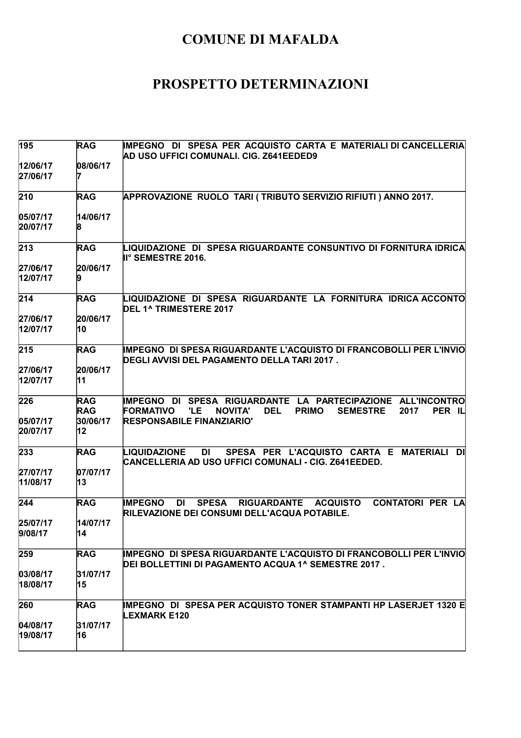| 195                         | <b>RAG</b>                                 | IMPEGNO DI SPESA PER ACQUISTO CARTA E MATERIALI DI CANCELLERIA<br>AD USO UFFICI COMUNALI. CIG. Z641EEDED9                                                                                                       |
|-----------------------------|--------------------------------------------|-----------------------------------------------------------------------------------------------------------------------------------------------------------------------------------------------------------------|
| 12/06/17<br>27/06/17        | 08/06/17                                   |                                                                                                                                                                                                                 |
| 210                         | <b>RAG</b>                                 | APPROVAZIONE RUOLO TARI (TRIBUTO SERVIZIO RIFIUTI) ANNO 2017.                                                                                                                                                   |
| 05/07/17<br>20/07/17        | 14/06/17                                   |                                                                                                                                                                                                                 |
| 213                         | <b>RAG</b>                                 | LIQUIDAZIONE DI SPESA RIGUARDANTE CONSUNTIVO DI FORNITURA IDRICA<br>II° SEMESTRE 2016.                                                                                                                          |
| 27/06/17<br>12/07/17        | 20/06/17                                   |                                                                                                                                                                                                                 |
| 214                         | <b>RAG</b>                                 | LIQUIDAZIONE DI SPESA RIGUARDANTE LA FORNITURA IDRICA ACCONTO<br>DEL 1^ TRIMESTERE 2017                                                                                                                         |
| 27/06/17<br>12/07/17        | 20/06/17<br>10                             |                                                                                                                                                                                                                 |
| 215                         | <b>RAG</b>                                 | IMPEGNO DI SPESA RIGUARDANTE L'ACQUISTO DI FRANCOBOLLI PER L'INVIO<br>DEGLI AVVISI DEL PAGAMENTO DELLA TARI 2017 .                                                                                              |
| 27/06/17<br>12/07/17        | 20/06/17<br>11                             |                                                                                                                                                                                                                 |
| 226<br>05/07/17<br>20/07/17 | <b>RAG</b><br><b>RAG</b><br>30/06/17<br>12 | IMPEGNO DI SPESA RIGUARDANTE LA PARTECIPAZIONE ALL'INCONTRO<br>'LE<br><b>DEL</b><br>PER IL<br><b>FORMATIVO</b><br><b>NOVITA'</b><br><b>PRIMO</b><br><b>SEMESTRE</b><br>2017<br><b>RESPONSABILE FINANZIARIO'</b> |
| 233                         | <b>RAG</b>                                 | LIQUIDAZIONE<br><b>DI</b><br>SPESA PER L'ACQUISTO CARTA E MATERIALI<br>DI<br>CANCELLERIA AD USO UFFICI COMUNALI - CIG. Z641EEDED.                                                                               |
| 27/07/17<br>11/08/17        | 07/07/17<br>13                             |                                                                                                                                                                                                                 |
| 244                         | <b>RAG</b>                                 | <b>SPESA</b><br><b>IMPEGNO</b><br><b>DI</b><br><b>RIGUARDANTE</b><br><b>ACQUISTO</b><br><b>CONTATORI PER LA</b><br>RILEVAZIONE DEI CONSUMI DELL'ACQUA POTABILE.                                                 |
| 25/07/17<br>9/08/17         | 14/07/17<br>14                             |                                                                                                                                                                                                                 |
| 259                         | <b>RAG</b>                                 | IMPEGNO DI SPESA RIGUARDANTE L'ACQUISTO DI FRANCOBOLLI PER L'INVIO<br>DEI BOLLETTINI DI PAGAMENTO ACQUA 1^ SEMESTRE 2017 .                                                                                      |
| 03/08/17 <br>18/08/17       | 31/07/17<br>15                             |                                                                                                                                                                                                                 |
| 260                         | <b>RAG</b>                                 | IMPEGNO DI SPESA PER ACQUISTO TONER STAMPANTI HP LASERJET 1320 E<br><b>LEXMARK E120</b>                                                                                                                         |
| 04/08/17<br>19/08/17        | 31/07/17<br>16                             |                                                                                                                                                                                                                 |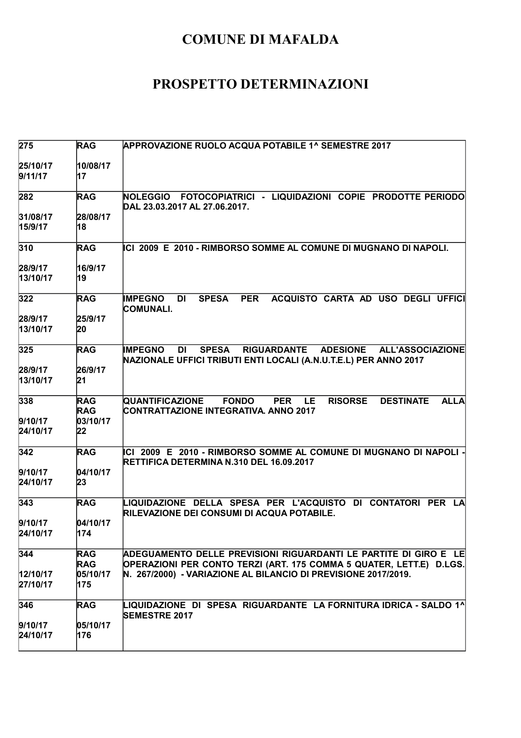| 275                        | <b>RAG</b>                                 | <b>APPROVAZIONE RUOLO ACQUA POTABILE 1^ SEMESTRE 2017</b>                                                                                                                           |
|----------------------------|--------------------------------------------|-------------------------------------------------------------------------------------------------------------------------------------------------------------------------------------|
| 25/10/17<br>9/11/17        | 10/08/17<br>17                             |                                                                                                                                                                                     |
| 282                        | <b>RAG</b>                                 | NOLEGGIO FOTOCOPIATRICI - LIQUIDAZIONI COPIE PRODOTTE PERIODO<br>DAL 23.03.2017 AL 27.06.2017.                                                                                      |
| 31/08/17<br>15/9/17        | 28/08/17<br>18                             |                                                                                                                                                                                     |
| 310                        | <b>RAG</b>                                 | ICI 2009 E 2010 - RIMBORSO SOMME AL COMUNE DI MUGNANO DI NAPOLI.                                                                                                                    |
| 28/9/17<br>13/10/17        | 16/9/17<br>19                              |                                                                                                                                                                                     |
| 322                        | <b>RAG</b>                                 | <b>SPESA</b><br><b>PER</b><br>ACQUISTO CARTA AD USO DEGLI UFFICI<br><b>IMPEGNO</b><br><b>DI</b><br><b>COMUNALI.</b>                                                                 |
| 28/9/17<br>13/10/17        | 25/9/17<br>20                              |                                                                                                                                                                                     |
| 325                        | <b>RAG</b>                                 | <b>SPESA</b><br><b>RIGUARDANTE</b><br><b>ADESIONE</b><br><b>ALL'ASSOCIAZIONE</b><br><b>IMPEGNO</b><br><b>DI</b><br>NAZIONALE UFFICI TRIBUTI ENTI LOCALI (A.N.U.T.E.L) PER ANNO 2017 |
| 28/9/17<br>13/10/17        | 26/9/17<br>21                              |                                                                                                                                                                                     |
| 338<br>9/10/17<br>24/10/17 | <b>RAG</b><br><b>RAG</b><br>03/10/17<br>22 | <b>QUANTIFICAZIONE</b><br><b>FONDO</b><br><b>PER</b><br>LE<br><b>RISORSE</b><br><b>DESTINATE</b><br><b>ALLA</b><br>CONTRATTAZIONE INTEGRATIVA. ANNO 2017                            |
| 342                        | <b>RAG</b>                                 | ICI 2009 E 2010 - RIMBORSO SOMME AL COMUNE DI MUGNANO DI NAPOLI -<br>RETTIFICA DETERMINA N.310 DEL 16.09.2017                                                                       |
| 9/10/17<br>24/10/17        | 04/10/17<br>23                             |                                                                                                                                                                                     |
| 343                        | <b>RAG</b>                                 | LIQUIDAZIONE DELLA SPESA PER L'ACQUISTO DI CONTATORI PER LA<br>RILEVAZIONE DEI CONSUMI DI ACQUA POTABILE.                                                                           |
| 9/10/17<br>24/10/17        | 04/10/17<br>174                            |                                                                                                                                                                                     |
| 344                        | <b>RAG</b><br><b>RAG</b>                   | ADEGUAMENTO DELLE PREVISIONI RIGUARDANTI LE PARTITE DI GIRO E  LE<br>OPERAZIONI PER CONTO TERZI (ART. 175 COMMA 5 QUATER, LETT.E) D.LGS.                                            |
| 12/10/17<br>27/10/17       | 05/10/17<br>175                            | N. 267/2000) - VARIAZIONE AL BILANCIO DI PREVISIONE 2017/2019.                                                                                                                      |
| 346                        | <b>RAG</b>                                 | LIQUIDAZIONE DI SPESA RIGUARDANTE LA FORNITURA IDRICA - SALDO 1^<br><b>SEMESTRE 2017</b>                                                                                            |
| 9/10/17<br>24/10/17        | 05/10/17<br>176                            |                                                                                                                                                                                     |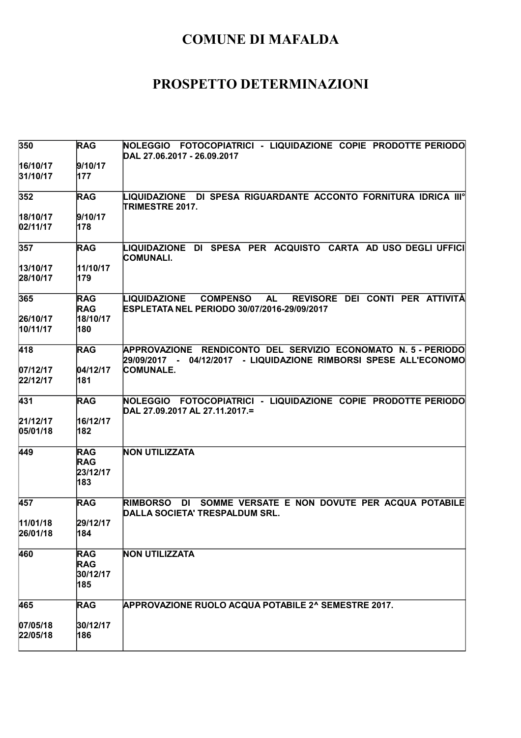| 350                  | <b>RAG</b>                                  | NOLEGGIO FOTOCOPIATRICI - LIQUIDAZIONE COPIE PRODOTTE PERIODO<br>DAL 27.06.2017 - 26.09.2017                                          |
|----------------------|---------------------------------------------|---------------------------------------------------------------------------------------------------------------------------------------|
| 16/10/17<br>31/10/17 | 9/10/17<br>177                              |                                                                                                                                       |
| 352                  | <b>RAG</b>                                  | LIQUIDAZIONE DI SPESA RIGUARDANTE ACCONTO FORNITURA IDRICA IIIº<br>TRIMESTRE 2017.                                                    |
| 18/10/17<br>02/11/17 | 9/10/17<br>178                              |                                                                                                                                       |
| 357                  | <b>RAG</b>                                  | LIQUIDAZIONE DI SPESA PER ACQUISTO CARTA AD USO DEGLI UFFICI<br>COMUNALI.                                                             |
| 13/10/17<br>28/10/17 | 11/10/17<br>179                             |                                                                                                                                       |
| 365                  | <b>RAG</b><br><b>RAG</b>                    | REVISORE DEI CONTI PER ATTIVITÀ<br>LIQUIDAZIONE<br><b>COMPENSO</b><br><b>AL</b><br>ESPLETATA NEL PERIODO 30/07/2016-29/09/2017        |
| 26/10/17<br>10/11/17 | 18/10/17<br>180                             |                                                                                                                                       |
| 418                  | <b>RAG</b>                                  | APPROVAZIONE RENDICONTO DEL SERVIZIO ECONOMATO N. 5 - PERIODO<br>04/12/2017 - LIQUIDAZIONE RIMBORSI SPESE ALL'ECONOMO<br>29/09/2017 - |
| 07/12/17<br>22/12/17 | 04/12/17<br>181                             | <b>COMUNALE.</b>                                                                                                                      |
| 431                  | <b>RAG</b>                                  | NOLEGGIO FOTOCOPIATRICI - LIQUIDAZIONE COPIE PRODOTTE PERIODO<br>DAL 27.09.2017 AL 27.11.2017.=                                       |
| 21/12/17<br>05/01/18 | 16/12/17<br>182                             |                                                                                                                                       |
| 449                  | <b>RAG</b><br><b>RAG</b><br>23/12/17<br>183 | <b>NON UTILIZZATA</b>                                                                                                                 |
| 457                  | <b>RAG</b>                                  | SOMME VERSATE E NON DOVUTE PER ACQUA POTABILE<br><b>RIMBORSO</b><br>DI<br>DALLA SOCIETA' TRESPALDUM SRL.                              |
| 11/01/18<br>26/01/18 | 29/12/17<br> 184                            |                                                                                                                                       |
| 460                  | <b>RAG</b><br><b>RAG</b><br>30/12/17<br>185 | <b>NON UTILIZZATA</b>                                                                                                                 |
| 465                  | <b>RAG</b>                                  | <b>APPROVAZIONE RUOLO ACQUA POTABILE 2^ SEMESTRE 2017.</b>                                                                            |
| 07/05/18<br>22/05/18 | 30/12/17<br>186                             |                                                                                                                                       |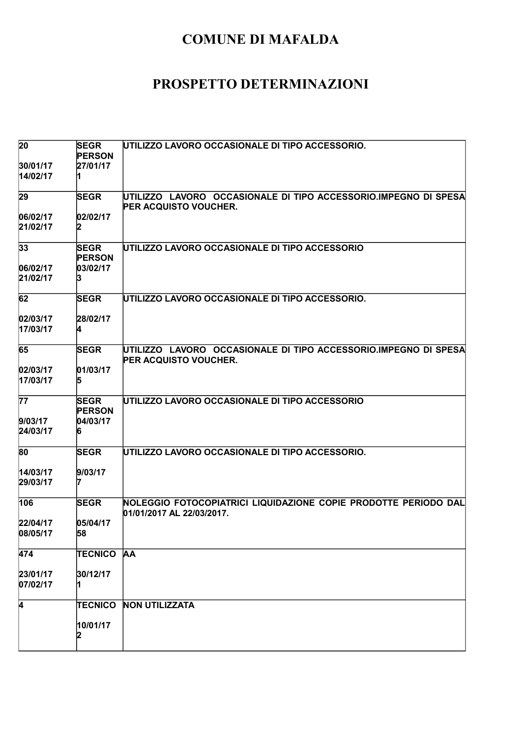| 20                   | <b>SEGR</b><br><b>PERSON</b> | UTILIZZO LAVORO OCCASIONALE DI TIPO ACCESSORIO.                                                 |
|----------------------|------------------------------|-------------------------------------------------------------------------------------------------|
| 30/01/17<br>14/02/17 | 27/01/17                     |                                                                                                 |
| 29                   | <b>SEGR</b>                  | UTILIZZO LAVORO OCCASIONALE DI TIPO ACCESSORIO.IMPEGNO DI SPESA                                 |
|                      |                              | <b>PER ACQUISTO VOUCHER.</b>                                                                    |
| 06/02/17<br>21/02/17 | 02/02/17                     |                                                                                                 |
| 33                   | <b>SEGR</b><br><b>PERSON</b> | UTILIZZO LAVORO OCCASIONALE DI TIPO ACCESSORIO                                                  |
| 06/02/17<br>21/02/17 | 03/02/17                     |                                                                                                 |
| 62                   | <b>SEGR</b>                  | UTILIZZO LAVORO OCCASIONALE DI TIPO ACCESSORIO.                                                 |
| 02/03/17<br>17/03/17 | 28/02/17                     |                                                                                                 |
| 65                   | <b>SEGR</b>                  | UTILIZZO LAVORO OCCASIONALE DI TIPO ACCESSORIO.IMPEGNO DI SPESA<br><b>PER ACQUISTO VOUCHER.</b> |
| 02/03/17             | 01/03/17                     |                                                                                                 |
| 17/03/17             | 15                           |                                                                                                 |
| 77                   | <b>SEGR</b><br><b>PERSON</b> | UTILIZZO LAVORO OCCASIONALE DI TIPO ACCESSORIO                                                  |
| 9/03/17              | 04/03/17                     |                                                                                                 |
| 24/03/17             |                              |                                                                                                 |
| 80                   | <b>SEGR</b>                  | UTILIZZO LAVORO OCCASIONALE DI TIPO ACCESSORIO.                                                 |
| 14/03/17             | 9/03/17                      |                                                                                                 |
| 29/03/17             |                              |                                                                                                 |
| 106                  | <b>SEGR</b>                  | NOLEGGIO FOTOCOPIATRICI LIQUIDAZIONE COPIE PRODOTTE PERIODO DAL<br>01/01/2017 AL 22/03/2017.    |
| 22/04/17             | 05/04/17                     |                                                                                                 |
| 08/05/17             | 58                           |                                                                                                 |
| 474                  | <b>TECNICO</b>               | <b>AA</b>                                                                                       |
| 23/01/17<br>07/02/17 | 30/12/17                     |                                                                                                 |
| 4                    | <b>TECNICO</b>               | <b>NON UTILIZZATA</b>                                                                           |
|                      | 10/01/17<br>12               |                                                                                                 |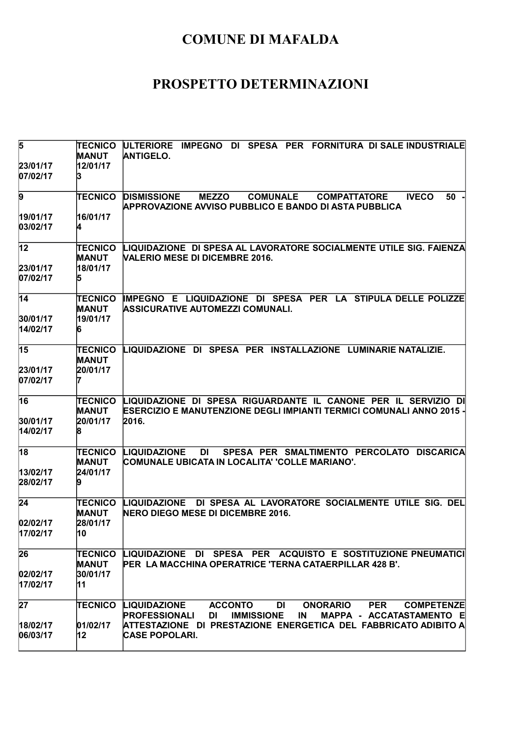| 5                    | <b>TECNICO</b><br>MANUT | ULTERIORE IMPEGNO DI SPESA PER FORNITURA DI SALE INDUSTRIALE<br><b>ANTIGELO.</b>                                                                                                               |
|----------------------|-------------------------|------------------------------------------------------------------------------------------------------------------------------------------------------------------------------------------------|
| 23/01/17<br>07/02/17 | 12/01/17<br>ß.          |                                                                                                                                                                                                |
| $\overline{9}$       | <b>TECNICO</b>          | <b>DISMISSIONE</b><br><b>MEZZO</b><br><b>COMUNALE</b><br><b>IVECO</b><br>50<br><b>COMPATTATORE</b><br><b>APPROVAZIONE AVVISO PUBBLICO E BANDO DI ASTA PUBBLICA</b>                             |
| 19/01/17<br>03/02/17 | 16/01/17<br>14          |                                                                                                                                                                                                |
| $ 12\rangle$         | TECNICO<br>MANUT        | LIQUIDAZIONE DI SPESA AL LAVORATORE SOCIALMENTE UTILE SIG. FAIENZA<br><b>VALERIO MESE DI DICEMBRE 2016.</b>                                                                                    |
| 23/01/17<br>07/02/17 | 18/01/17<br>15          |                                                                                                                                                                                                |
| $\overline{14}$      | <b>TECNICO</b><br>MANUT | IMPEGNO E LIQUIDAZIONE DI SPESA PER LA STIPULA DELLE POLIZZE<br>ASSICURATIVE AUTOMEZZI COMUNALI.                                                                                               |
| 30/01/17<br>14/02/17 | 19/01/17<br>6           |                                                                                                                                                                                                |
| 15                   | TECNICO<br>MANUT        | LIQUIDAZIONE DI SPESA PER INSTALLAZIONE LUMINARIENATALIZIE.                                                                                                                                    |
| 23/01/17<br>07/02/17 | 20/01/17                |                                                                                                                                                                                                |
| 16                   | TECNICO<br>MANUT        | LIQUIDAZIONE DI SPESA RIGUARDANTE IL CANONE PER IL SERVIZIO DI<br><b>ESERCIZIO E MANUTENZIONE DEGLI IMPIANTI TERMICI COMUNALI ANNO 2015 -</b>                                                  |
| 30/01/17<br>14/02/17 | 20/01/17                | 2016.                                                                                                                                                                                          |
| $\overline{18}$      | <b>TECNICO</b><br>MANUT | SPESA PER SMALTIMENTO PERCOLATO DISCARICA<br>LIQUIDAZIONE<br>DI -<br>COMUNALE UBICATA IN LOCALITA' 'COLLE MARIANO'.                                                                            |
| 13/02/17<br>28/02/17 | 24/01/17                |                                                                                                                                                                                                |
| 24                   | TECNICO<br>MANUT        | DI SPESA AL LAVORATORE SOCIALMENTE UTILE SIG. DEL<br>LIQUIDAZIONE<br>NERO DIEGO MESE DI DICEMBRE 2016.                                                                                         |
| 02/02/17<br>17/02/17 | 28/01/17<br>n u         |                                                                                                                                                                                                |
| 26                   | <b>TECNICO</b><br>MANUT | LIQUIDAZIONE DI SPESA PER ACQUISTO E SOSTITUZIONE PNEUMATICI<br>PER LA MACCHINA OPERATRICE 'TERNA CATAERPILLAR 428 B'.                                                                         |
| 02/02/17<br>17/02/17 | 30/01/17<br>11          |                                                                                                                                                                                                |
| 27                   | TECNICO                 | <b>LIQUIDAZIONE</b><br><b>ACCONTO</b><br><b>ONORARIO</b><br><b>PER</b><br>DI<br><b>COMPETENZE</b><br><b>PROFESSIONALI</b><br><b>DI</b><br><b>IMMISSIONE</b><br>IN.<br>MAPPA - ACCATASTAMENTO E |
| 18/02/17<br>06/03/17 | 01/02/17<br>12          | ATTESTAZIONE DI PRESTAZIONE ENERGETICA DEL FABBRICATO ADIBITO A<br><b>CASE POPOLARI.</b>                                                                                                       |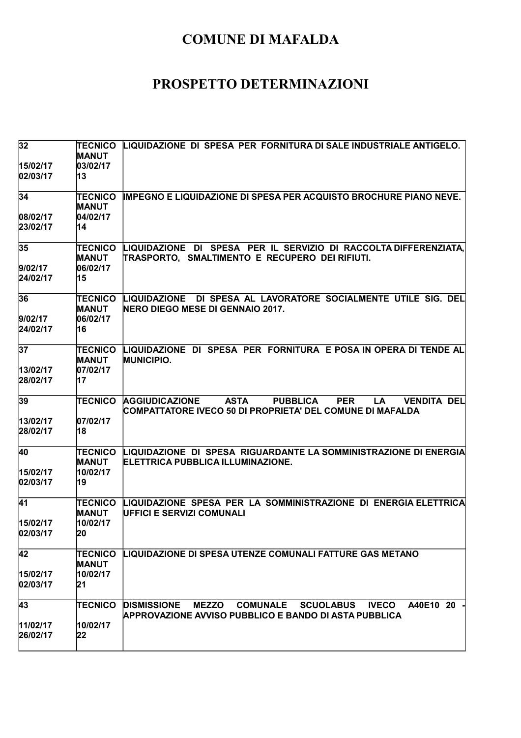| 32                   | TECNICO<br><b>MANUT</b>        | LIQUIDAZIONE DI SPESA PER FORNITURA DI SALE INDUSTRIALE ANTIGELO.                                                                                                      |
|----------------------|--------------------------------|------------------------------------------------------------------------------------------------------------------------------------------------------------------------|
| 15/02/17<br>02/03/17 | 03/02/17<br>13                 |                                                                                                                                                                        |
| 34                   | TECNICO<br><b>MANUT</b>        | <b>IMPEGNO E LIQUIDAZIONE DI SPESA PER ACQUISTO BROCHURE PIANO NEVE.</b>                                                                                               |
| 08/02/17             | 04/02/17                       |                                                                                                                                                                        |
| 23/02/17             | 14                             |                                                                                                                                                                        |
| 35                   | TECNICO<br>MANUT               | LIQUIDAZIONE DI SPESA PER IL SERVIZIO DI RACCOLTA DIFFERENZIATA.<br>TRASPORTO, SMALTIMENTO E RECUPERO DEI RIFIUTI.                                                     |
| 9/02/17<br>24/02/17  | 06/02/17<br>15                 |                                                                                                                                                                        |
| 36                   | <b>TECNICO</b><br><b>MANUT</b> | LIQUIDAZIONE DI SPESA AL LAVORATORE SOCIALMENTE UTILE SIG. DEL<br>NERO DIEGO MESE DI GENNAIO 2017.                                                                     |
| 9/02/17              | 06/02/17                       |                                                                                                                                                                        |
| 24/02/17             | 16                             |                                                                                                                                                                        |
| 37                   | <b>TECNICO</b><br>MANUT        | LIQUIDAZIONE DI SPESA PER FORNITURA E POSA IN OPERA DI TENDE AL<br><b>MUNICIPIO.</b>                                                                                   |
| 13/02/17             | 07/02/17                       |                                                                                                                                                                        |
| 28/02/17             | 17                             |                                                                                                                                                                        |
| 39                   | <b>TECNICO</b>                 | <b>ASTA</b><br><b>PUBBLICA</b><br><b>AGGIUDICAZIONE</b><br><b>PER</b><br><b>LA</b><br><b>VENDITA DEL</b><br>COMPATTATORE IVECO 50 DI PROPRIETA' DEL COMUNE DI MAFALDA  |
| 13/02/17             | 07/02/17                       |                                                                                                                                                                        |
| 28/02/17             | 18                             |                                                                                                                                                                        |
| 40                   | <b>TECNICO</b><br>MANUT        | LIQUIDAZIONE DI SPESA RIGUARDANTE LA SOMMINISTRAZIONE DI ENERGIA<br>ELETTRICA PUBBLICA ILLUMINAZIONE.                                                                  |
| 15/02/17             | 10/02/17                       |                                                                                                                                                                        |
| 02/03/17             | 19                             |                                                                                                                                                                        |
| 41                   | TECNICO<br>MANUT               | LIQUIDAZIONE SPESA PER LA SOMMINISTRAZIONE DI ENERGIA ELETTRICA<br>UFFICI E SERVIZI COMUNALI                                                                           |
| 15/02/17             | 10/02/17                       |                                                                                                                                                                        |
| 02/03/17             | 20                             |                                                                                                                                                                        |
| 42                   | TECNICO<br><b>MANUT</b>        | <b>LIQUIDAZIONE DI SPESA UTENZE COMUNALI FATTURE GAS METANO</b>                                                                                                        |
| 15/02/17             | 10/02/17                       |                                                                                                                                                                        |
| 02/03/17             | 21                             |                                                                                                                                                                        |
| 43                   | TECNICO                        | <b>DISMISSIONE</b><br><b>MEZZO</b><br><b>COMUNALE</b><br><b>SCUOLABUS</b><br><b>IVECO</b><br>A40E10 20<br><b>APPROVAZIONE AVVISO PUBBLICO E BANDO DI ASTA PUBBLICA</b> |
| 11/02/17             | 10/02/17                       |                                                                                                                                                                        |
| 26/02/17             | 22                             |                                                                                                                                                                        |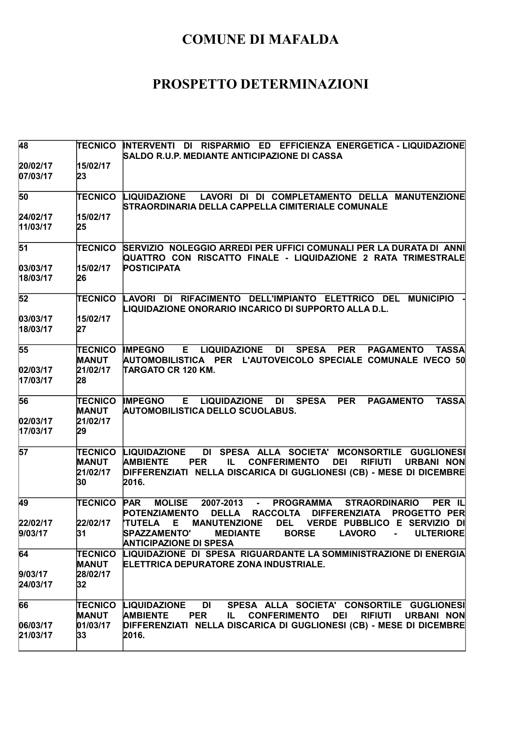| 48                        | <b>TECNICO</b>                            | INTERVENTI DI RISPARMIO ED EFFICIENZA ENERGETICA - LIQUIDAZIONE<br>SALDO R.U.P. MEDIANTE ANTICIPAZIONE DI CASSA                                                                                                                                                          |
|---------------------------|-------------------------------------------|--------------------------------------------------------------------------------------------------------------------------------------------------------------------------------------------------------------------------------------------------------------------------|
| 20/02/17<br>07/03/17      | 15/02/17<br>23                            |                                                                                                                                                                                                                                                                          |
| 50                        | <b>TECNICO</b>                            | LIQUIDAZIONE LAVORI DI DI COMPLETAMENTO DELLA MANUTENZIONE<br>STRAORDINARIA DELLA CAPPELLA CIMITERIALE COMUNALE                                                                                                                                                          |
| 24/02/17<br>11/03/17      | 15/02/17<br>25                            |                                                                                                                                                                                                                                                                          |
| 51                        | <b>TECNICO</b>                            | SERVIZIO NOLEGGIO ARREDI PER UFFICI COMUNALI PER LA DURATA DI ANNI<br>QUATTRO CON RISCATTO FINALE - LIQUIDAZIONE 2 RATA TRIMESTRALE                                                                                                                                      |
| 03/03/17<br>18/03/17      | 15/02/17<br>26                            | <b>POSTICIPATA</b>                                                                                                                                                                                                                                                       |
| 52                        | <b>TECNICO</b>                            | LAVORI DI RIFACIMENTO DELL'IMPIANTO ELETTRICO DEL<br><b>MUNICIPIO</b><br>LIQUIDAZIONE ONORARIO INCARICO DI SUPPORTO ALLA D.L.                                                                                                                                            |
| 03/03/17<br>18/03/17      | 15/02/17<br>27                            |                                                                                                                                                                                                                                                                          |
| 55                        | TECNICO<br>MANUT                          | <b>IMPEGNO</b><br>E LIQUIDAZIONE DI<br><b>SPESA</b><br><b>PER</b><br><b>PAGAMENTO</b><br><b>TASSA</b><br>AUTOMOBILISTICA PER L'AUTOVEICOLO SPECIALE COMUNALE IVECO 50                                                                                                    |
| 02/03/17<br>17/03/17      | 21/02/17<br>28                            | TARGATO CR 120 KM.                                                                                                                                                                                                                                                       |
| 56<br>02/03/17            | TECNICO<br><b>MANUT</b><br>21/02/17       | E LIQUIDAZIONE<br><b>DI</b><br><b>SPESA</b><br><b>PER</b><br><b>PAGAMENTO</b><br><b>TASSA</b><br><b>IMPEGNO</b><br><b>AUTOMOBILISTICA DELLO SCUOLABUS.</b>                                                                                                               |
| 17/03/17                  | 29                                        |                                                                                                                                                                                                                                                                          |
| 57                        | <b>TECNICO</b><br>MANUT<br>21/02/17<br>30 | DI SPESA ALLA SOCIETA' MCONSORTILE GUGLIONESI<br><b>LIQUIDAZIONE</b><br><b>AMBIENTE</b><br><b>CONFERIMENTO</b><br><b>DEI</b><br><b>PER</b><br>IL.<br><b>RIFIUTI</b><br><b>URBANI NON</b><br>DIFFERENZIATI NELLA DISCARICA DI GUGLIONESI (CB) - MESE DI DICEMBRE<br>2016. |
| 49                        | <b>TECNICO</b>                            | <b>PAR</b><br><b>MOLISE</b><br>2007-2013<br><b>PROGRAMMA</b><br><b>STRAORDINARIO</b><br>PER IL<br><b>POTENZIAMENTO</b><br><b>DELLA</b><br><b>RACCOLTA</b><br><b>DIFFERENZIATA</b><br><b>PROGETTO PER</b>                                                                 |
| 22/02/17<br>9/03/17       | 22/02/17<br> 31                           | VERDE PUBBLICO E SERVIZIO DI<br>'TUTELA<br><b>MANUTENZIONE</b><br>DEL<br>Е<br>SPAZZAMENTO' MEDIANTE<br><b>BORSE</b><br><b>LAVORO</b><br><b>ULTERIORE</b><br><b>ANTICIPAZIONE DI SPESA</b>                                                                                |
| 64<br>9/03/17<br>24/03/17 | TECNICO<br><b>MANUT</b><br>28/02/17<br>32 | LIQUIDAZIONE DI SPESA RIGUARDANTE LA SOMMINISTRAZIONE DI ENERGIA<br><b>ELETTRICA DEPURATORE ZONA INDUSTRIALE.</b>                                                                                                                                                        |
| 66<br>06/03/17            | TECNICO<br><b>MANUT</b><br>01/03/17       | <b>LIQUIDAZIONE</b><br>SPESA ALLA SOCIETA' CONSORTILE GUGLIONESI<br>DI<br><b>AMBIENTE</b><br><b>PER</b><br><b>CONFERIMENTO</b><br><b>DEI</b><br><b>RIFIUTI</b><br><b>URBANI NON</b><br>IL.<br>DIFFERENZIATI NELLA DISCARICA DI GUGLIONESI (CB) - MESE DI DICEMBRE        |
| 21/03/17                  | 33                                        | 2016.                                                                                                                                                                                                                                                                    |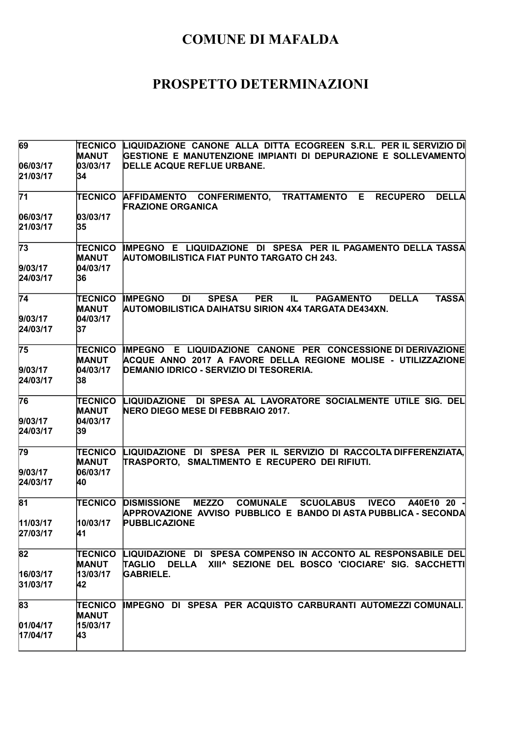| 69                   | <b>TECNICO</b>                 | LIQUIDAZIONE CANONE ALLA DITTA ECOGREEN S.R.L. PER IL SERVIZIO DI                                                                                                         |
|----------------------|--------------------------------|---------------------------------------------------------------------------------------------------------------------------------------------------------------------------|
|                      | <b>MANUT</b>                   | GESTIONE E MANUTENZIONE IMPIANTI DI DEPURAZIONE E SOLLEVAMENTO                                                                                                            |
| 06/03/17<br>21/03/17 | 03/03/17<br>34                 | DELLE ACQUE REFLUE URBANE.                                                                                                                                                |
|                      |                                |                                                                                                                                                                           |
| $\overline{71}$      | TECNICO                        | AFFIDAMENTO CONFERIMENTO,<br>TRATTAMENTO E<br><b>RECUPERO</b><br><b>DELLA</b><br><b>FRAZIONE ORGANICA</b>                                                                 |
| 06/03/17             | 03/03/17                       |                                                                                                                                                                           |
| 21/03/17             | 35                             |                                                                                                                                                                           |
| 73                   | <b>TECNICO</b><br><b>MANUT</b> | IMPEGNO E LIQUIDAZIONE DI SPESA PER IL PAGAMENTO DELLA TASSA<br>AUTOMOBILISTICA FIAT PUNTO TARGATO CH 243.                                                                |
| 9/03/17              | 04/03/17                       |                                                                                                                                                                           |
| 24/03/17             | 36                             |                                                                                                                                                                           |
| $\overline{74}$      | TECNICO                        | <b>TASSA</b><br><b>IMPEGNO</b><br><b>DI</b><br><b>SPESA</b><br><b>PER</b><br><b>PAGAMENTO</b><br><b>DELLA</b><br>IL.                                                      |
|                      | <b>MANUT</b>                   | AUTOMOBILISTICA DAIHATSU SIRION 4X4 TARGATA DE434XN.                                                                                                                      |
| 9/03/17              | 04/03/17                       |                                                                                                                                                                           |
| 24/03/17             | 37                             |                                                                                                                                                                           |
| 75                   | TECNICO                        | IMPEGNO E LIQUIDAZIONE CANONE PER CONCESSIONE DI DERIVAZIONE                                                                                                              |
|                      | <b>MANUT</b>                   | ACQUE ANNO 2017 A FAVORE DELLA REGIONE MOLISE - UTILIZZAZIONE                                                                                                             |
| 9/03/17              | 04/03/17                       | DEMANIO IDRICO - SERVIZIO DI TESORERIA.                                                                                                                                   |
| 24/03/17             | 38                             |                                                                                                                                                                           |
| 76                   | TECNICO                        | LIQUIDAZIONE DI SPESA AL LAVORATORE SOCIALMENTE UTILE SIG. DEL                                                                                                            |
|                      | <b>MANUT</b>                   | NERO DIEGO MESE DI FEBBRAIO 2017.                                                                                                                                         |
| 9/03/17              | 04/03/17                       |                                                                                                                                                                           |
| 24/03/17             | 39                             |                                                                                                                                                                           |
| $\overline{79}$      | <b>TECNICO</b>                 | LIQUIDAZIONE DI SPESA PER IL SERVIZIO DI RACCOLTA DIFFERENZIATA,                                                                                                          |
| 9/03/17              | <b>MANUT</b><br>06/03/17       | TRASPORTO, SMALTIMENTO E RECUPERO DEI RIFIUTI.                                                                                                                            |
| 24/03/17             | 40                             |                                                                                                                                                                           |
|                      |                                |                                                                                                                                                                           |
| 81                   | <b>TECNICO</b>                 | <b>MEZZO</b><br><b>COMUNALE</b><br><b>SCUOLABUS</b><br><b>IVECO</b><br><b>DISMISSIONE</b><br>A40E10 20<br>APPROVAZIONE AVVISO PUBBLICO E BANDO DI ASTA PUBBLICA - SECONDA |
| 11/03/17             | 10/03/17                       | <b>PUBBLICAZIONE</b>                                                                                                                                                      |
| 27/03/17             | 41                             |                                                                                                                                                                           |
| 82                   | TECNICO                        | LIQUIDAZIONE DI SPESA COMPENSO IN ACCONTO AL RESPONSABILE DEL                                                                                                             |
|                      | <b>MANUT</b>                   | XIII^ SEZIONE DEL BOSCO 'CIOCIARE' SIG. SACCHETTI<br><b>TAGLIO</b><br>DELLA                                                                                               |
| 16/03/17             | 13/03/17                       | <b>GABRIELE.</b>                                                                                                                                                          |
| 31/03/17             | 42                             |                                                                                                                                                                           |
| 83                   | <b>TECNICO</b>                 | IMPEGNO DI SPESA PER ACQUISTO CARBURANTI AUTOMEZZI COMUNALI.                                                                                                              |
|                      | <b>MANUT</b>                   |                                                                                                                                                                           |
| 01/04/17             | 15/03/17                       |                                                                                                                                                                           |
| 17/04/17             | 43                             |                                                                                                                                                                           |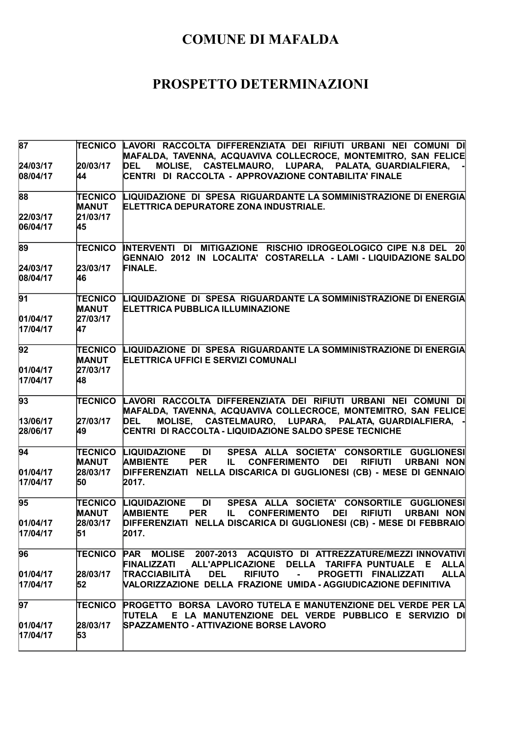| 87                   |                                | (TECNICO LAVORI RACCOLTA DIFFERENZIATA DEI RIFIUTI URBANI NEI COMUNI DI<br>MAFALDA, TAVENNA, ACQUAVIVA COLLECROCE, MONTEMITRO, SAN FELICE                                                  |
|----------------------|--------------------------------|--------------------------------------------------------------------------------------------------------------------------------------------------------------------------------------------|
| 24/03/17<br>08/04/17 | 20/03/17<br>44                 | MOLISE, CASTELMAURO, LUPARA, PALATA, GUARDIALFIERA,<br><b>DEL</b><br>CENTRI DI RACCOLTA - APPROVAZIONE CONTABILITA' FINALE                                                                 |
| 88                   | <b>TECNICO</b><br><b>MANUT</b> | LIQUIDAZIONE DI SPESA RIGUARDANTE LA SOMMINISTRAZIONE DI ENERGIA<br>ELETTRICA DEPURATORE ZONA INDUSTRIALE.                                                                                 |
| 22/03/17             | 21/03/17                       |                                                                                                                                                                                            |
| 06/04/17             | 45                             |                                                                                                                                                                                            |
| 89                   | <b>TECNICO</b>                 | INTERVENTI DI MITIGAZIONE RISCHIO IDROGEOLOGICO CIPE N.8 DEL 20<br>GENNAIO 2012 IN LOCALITA' COSTARELLA - LAMI - LIQUIDAZIONE SALDO                                                        |
| 24/03/17             | 23/03/17                       | <b>FINALE.</b>                                                                                                                                                                             |
| 08/04/17             | 46                             |                                                                                                                                                                                            |
| 91                   | <b>TECNICO</b><br><b>MANUT</b> | LIQUIDAZIONE DI SPESA RIGUARDANTE LA SOMMINISTRAZIONE DI ENERGIA<br><b>ELETTRICA PUBBLICA ILLUMINAZIONE</b>                                                                                |
| 01/04/17             | 27/03/17                       |                                                                                                                                                                                            |
| 17/04/17             | 47                             |                                                                                                                                                                                            |
| 92                   | <b>TECNICO</b><br><b>MANUT</b> | LIQUIDAZIONE DI SPESA RIGUARDANTE LA SOMMINISTRAZIONE DI ENERGIA<br>ELETTRICA UFFICI E SERVIZI COMUNALI                                                                                    |
| 01/04/17             | 27/03/17                       |                                                                                                                                                                                            |
| 17/04/17             | 48                             |                                                                                                                                                                                            |
| 93                   | <b>TECNICO</b>                 | LAVORI RACCOLTA DIFFERENZIATA DEI RIFIUTI URBANI NEI COMUNI DI<br>MAFALDA, TAVENNA, ACQUAVIVA COLLECROCE, MONTEMITRO, SAN FELICE                                                           |
| 13/06/17<br>28/06/17 | 27/03/17<br>49                 | MOLISE, CASTELMAURO, LUPARA, PALATA, GUARDIALFIERA, -<br><b>DEL</b><br>CENTRI DI RACCOLTA - LIQUIDAZIONE SALDO SPESE TECNICHE                                                              |
| 94                   | <b>TECNICO</b><br><b>MANUT</b> | <b>LIQUIDAZIONE</b><br>DI<br>SPESA ALLA SOCIETA' CONSORTILE GUGLIONESI<br><b>AMBIENTE</b><br><b>PER</b><br><b>CONFERIMENTO</b><br><b>DEI</b><br><b>RIFIUTI</b><br><b>URBANI NON</b><br>IL. |
| 01/04/17             | 28/03/17                       | DIFFERENZIATI NELLA DISCARICA DI GUGLIONESI (CB) - MESE DI GENNAIO                                                                                                                         |
| 17/04/17             | 50                             | 2017.                                                                                                                                                                                      |
| 95                   | <b>TECNICO</b><br><b>MANUT</b> | LIQUIDAZIONE<br><b>DI</b><br>SPESA ALLA SOCIETA' CONSORTILE GUGLIONESI<br><b>PER</b><br><b>AMBIENTE</b><br>IL.<br><b>CONFERIMENTO</b><br><b>DEI</b><br><b>RIFIUTI</b><br><b>URBANI NON</b> |
| 01/04/17             | 28/03/17                       | DIFFERENZIATI NELLA DISCARICA DI GUGLIONESI (CB) - MESE DI FEBBRAIO                                                                                                                        |
| 17/04/17             | 51                             | 2017.                                                                                                                                                                                      |
| 96                   | <b>TECNICO</b>                 | PAR MOLISE 2007-2013 ACQUISTO DI ATTREZZATURE/MEZZI INNOVATIVI<br>FINALIZZATI ALL'APPLICAZIONE DELLA TARIFFA-PUNTUALE E ALLA                                                               |
| 01/04/17             | 28/03/17                       | <b>TRACCIABILITÀ</b><br><b>DEL</b><br><b>RIFIUTO</b><br>PROGETTI FINALIZZATI<br><b>ALLA</b><br>$\mathbf{r}$                                                                                |
| 17/04/17             | 52                             | VALORIZZAZIONE DELLA FRAZIONE UMIDA - AGGIUDICAZIONE DEFINITIVA                                                                                                                            |
| 97                   | <b>TECNICO</b>                 | <b>PROGETTO BORSA LAVORO TUTELA E MANUTENZIONE DEL VERDE PER LA</b><br>TUTELA E LA MANUTENZIONE DEL VERDE PUBBLICO E SERVIZIO DI                                                           |
| 01/04/17             | 28/03/17                       | SPAZZAMENTO - ATTIVAZIONE BORSE LAVORO                                                                                                                                                     |
| 17/04/17             | 53                             |                                                                                                                                                                                            |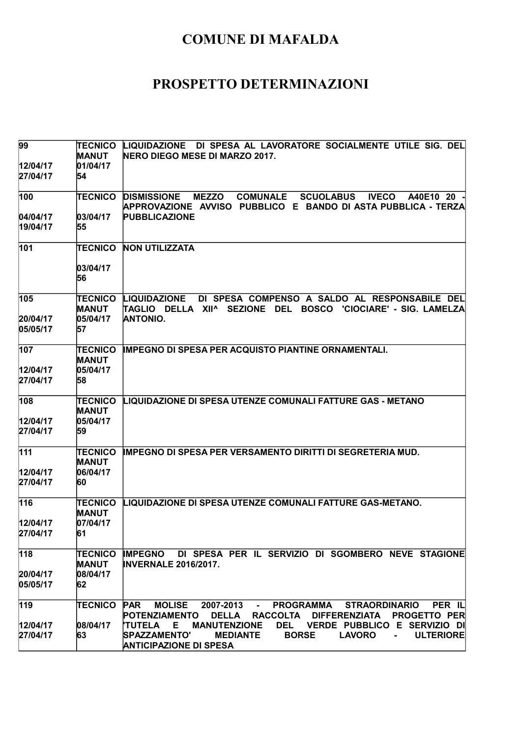| 99                   | <b>TECNICO</b><br><b>MANUT</b> | LIQUIDAZIONE DI SPESA AL LAVORATORE SOCIALMENTE UTILE SIG. DEL<br>NERO DIEGO MESE DI MARZO 2017.                                                                        |
|----------------------|--------------------------------|-------------------------------------------------------------------------------------------------------------------------------------------------------------------------|
| 12/04/17             | 01/04/17                       |                                                                                                                                                                         |
| 27/04/17             | 54                             |                                                                                                                                                                         |
|                      |                                |                                                                                                                                                                         |
| 100                  | <b>TECNICO</b>                 | <b>DISMISSIONE</b><br><b>MEZZO</b><br><b>COMUNALE</b><br><b>SCUOLABUS</b><br><b>IVECO</b><br>A40E10 20<br>APPROVAZIONE AVVISO PUBBLICO E BANDO DI ASTA-PUBBLICA - TERZA |
| 04/04/17             | 03/04/17                       | <b>PUBBLICAZIONE</b>                                                                                                                                                    |
| 19/04/17             | 55                             |                                                                                                                                                                         |
| 101                  | <b>TECNICO</b>                 | <b>NON UTILIZZATA</b>                                                                                                                                                   |
|                      | 03/04/17<br>56                 |                                                                                                                                                                         |
| 105                  | <b>TECNICO</b><br><b>MANUT</b> | DI SPESA COMPENSO A SALDO AL RESPONSABILE DEL<br><b>LIQUIDAZIONE</b><br>ITAGLIO DELLA XII^ SEZIONE<br><b>BOSCO</b><br>DEL<br>'CIOCIARE' - SIG. LAMELZA                  |
| 20/04/17             | 05/04/17                       | <b>ANTONIO.</b>                                                                                                                                                         |
| 05/05/17             | 57                             |                                                                                                                                                                         |
| 107                  | TECNICO<br><b>MANUT</b>        | <b>IMPEGNO DI SPESA PER ACQUISTO PIANTINE ORNAMENTALI.</b>                                                                                                              |
| 12/04/17             | 05/04/17                       |                                                                                                                                                                         |
| 27/04/17             | 58                             |                                                                                                                                                                         |
| 108                  | <b>TECNICO</b><br><b>MANUT</b> | LIQUIDAZIONE DI SPESA UTENZE COMUNALI FATTURE GAS - METANO                                                                                                              |
| 12/04/17             | 05/04/17                       |                                                                                                                                                                         |
| 27/04/17             | 59                             |                                                                                                                                                                         |
| 111                  | <b>TECNICO</b><br><b>MANUT</b> | <b>IMPEGNO DI SPESA PER VERSAMENTO DIRITTI DI SEGRETERIA MUD.</b>                                                                                                       |
| 12/04/17             | 06/04/17                       |                                                                                                                                                                         |
| 27/04/17             | 60                             |                                                                                                                                                                         |
| 116                  | <b>TECNICO</b><br><b>MANUT</b> | LIQUIDAZIONE DI SPESA UTENZE COMUNALI FATTURE GAS-METANO.                                                                                                               |
| 12/04/17             | 07/04/17                       |                                                                                                                                                                         |
| 27/04/17             | 61                             |                                                                                                                                                                         |
| $\overline{118}$     | TECNICO                        | IMPEGNO DI SPESA PER IL SERVIZIO DI SGOMBERO NEVE STAGIONE                                                                                                              |
|                      | MANUT                          | <b>INVERNALE 2016/2017.</b>                                                                                                                                             |
| 20/04/17<br>05/05/17 | 08/04/17<br>62                 |                                                                                                                                                                         |
| 119                  | TECNICO                        | <b>PAR</b><br><b>MOLISE</b><br>2007-2013<br><b>PROGRAMMA</b><br>PER IL<br><b>STRAORDINARIO</b><br>$\sim 10^{-11}$                                                       |
|                      |                                | <b>POTENZIAMENTO</b><br><b>DELLA</b><br><b>RACCOLTA</b><br><b>DIFFERENZIATA</b><br><b>PROGETTO PER</b>                                                                  |
| 12/04/17             | 08/04/17                       | <b>MANUTENZIONE</b><br>DEL VERDE PUBBLICO E SERVIZIO DI<br><b>'TUTELA</b><br>Е.                                                                                         |
| 27/04/17             | 63                             | <b>SPAZZAMENTO'</b><br><b>MEDIANTE</b><br><b>BORSE</b><br><b>LAVORO</b><br><b>ULTERIORE</b><br>$\blacksquare$<br><b>ANTICIPAZIONE DI SPESA</b>                          |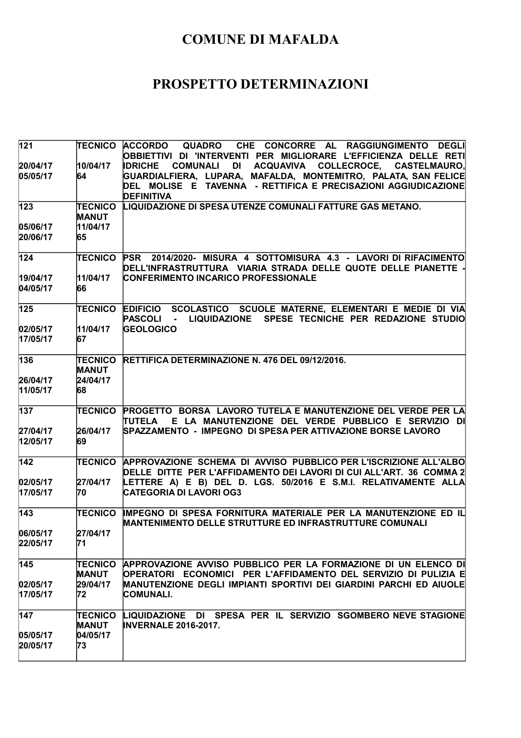| 121              |                | <b>TECNICO ACCORDO</b><br>CHE CONCORRE AL RAGGIUNGIMENTO DEGLI<br>QUADRO<br>OBBIETTIVI DI 'INTERVENTI PER MIGLIORARE L'EFFICIENZA DELLE RETI |
|------------------|----------------|----------------------------------------------------------------------------------------------------------------------------------------------|
| 20/04/17         | 10/04/17       | <b>COMUNALI</b><br>DI<br>ACQUAVIVA COLLECROCE, CASTELMAURO,<br><b>IDRICHE</b>                                                                |
| 05/05/17         | 64             | GUARDIALFIERA, LUPARA, MAFALDA, MONTEMITRO, PALATA, SAN FELICE                                                                               |
|                  |                | DEL MOLISE E TAVENNA - RETTIFICA E PRECISAZIONI AGGIUDICAZIONE                                                                               |
|                  |                | <b>DEFINITIVA</b>                                                                                                                            |
| 123              | <b>TECNICO</b> | LIQUIDAZIONE DI SPESA UTENZE COMUNALI FATTURE GAS METANO.                                                                                    |
|                  | <b>MANUT</b>   |                                                                                                                                              |
| 05/06/17         | 11/04/17       |                                                                                                                                              |
| 20/06/17         | 65             |                                                                                                                                              |
| 124              | <b>TECNICO</b> | PSR 2014/2020- MISURA 4 SOTTOMISURA 4.3 - LAVORI DI RIFACIMENTO                                                                              |
|                  |                | DELL'INFRASTRUTTURA VIARIA STRADA DELLE QUOTE DELLE PIANETTE ·                                                                               |
| 19/04/17         | 11/04/17       | CONFERIMENTO INCARICO PROFESSIONALE                                                                                                          |
| 04/05/17         | 66             |                                                                                                                                              |
| $\overline{1}25$ | <b>TECNICO</b> | EDIFICIO SCOLASTICO SCUOLE MATERNE, ELEMENTARI E MEDIE DI VIA                                                                                |
|                  |                | LIQUIDAZIONE SPESE TECNICHE PER REDAZIONE STUDIO<br>PASCOLI -                                                                                |
| 02/05/17         | 11/04/17       | <b>GEOLOGICO</b>                                                                                                                             |
| 17/05/17         | 67             |                                                                                                                                              |
| 136              | <b>TECNICO</b> | <b>RETTIFICA DETERMINAZIONE N. 476 DEL 09/12/2016.</b>                                                                                       |
|                  | <b>MANUT</b>   |                                                                                                                                              |
| 26/04/17         | 24/04/17       |                                                                                                                                              |
| 11/05/17         | 68             |                                                                                                                                              |
| 137              | <b>TECNICO</b> | PROGETTO BORSA LAVORO TUTELA E MANUTENZIONE DEL VERDE PER LA                                                                                 |
|                  |                | E LA MANUTENZIONE DEL VERDE PUBBLICO E SERVIZIO DI<br><b>TUTELA</b>                                                                          |
| 27/04/17         | 26/04/17       | SPAZZAMENTO - IMPEGNO DI SPESA PER ATTIVAZIONE BORSE LAVORO                                                                                  |
| 12/05/17         | 69             |                                                                                                                                              |
| $\overline{142}$ |                | TECNICO APPROVAZIONE SCHEMA DI AVVISO PUBBLICO PER L'ISCRIZIONE ALL'ALBO                                                                     |
|                  |                | DELLE DITTE PER L'AFFIDAMENTO DEI LAVORI DI CUI ALL'ART. 36 COMMA 2                                                                          |
| 02/05/17         | 27/04/17       | LETTERE A) E B) DEL D. LGS. 50/2016 E S.M.I. RELATIVAMENTE ALLA                                                                              |
| 17/05/17         | 70             | <b>CATEGORIA DI LAVORI OG3</b>                                                                                                               |
| 143              | <b>TECNICO</b> | IMPEGNO DI SPESA FORNITURA MATERIALE PER LA MANUTENZIONE ED IL                                                                               |
|                  |                | <b>MANTENIMENTO DELLE STRUTTURE ED INFRASTRUTTURE COMUNALI</b>                                                                               |
| 06/05/17         | 27/04/17       |                                                                                                                                              |
| 22/05/17         | 71             |                                                                                                                                              |
| 145              |                | ITECNICO APPROVAZIONE AVVISO PUBBLICO PER LA FORMAZIONE DI UN ELENCO DI                                                                      |
|                  | <b>MANUT</b>   | OPERATORI ECONOMICI PER L'AFFIDAMENTO DEL SERVIZIO DI PULIZIA E                                                                              |
| 02/05/17         | 29/04/17       | MANUTENZIONE DEGLI IMPIANTI SPORTIVI DEI GIARDINI PARCHI ED AIUOLE                                                                           |
| 17/05/17         | 72             | COMUNALI.                                                                                                                                    |
| 147              | <b>TECNICO</b> | LIQUIDAZIONE DI SPESA PER IL SERVIZIO SGOMBERO NEVE STAGIONE                                                                                 |
|                  | <b>MANUT</b>   | <b>INVERNALE 2016-2017.</b>                                                                                                                  |
| 05/05/17         | 04/05/17       |                                                                                                                                              |
| 20/05/17         | 73             |                                                                                                                                              |
|                  |                |                                                                                                                                              |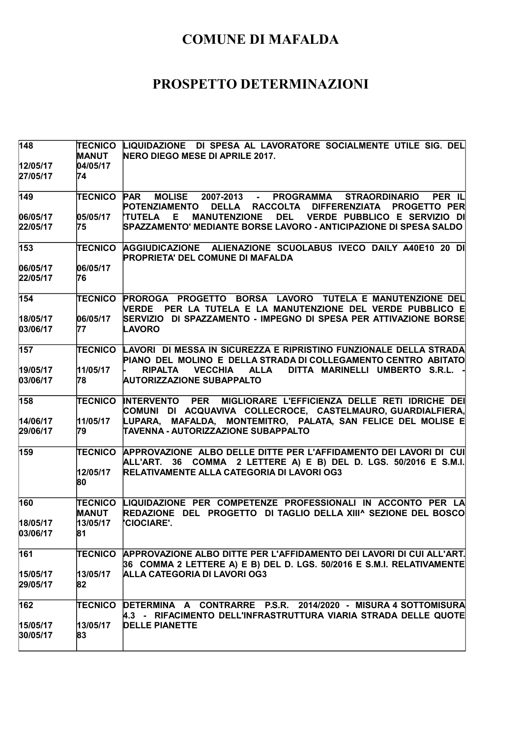| 148                  | <b>TECNICO</b><br><b>MANUT</b> | LIQUIDAZIONE DI SPESA AL LAVORATORE SOCIALMENTE UTILE SIG. DEL<br>NERO DIEGO MESE DI APRILE 2017.                                                              |
|----------------------|--------------------------------|----------------------------------------------------------------------------------------------------------------------------------------------------------------|
| 12/05/17<br>27/05/17 | 04/05/17<br>74                 |                                                                                                                                                                |
| 149                  | <b>TECNICO</b>                 | <b>PAR</b><br><b>MOLISE</b><br>2007-2013 - PROGRAMMA STRAORDINARIO<br>PER IL<br>POTENZIAMENTO<br>DELLA RACCOLTA<br><b>DIFFERENZIATA</b><br><b>PROGETTO PER</b> |
| 06/05/17<br>22/05/17 | 05/05/17<br>75                 | DEL VERDE PUBBLICO E SERVIZIO DI<br><b>'TUTELA E</b><br><b>MANUTENZIONE</b><br>SPAZZAMENTO' MEDIANTE BORSE LAVORO - ANTICIPAZIONE DI SPESA SALDO               |
| 153                  | <b>TECNICO</b>                 | AGGIUDICAZIONE ALIENAZIONE SCUOLABUS IVECO DAILY A40E10 20 DI<br><b>PROPRIETA' DEL COMUNE DI MAFALDA</b>                                                       |
| 06/05/17<br>22/05/17 | 06/05/17<br>76                 |                                                                                                                                                                |
| 154                  | TECNICO                        | PROROGA PROGETTO BORSA LAVORO TUTELA E MANUTENZIONE DEL<br>VERDE PER LA TUTELA E LA MANUTENZIONE DEL VERDE PUBBLICO E                                          |
| 18/05/17<br>03/06/17 | 06/05/17<br>77                 | SERVIZIO DI SPAZZAMENTO - IMPEGNO DI SPESA PER ATTIVAZIONE BORSE<br>LAVORO                                                                                     |
| 157                  | TECNICO                        | LAVORI DI MESSA IN SICUREZZA E RIPRISTINO FUNZIONALE DELLA STRADA<br>PIANO DEL MOLINO E DELLA STRADA DI COLLEGAMENTO CENTRO ABITATO                            |
| 19/05/17<br>03/06/17 | 11/05/17<br>78                 | VECCHIA<br><b>ALLA</b><br>DITTA MARINELLI UMBERTO S.R.L.<br><b>RIPALTA</b><br><b>AUTORIZZAZIONE SUBAPPALTO</b>                                                 |
| 158                  | <b>TECNICO</b>                 | <b>INTERVENTO PER</b><br>MIGLIORARE L'EFFICIENZA DELLE RETI IDRICHE DEI<br>COMUNI DI ACQUAVIVA COLLECROCE, CASTELMAURO, GUARDIALFIERA,                         |
| 14/06/17<br>29/06/17 | 11/05/17<br>79                 | LUPARA, MAFALDA, MONTEMITRO, PALATA, SAN FELICE DEL MOLISE E<br>TAVENNA - AUTORIZZAZIONE SUBAPPALTO                                                            |
| 159                  | <b>TECNICO</b>                 | APPROVAZIONE ALBO DELLE DITTE PER L'AFFIDAMENTO DEI LAVORI DI CUI<br>ALL'ART. 36 COMMA 2 LETTERE A) E B) DEL D. LGS. 50/2016 E S.M.I.                          |
|                      | 12/05/17<br>80                 | RELATIVAMENTE ALLA CATEGORIA DI LAVORI OG3                                                                                                                     |
| 160                  | <b>TECNICO</b><br><b>MANUT</b> | LIQUIDAZIONE PER COMPETENZE PROFESSIONALI IN ACCONTO PER LA<br>REDAZIONE DEL PROGETTO DI TAGLIO DELLA XIII^ SEZIONE DEL BOSCO                                  |
| 18/05/17<br>03/06/17 | 13/05/17<br>81                 | <b>'CIOCIARE'.</b>                                                                                                                                             |
| 161                  | TECNICO                        | APPROVAZIONE ALBO DITTE PER L'AFFIDAMENTO DEI LAVORI DI CUI ALL'ART.                                                                                           |
| 15/05/17<br>29/05/17 | 13/05/17<br>82                 | 36 COMMA 2 LETTERE A) E B) DEL D. LGS. 50/2016 E S.M.I. RELATIVAMENTE<br>ALLA CATEGORIA DI LAVORI OG3                                                          |
| 162                  | <b>TECNICO</b>                 | DETERMINA A CONTRARRE P.S.R. 2014/2020 - MISURA 4 SOTTOMISURA<br>4.3 - RIFACIMENTO DELL'INFRASTRUTTURA VIARIA STRADA DELLE QUOTE                               |
| 15/05/17<br>30/05/17 | 13/05/17<br>83                 | <b>DELLE PIANETTE</b>                                                                                                                                          |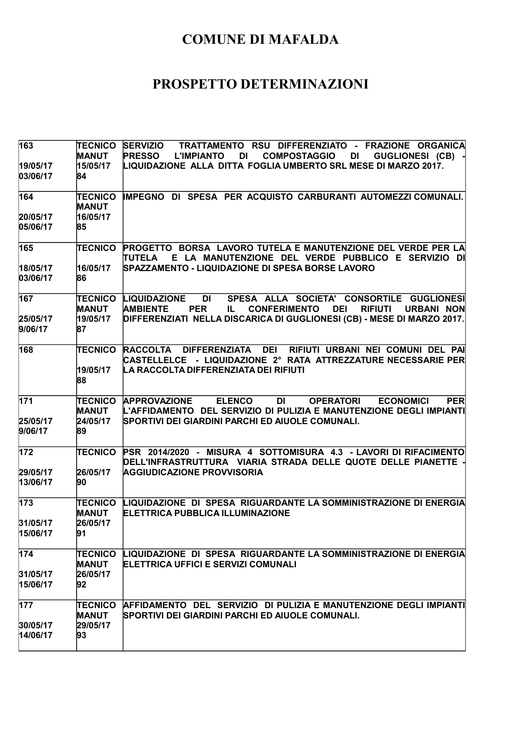| 163                  | <b>TECNICO</b><br><b>MANUT</b> | SERVIZIO TRATTAMENTO RSU DIFFERENZIATO - FRAZIONE ORGANICA<br><b>PRESSO</b><br><b>L'IMPIANTO</b><br><b>DI</b><br><b>COMPOSTAGGIO</b><br>GUGLIONESI (CB) -<br>DI                                   |
|----------------------|--------------------------------|---------------------------------------------------------------------------------------------------------------------------------------------------------------------------------------------------|
| 19/05/17<br>03/06/17 | 15/05/17<br>84                 | LIQUIDAZIONE ALLA DITTA FOGLIA UMBERTO SRL MESE DI MARZO 2017.                                                                                                                                    |
| 164                  | <b>TECNICO</b><br><b>MANUT</b> | IMPEGNO DI SPESA PER ACQUISTO CARBURANTI AUTOMEZZI COMUNALI.                                                                                                                                      |
| 20/05/17             | 16/05/17                       |                                                                                                                                                                                                   |
| 05/06/17             | 85                             |                                                                                                                                                                                                   |
| 165                  | <b>TECNICO</b>                 | PROGETTO BORSA LAVORO TUTELA E MANUTENZIONE DEL VERDE PER LA<br>E LA MANUTENZIONE DEL VERDE PUBBLICO E SERVIZIO DI<br><b>TUTELA</b>                                                               |
| 18/05/17<br>03/06/17 | 16/05/17<br>86                 | SPAZZAMENTO - LIQUIDAZIONE DI SPESA BORSE LAVORO                                                                                                                                                  |
| 167                  | TECNICO<br><b>MANUT</b>        | <b>DI</b><br>SPESA ALLA SOCIETA' CONSORTILE GUGLIONESI<br><b>LIQUIDAZIONE</b><br><b>CONFERIMENTO</b><br><b>DEI</b><br><b>RIFIUTI</b><br><b>URBANI NON</b><br><b>AMBIENTE</b><br><b>PER</b><br>IL. |
| 25/05/17             | 19/05/17                       | DIFFERENZIATI NELLA DISCARICA DI GUGLIONESI (CB) - MESE DI MARZO 2017.                                                                                                                            |
| 9/06/17              | 87                             |                                                                                                                                                                                                   |
| 168                  | <b>TECNICO</b>                 | RACCOLTA DIFFERENZIATA DEI RIFIUTI URBANI NEI COMUNI DEL PAI<br>CASTELLELCE - LIQUIDAZIONE 2° RATA ATTREZZATURE NECESSARIE PER                                                                    |
|                      | 19/05/17<br>88                 | LA RACCOLTA DIFFERENZIATA DEI RIFIUTI                                                                                                                                                             |
| 171                  | TECNICO                        | <b>APPROVAZIONE</b><br><b>ELENCO</b><br>PER<br>DI<br><b>OPERATORI</b><br><b>ECONOMICI</b><br>L'AFFIDAMENTO DEL SERVIZIO DI PULIZIA E MANUTENZIONE DEGLI IMPIANTI                                  |
| 25/05/17             | <b>MANUT</b><br>24/05/17       | SPORTIVI DEI GIARDINI PARCHI ED AIUOLE COMUNALI.                                                                                                                                                  |
| 9/06/17              | 89                             |                                                                                                                                                                                                   |
| 172                  | <b>TECNICO</b>                 | PSR 2014/2020 - MISURA 4 SOTTOMISURA 4.3 - LAVORI DI RIFACIMENTO<br>DELL'INFRASTRUTTURA VIARIA STRADA DELLE QUOTE DELLE PIANETTE                                                                  |
| 29/05/17             | 26/05/17                       | <b>AGGIUDICAZIONE PROVVISORIA</b>                                                                                                                                                                 |
| 13/06/17             | 90                             |                                                                                                                                                                                                   |
| 173                  | <b>TECNICO</b><br><b>MANUT</b> | LIQUIDAZIONE DI SPESA RIGUARDANTE LA SOMMINISTRAZIONE DI ENERGIA<br><b>ELETTRICA PUBBLICA ILLUMINAZIONE</b>                                                                                       |
| 31/05/17             | 26/05/17                       |                                                                                                                                                                                                   |
| 15/06/17             | 91                             |                                                                                                                                                                                                   |
| 174                  | <b>TECNICO</b><br><b>MANUT</b> | LIQUIDAZIONE DI SPESA RIGUARDANTE LA SOMMINISTRAZIONE DI ENERGIA<br>ELETTRICA UFFICI E SERVIZI COMUNALI                                                                                           |
| 31/05/17             | 26/05/17                       |                                                                                                                                                                                                   |
| 15/06/17             | 92                             |                                                                                                                                                                                                   |
| 177                  | TECNICO<br><b>MANUT</b>        | AFFIDAMENTO DEL SERVIZIO DI PULIZIA E MANUTENZIONE DEGLI IMPIANTI<br>SPORTIVI DEI GIARDINI PARCHI ED AIUOLE COMUNALI.                                                                             |
| 30/05/17             | 29/05/17                       |                                                                                                                                                                                                   |
| 14/06/17             | 93                             |                                                                                                                                                                                                   |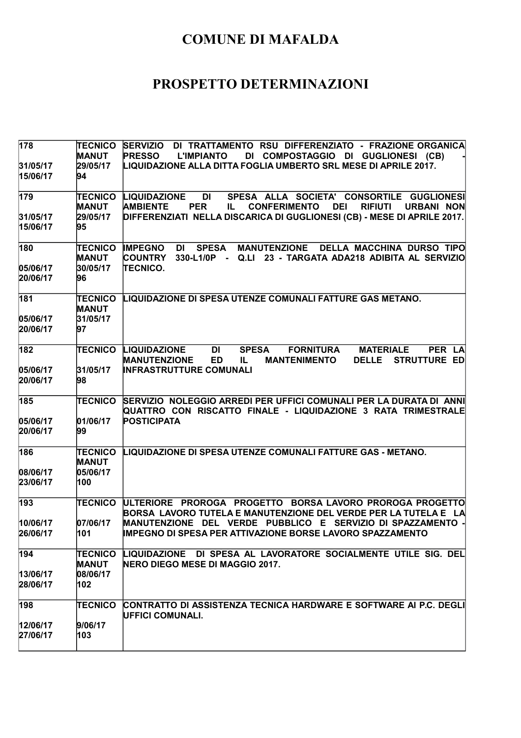| 178                  | <b>TECNICO</b><br><b>MANUT</b><br>29/05/17 | SERVIZIO DI TRATTAMENTO RSU DIFFERENZIATO - FRAZIONE ORGANICA<br><b>PRESSO</b><br><b>L'IMPIANTO</b><br>DI COMPOSTAGGIO DI GUGLIONESI (CB)<br>LIQUIDAZIONE ALLA DITTA FOGLIA UMBERTO SRL MESE DI APRILE 2017. |
|----------------------|--------------------------------------------|--------------------------------------------------------------------------------------------------------------------------------------------------------------------------------------------------------------|
| 31/05/17<br>15/06/17 | 94                                         |                                                                                                                                                                                                              |
| 179                  | <b>TECNICO</b><br><b>MANUT</b>             | <b>DI</b><br>SPESA ALLA SOCIETA' CONSORTILE GUGLIONESI<br><b>LIQUIDAZIONE</b><br><b>AMBIENTE</b><br><b>PER</b><br><b>CONFERIMENTO</b><br><b>DEI</b><br><b>RIFIUTI</b><br><b>URBANI NON</b><br>IL.            |
| 31/05/17<br>15/06/17 | 29/05/17<br>95                             | DIFFERENZIATI NELLA DISCARICA DI GUGLIONESI (CB) - MESE DI APRILE 2017.                                                                                                                                      |
| 180                  | <b>TECNICO</b><br><b>MANUT</b>             | <b>IMPEGNO</b><br><b>SPESA</b><br><b>MANUTENZIONE</b><br><b>DELLA MACCHINA DURSO TIPO</b><br>DI<br><b>COUNTRY</b><br>330-L1/0P -<br>Q.LI 23 - TARGATA ADA218 ADIBITA AL SERVIZIO                             |
| 05/06/17<br>20/06/17 | 30/05/17<br>96                             | <b>TECNICO.</b>                                                                                                                                                                                              |
| 181                  | <b>TECNICO</b><br><b>MANUT</b>             | LIQUIDAZIONE DI SPESA UTENZE COMUNALI FATTURE GAS METANO.                                                                                                                                                    |
| 05/06/17<br>20/06/17 | 31/05/17<br>97                             |                                                                                                                                                                                                              |
| 182                  | <b>TECNICO</b>                             | LIQUIDAZIONE<br>DI<br><b>SPESA</b><br><b>FORNITURA</b><br><b>MATERIALE</b><br>PER LA<br><b>MANUTENZIONE</b><br><b>ED</b><br><b>DELLE</b><br><b>STRUTTURE ED</b><br>IL.<br><b>MANTENIMENTO</b>                |
| 05/06/17<br>20/06/17 | 31/05/17<br>98                             | <b>INFRASTRUTTURE COMUNALI</b>                                                                                                                                                                               |
| 185                  | <b>TECNICO</b>                             | SERVIZIO NOLEGGIO ARREDI PER UFFICI COMUNALI PER LA DURATA DI ANNI<br>QUATTRO CON RISCATTO FINALE - LIQUIDAZIONE 3 RATA TRIMESTRALE                                                                          |
| 05/06/17<br>20/06/17 | 01/06/17<br>99                             | <b>POSTICIPATA</b>                                                                                                                                                                                           |
| 186                  | <b>TECNICO</b><br><b>MANUT</b>             | LIQUIDAZIONE DI SPESA UTENZE COMUNALI FATTURE GAS - METANO.                                                                                                                                                  |
| 08/06/17<br>23/06/17 | 05/06/17<br>100                            |                                                                                                                                                                                                              |
| 193                  | <b>TECNICO</b>                             | ULTERIORE PROROGA PROGETTO BORSA LAVORO PROROGA PROGETTO<br>BORSA LAVORO TUTELA E MANUTENZIONE DEL VERDE PER LA TUTELA E LA                                                                                  |
| 10/06/17<br>26/06/17 | 07/06/17<br>101                            | MANUTENZIONE DEL VERDE PUBBLICO E SERVIZIO DI SPAZZAMENTO -<br><b>IMPEGNO DI SPESA PER ATTIVAZIONE BORSE LAVORO SPAZZAMENTO</b>                                                                              |
| 194                  | <b>TECNICO</b><br><b>MANUT</b>             | LIQUIDAZIONE DI SPESA AL LAVORATORE SOCIALMENTE UTILE SIG. DEL<br><b>NERO DIEGO MESE DI MAGGIO 2017.</b>                                                                                                     |
| 13/06/17<br>28/06/17 | 08/06/17<br>102                            |                                                                                                                                                                                                              |
| 198                  | <b>TECNICO</b>                             | CONTRATTO DI ASSISTENZA TECNICA HARDWARE E SOFTWARE AI P.C. DEGLI<br>UFFICI COMUNALI.                                                                                                                        |
| 12/06/17<br>27/06/17 | 9/06/17<br>103                             |                                                                                                                                                                                                              |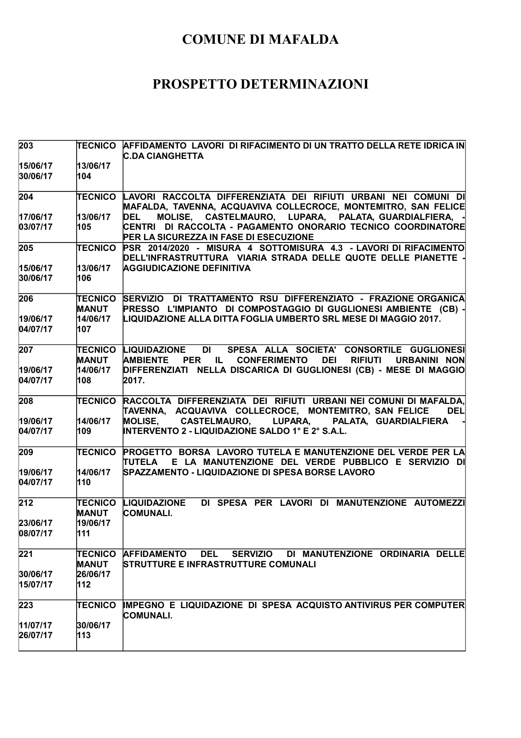| 203      | TECNICO                        | AFFIDAMENTO LAVORI DI RIFACIMENTO DI UN TRATTO DELLA RETE IDRICA IN<br><b>C.DA CIANGHETTA</b>                                                                                |
|----------|--------------------------------|------------------------------------------------------------------------------------------------------------------------------------------------------------------------------|
| 15/06/17 | 13/06/17                       |                                                                                                                                                                              |
| 30/06/17 | 104                            |                                                                                                                                                                              |
| 204      | TECNICO                        | LAVORI RACCOLTA DIFFERENZIATA DEI RIFIUTI URBANI NEI COMUNI DI<br>MAFALDA, TAVENNA, ACQUAVIVA COLLECROCE, MONTEMITRO, SAN FELICE                                             |
| 17/06/17 | 13/06/17                       | MOLISE, CASTELMAURO, LUPARA, PALATA, GUARDIALFIERA, -<br><b>DEL</b>                                                                                                          |
| 03/07/17 | 105                            | CENTRI DI RACCOLTA - PAGAMENTO ONORARIO TECNICO COORDINATORE<br>PER LA SICUREZZA IN FASE DI ESECUZIONE                                                                       |
| 205      | <b>TECNICO</b>                 | PSR 2014/2020 - MISURA 4 SOTTOMISURA 4.3 - LAVORI DI RIFACIMENTO<br>DELL'INFRASTRUTTURA VIARIA STRADA DELLE QUOTE DELLE PIANETTE -                                           |
| 15/06/17 | 13/06/17                       | <b>AGGIUDICAZIONE DEFINITIVA</b>                                                                                                                                             |
| 30/06/17 | 106                            |                                                                                                                                                                              |
| 206      | <b>TECNICO</b><br><b>MANUT</b> | SERVIZIO DI TRATTAMENTO RSU DIFFERENZIATO - FRAZIONE ORGANICA<br>PRESSO L'IMPIANTO DI COMPOSTAGGIO DI GUGLIONESI AMBIENTE (CB) -                                             |
| 19/06/17 | 14/06/17                       | LIQUIDAZIONE ALLA DITTA FOGLIA UMBERTO SRL MESE DI MAGGIO 2017.                                                                                                              |
| 04/07/17 | 107                            |                                                                                                                                                                              |
| 207      | <b>TECNICO</b>                 | LIQUIDAZIONE<br>DI SPESA ALLA SOCIETA' CONSORTILE GUGLIONESI                                                                                                                 |
| 19/06/17 | <b>MANUT</b><br>14/06/17       | <b>AMBIENTE</b><br>PER IL<br><b>CONFERIMENTO</b><br><b>DEI</b><br><b>RIFIUTI</b><br><b>URBANINI NON</b><br>DIFFERENZIATI NELLA DISCARICA DI GUGLIONESI (CB) - MESE DI MAGGIO |
| 04/07/17 | 108                            | 2017.                                                                                                                                                                        |
|          |                                |                                                                                                                                                                              |
| 208      | <b>TECNICO</b>                 | RACCOLTA DIFFERENZIATA DEI RIFIUTI URBANI NEI COMUNI DI MAFALDA.<br>TAVENNA, ACQUAVIVA COLLECROCE, MONTEMITRO, SAN FELICE<br><b>DEL</b>                                      |
| 19/06/17 | 14/06/17                       | MOLISE, CASTELMAURO, LUPARA, PALATA, GUARDIALFIERA                                                                                                                           |
| 04/07/17 | 109                            | <b>INTERVENTO 2 - LIQUIDAZIONE SALDO 1º E 2º S.A.L.</b>                                                                                                                      |
| 209      | <b>TECNICO</b>                 | PROGETTO BORSA LAVORO TUTELA E MANUTENZIONE DEL VERDE PER LA<br>TUTELA E LA MANUTENZIONE DEL VERDE PUBBLICO E SERVIZIO DI                                                    |
| 19/06/17 | 14/06/17                       | SPAZZAMENTO - LIQUIDAZIONE DI SPESA BORSE LAVORO                                                                                                                             |
| 04/07/17 | 110                            |                                                                                                                                                                              |
| 212      | <b>TECNICO</b><br><b>MANUT</b> | DI SPESA PER LAVORI DI MANUTENZIONE AUTOMEZZI<br>LIQUIDAZIONE<br><b>COMUNALI.</b>                                                                                            |
| 23/06/17 | 19/06/17                       |                                                                                                                                                                              |
| 08/07/17 | 111                            |                                                                                                                                                                              |
| 221      | TECNICO                        | <b>AFFIDAMENTO</b><br><b>DEL</b><br><b>SERVIZIO</b><br>DI MANUTENZIONE ORDINARIA DELLE                                                                                       |
| 30/06/17 | <b>MANUT</b><br>26/06/17       | <b>STRUTTURE E INFRASTRUTTURE COMUNALI</b>                                                                                                                                   |
| 15/07/17 | 112                            |                                                                                                                                                                              |
| 223      | <b>TECNICO</b>                 | IMPEGNO E LIQUIDAZIONE DI SPESA ACQUISTO ANTIVIRUS PER COMPUTER<br><b>COMUNALI.</b>                                                                                          |
| 11/07/17 | 30/06/17                       |                                                                                                                                                                              |
| 26/07/17 | 113                            |                                                                                                                                                                              |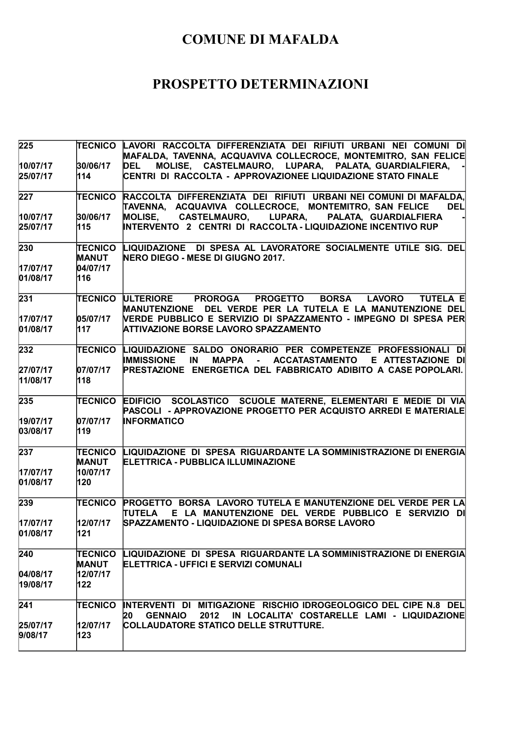| 225                  |                                | (TECNICO LAVORI RACCOLTA DIFFERENZIATA DEI RIFIUTI URBANI NEI COMUNI DI<br>MAFALDA, TAVENNA, ACQUAVIVA COLLECROCE, MONTEMITRO, SAN FELICE              |
|----------------------|--------------------------------|--------------------------------------------------------------------------------------------------------------------------------------------------------|
| 10/07/17<br>25/07/17 | 30/06/17<br>114                | MOLISE, CASTELMAURO, LUPARA, PALATA, GUARDIALFIERA,<br><b>DEL</b><br>CENTRI DI RACCOLTA - APPROVAZIONEE LIQUIDAZIONE STATO FINALE                      |
| 227                  | <b>TECNICO</b>                 | RACCOLTA DIFFERENZIATA DEI RIFIUTI URBANI NEI COMUNI DI MAFALDA,<br>TAVENNA, ACQUAVIVA COLLECROCE, MONTEMITRO, SAN FELICE<br><b>DEL</b>                |
| 10/07/17             | 30/06/17                       | MOLISE, CASTELMAURO, LUPARA,<br>PALATA, GUARDIALFIERA                                                                                                  |
| 25/07/17             | 115                            | INTERVENTO 2 CENTRI DI RACCOLTA - LIQUIDAZIONE INCENTIVO RUP                                                                                           |
| 230                  | <b>TECNICO</b><br><b>MANUT</b> | LIQUIDAZIONE DI SPESA AL LAVORATORE SOCIALMENTE UTILE SIG. DEL<br>NERO DIEGO - MESE DI GIUGNO 2017.                                                    |
| 17/07/17             | 04/07/17                       |                                                                                                                                                        |
| 01/08/17             | 116                            |                                                                                                                                                        |
| 231                  | <b>TECNICO</b>                 | ULTERIORE PROROGA PROGETTO<br><b>BORSA</b><br>LAVORO TUTELA E<br>MANUTENZIONE DEL VERDE PER LA TUTELA E LA MANUTENZIONE DEL                            |
| 17/07/17             | 05/07/17                       | VERDE PUBBLICO E SERVIZIO DI SPAZZAMENTO - IMPEGNO DI SPESA PER                                                                                        |
| 01/08/17             | 117                            | <b>ATTIVAZIONE BORSE LAVORO SPAZZAMENTO</b>                                                                                                            |
| 232                  | <b>TECNICO</b>                 | LIQUIDAZIONE SALDO ONORARIO PER COMPETENZE PROFESSIONALI DI<br><b>IMMISSIONE</b><br><b>IN</b><br><b>MAPPA</b><br>- ACCATASTAMENTO<br>E ATTESTAZIONE DI |
| 27/07/17             | 07/07/17                       | PRESTAZIONE ENERGETICA DEL FABBRICATO ADIBITO A CASE POPOLARI.                                                                                         |
| 11/08/17             | 118                            |                                                                                                                                                        |
| 235                  | <b>TECNICO</b>                 | EDIFICIO SCOLASTICO SCUOLE MATERNE, ELEMENTARI E MEDIE DI VIA<br>PASCOLI - APPROVAZIONE PROGETTO PER ACQUISTO ARREDI E MATERIALE                       |
| 19/07/17             | 07/07/17                       | <b>INFORMATICO</b>                                                                                                                                     |
| 03/08/17             | 119                            |                                                                                                                                                        |
| 237                  | <b>TECNICO</b><br><b>MANUT</b> | LIQUIDAZIONE DI SPESA RIGUARDANTE LA SOMMINISTRAZIONE DI ENERGIA<br><b>ELETTRICA - PUBBLICA ILLUMINAZIONE</b>                                          |
| 17/07/17             | 10/07/17                       |                                                                                                                                                        |
| 01/08/17             | 120                            |                                                                                                                                                        |
| 239                  | <b>TECNICO</b>                 | PROGETTO BORSA LAVORO TUTELA E MANUTENZIONE DEL VERDE PER LA<br>E LA MANUTENZIONE DEL VERDE PUBBLICO E SERVIZIO DI<br><b>TUTELA</b>                    |
| 17/07/17             | 12/07/17                       | SPAZZAMENTO - LIQUIDAZIONE DI SPESA BORSE LAVORO                                                                                                       |
| 01/08/17             | 121                            |                                                                                                                                                        |
| 240                  | <b>TECNICO</b><br><b>MANUT</b> | LIQUIDAZIONE DI SPESA RIGUARDANTE LA SOMMINISTRAZIONE DI ENERGIA<br>ELETTRICA - UFFICI E SERVIZI COMUNALI                                              |
| 04/08/17             | 12/07/17                       |                                                                                                                                                        |
| 19/08/17             | 122                            |                                                                                                                                                        |
| 241                  | <b>TECNICO</b>                 | INTERVENTI DI MITIGAZIONE RISCHIO IDROGEOLOGICO DEL CIPE N.8 DEL                                                                                       |
|                      |                                | <b>GENNAIO</b><br>2012<br>IN LOCALITA' COSTARELLE LAMI - LIQUIDAZIONE<br>20                                                                            |
| 25/07/17<br>9/08/17  | 12/07/17<br>123                | COLLAUDATORE STATICO DELLE STRUTTURE.                                                                                                                  |
|                      |                                |                                                                                                                                                        |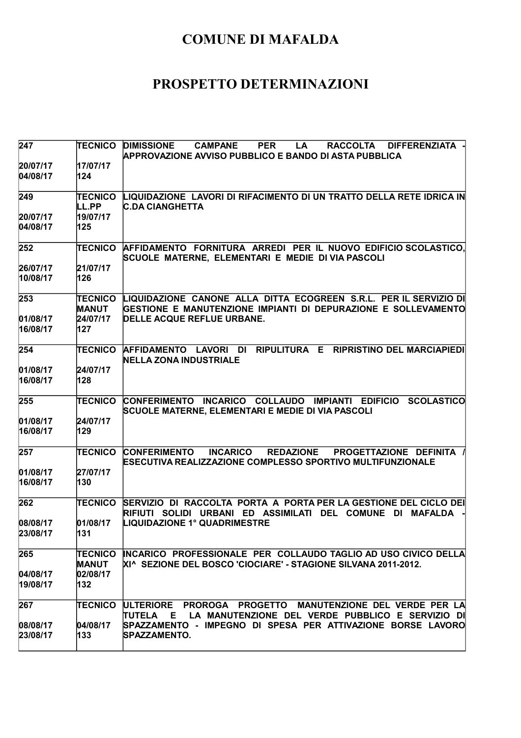| 247                  | <b>TECNICO</b>          | <b>DIMISSIONE</b><br><b>DIFFERENZIATA</b><br><b>CAMPANE</b><br><b>PER</b><br><b>RACCOLTA</b><br>LA<br><b>APPROVAZIONE AVVISO PUBBLICO E BANDO DI ASTA PUBBLICA</b> |
|----------------------|-------------------------|--------------------------------------------------------------------------------------------------------------------------------------------------------------------|
| 20/07/17<br>04/08/17 | 17/07/17<br>124         |                                                                                                                                                                    |
| 249                  | <b>TECNICO</b><br>LL.PP | LIQUIDAZIONE LAVORI DI RIFACIMENTO DI UN TRATTO DELLA RETE IDRICA IN<br><b>C.DA CIANGHETTA</b>                                                                     |
| 20/07/17             | 19/07/17                |                                                                                                                                                                    |
| 04/08/17             | 125                     |                                                                                                                                                                    |
| 252                  | <b>TECNICO</b>          | AFFIDAMENTO FORNITURA ARREDI PER IL NUOVO EDIFICIO SCOLASTICO,<br>SCUOLE MATERNE, ELEMENTARI E MEDIE DI VIA PASCOLI                                                |
| 26/07/17             | 21/07/17                |                                                                                                                                                                    |
| 10/08/17             | 126                     |                                                                                                                                                                    |
| 253                  | TECNICO<br><b>MANUT</b> | LIQUIDAZIONE CANONE ALLA DITTA ECOGREEN S.R.L. PER IL SERVIZIO DI<br>GESTIONE E MANUTENZIONE IMPIANTI DI DEPURAZIONE E SOLLEVAMENTO                                |
| 01/08/17             | 24/07/17                | DELLE ACQUE REFLUE URBANE.                                                                                                                                         |
| 16/08/17             | 127                     |                                                                                                                                                                    |
| 254                  | TECNICO                 | AFFIDAMENTO LAVORI DI<br><b>RIPULITURA E</b><br><b>RIPRISTINO DEL MARCIAPIEDI</b><br><b>NELLA ZONA INDUSTRIALE</b>                                                 |
| 01/08/17             | 24/07/17                |                                                                                                                                                                    |
| 16/08/17             | 128                     |                                                                                                                                                                    |
| 255                  | <b>TECNICO</b>          | CONFERIMENTO INCARICO COLLAUDO IMPIANTI EDIFICIO<br><b>SCOLASTICO</b><br>SCUOLE MATERNE, ELEMENTARI E MEDIE DI VIA PASCOLI                                         |
| 01/08/17             | 24/07/17                |                                                                                                                                                                    |
| 16/08/17             | 129                     |                                                                                                                                                                    |
| 257                  | <b>TECNICO</b>          | <b>CONFERIMENTO</b><br><b>INCARICO</b><br><b>REDAZIONE</b><br>PROGETTAZIONE DEFINITA /<br>ESECUTIVA REALIZZAZIONE COMPLESSO SPORTIVO MULTIFUNZIONALE               |
| 01/08/17             | 27/07/17                |                                                                                                                                                                    |
| 16/08/17             | 130                     |                                                                                                                                                                    |
| 262                  | TECNICO                 | SERVIZIO DI RACCOLTA PORTA A PORTA PER LA GESTIONE DEL CICLO DEI<br>RIFIUTI SOLIDI URBANI ED ASSIMILATI DEL COMUNE DI<br>MAFALDA                                   |
| 08/08/17             | 01/08/17                | <b>LIQUIDAZIONE 1º QUADRIMESTRE</b>                                                                                                                                |
| 23/08/17             | 131                     |                                                                                                                                                                    |
| 265                  | TECNICO<br><b>MANUT</b> | INCARICO PROFESSIONALE PER COLLAUDO TAGLIO AD USO CIVICO DELLA<br>XI^ SEZIONE DEL BOSCO 'CIOCIARE' - STAGIONE SILVANA 2011-2012.                                   |
| 04/08/17             | 02/08/17                |                                                                                                                                                                    |
| 19/08/17             | 132                     |                                                                                                                                                                    |
| 267                  | <b>TECNICO</b>          | PROROGA PROGETTO MANUTENZIONE DEL VERDE PER LA<br><b>ULTERIORE</b><br><b>TUTELA</b><br>LA MANUTENZIONE DEL VERDE PUBBLICO E SERVIZIO DI<br>E                       |
| 08/08/17             | 04/08/17                | SPAZZAMENTO - IMPEGNO DI SPESA PER ATTIVAZIONE BORSE LAVORO                                                                                                        |
| 23/08/17             | 133                     | SPAZZAMENTO.                                                                                                                                                       |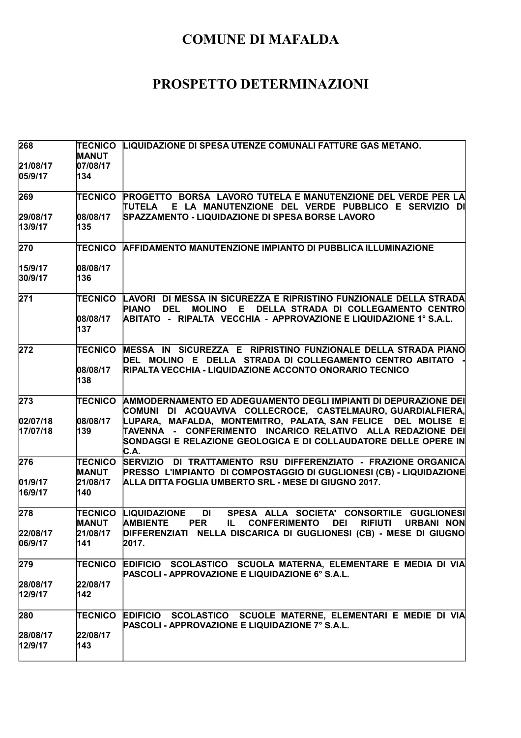| 268                         | <b>TECNICO</b><br><b>MANUT</b>                    | LIQUIDAZIONE DI SPESA UTENZE COMUNALI FATTURE GAS METANO.                                                                                                                                                                                                                                                                               |
|-----------------------------|---------------------------------------------------|-----------------------------------------------------------------------------------------------------------------------------------------------------------------------------------------------------------------------------------------------------------------------------------------------------------------------------------------|
| 21/08/17<br>05/9/17         | 07/08/17<br>134                                   |                                                                                                                                                                                                                                                                                                                                         |
| 269                         | <b>TECNICO</b>                                    | <b>PROGETTO BORSA LAVORO TUTELA E MANUTENZIONE DEL VERDE PER LA</b><br>TUTELA E LA MANUTENZIONE DEL VERDE PUBBLICO E SERVIZIO DI                                                                                                                                                                                                        |
| 29/08/17<br>13/9/17         | 08/08/17<br>135                                   | SPAZZAMENTO - LIQUIDAZIONE DI SPESA BORSE LAVORO                                                                                                                                                                                                                                                                                        |
| 270                         | <b>TECNICO</b>                                    | <b>AFFIDAMENTO MANUTENZIONE IMPIANTO DI PUBBLICA ILLUMINAZIONE</b>                                                                                                                                                                                                                                                                      |
| 15/9/17<br>30/9/17          | 08/08/17<br>136                                   |                                                                                                                                                                                                                                                                                                                                         |
| 271                         | <b>TECNICO</b><br>08/08/17<br>137                 | LAVORI DI MESSA IN SICUREZZA E RIPRISTINO FUNZIONALE DELLA STRADA<br><b>MOLINO</b><br>DELLA STRADA DI COLLEGAMENTO CENTRO<br><b>PIANO</b><br><b>DEL</b><br>E.<br>ABITATO   -   RIPALTA   VECCHIA  -  APPROVAZIONE E LIQUIDAZIONE 1° S.A.L.                                                                                              |
| 272                         | <b>TECNICO</b><br>08/08/17<br>138                 | MESSA IN SICUREZZA E RIPRISTINO FUNZIONALE DELLA STRADA PIANO<br>DEL MOLINO E DELLA STRADA DI COLLEGAMENTO CENTRO ABITATO<br>RIPALTA VECCHIA - LIQUIDAZIONE ACCONTO ONORARIO TECNICO                                                                                                                                                    |
| 273<br>02/07/18<br>17/07/18 | <b>TECNICO</b><br>08/08/17<br>139                 | AMMODERNAMENTO ED ADEGUAMENTO DEGLI IMPIANTI DI DEPURAZIONE DEI<br>COMUNI DI ACQUAVIVA COLLECROCE, CASTELMAURO,GUARDIALFIERA,<br>LUPARA, MAFALDA, MONTEMITRO, PALATA, SAN FELICE DEL MOLISE E<br>TAVENNA - CONFERIMENTO INCARICO RELATIVO ALLA REDAZIONE DEI<br>SONDAGGI E RELAZIONE GEOLOGICA E DI COLLAUDATORE DELLE OPERE IN<br>C.A. |
| 276<br>01/9/17<br>16/9/17   | <b>TECNICO</b><br><b>MANUT</b><br>21/08/17<br>140 | SERVIZIO DI TRATTAMENTO RSU DIFFERENZIATO - FRAZIONE ORGANICA<br>PRESSO L'IMPIANTO DI COMPOSTAGGIO DI GUGLIONESI (CB) - LIQUIDAZIONE<br>ALLA DITTA FOGLIA UMBERTO SRL - MESE DI GIUGNO 2017.                                                                                                                                            |
| 278                         | TECNICO<br><b>MANUT</b>                           | <b>LIQUIDAZIONE</b><br>DI<br>SPESA ALLA SOCIETA' CONSORTILE GUGLIONESI<br><b>AMBIENTE</b><br><b>CONFERIMENTO</b><br><b>DEI</b><br><b>RIFIUTI</b><br><b>URBANI NON</b><br><b>PER</b><br>IL.                                                                                                                                              |
| 22/08/17<br>06/9/17         | 21/08/17<br>141                                   | DIFFERENZIATI NELLA DISCARICA DI GUGLIONESI (CB) - MESE DI GIUGNO<br>2017.                                                                                                                                                                                                                                                              |
| 279                         | <b>TECNICO</b>                                    | EDIFICIO SCOLASTICO SCUOLA MATERNA, ELEMENTARE E MEDIA DI VIA<br>PASCOLI - APPROVAZIONE E LIQUIDAZIONE 6° S.A.L.                                                                                                                                                                                                                        |
| 28/08/17<br>12/9/17         | 22/08/17<br>$ 142\rangle$                         |                                                                                                                                                                                                                                                                                                                                         |
| 280                         | TECNICO                                           | SCOLASTICO SCUOLE MATERNE, ELEMENTARI E MEDIE DI VIA<br><b>EDIFICIO</b><br>PASCOLI - APPROVAZIONE E LIQUIDAZIONE 7° S.A.L.                                                                                                                                                                                                              |
| 28/08/17<br>12/9/17         | 22/08/17<br>$ 143\rangle$                         |                                                                                                                                                                                                                                                                                                                                         |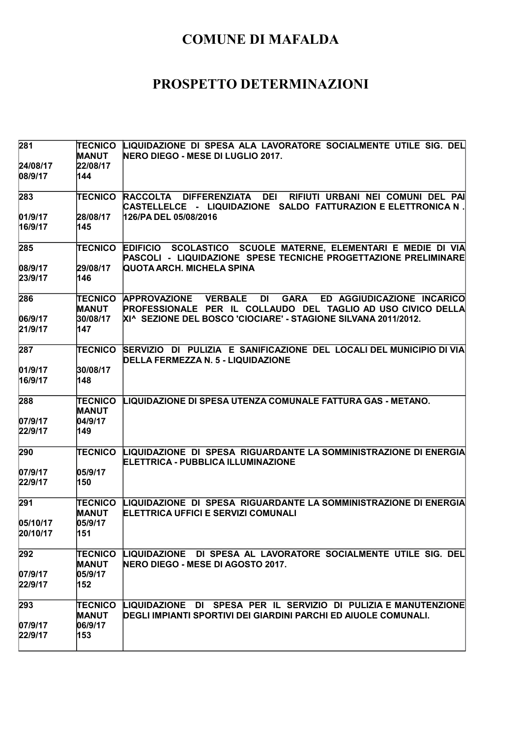| 281                 | <b>TECNICO</b>                 | LIQUIDAZIONE DI SPESA ALA LAVORATORE SOCIALMENTE UTILE SIG. DEL                                                                                              |
|---------------------|--------------------------------|--------------------------------------------------------------------------------------------------------------------------------------------------------------|
|                     | <b>MANUT</b><br>22/08/17       | NERO DIEGO - MESE DI LUGLIO 2017.                                                                                                                            |
| 24/08/17<br>08/9/17 | 144                            |                                                                                                                                                              |
|                     |                                |                                                                                                                                                              |
| 283                 | TECNICO                        | <b>RACCOLTA</b><br><b>DIFFERENZIATA</b><br><b>DEI</b><br>RIFIUTI URBANI NEI COMUNI DEL PAI<br>CASTELLELCE - LIQUIDAZIONE SALDO FATTURAZION E ELETTRONICA N . |
| 01/9/17             | 28/08/17                       | 126/PA DEL 05/08/2016                                                                                                                                        |
| 16/9/17             | 145                            |                                                                                                                                                              |
| 285                 | TECNICO                        | EDIFICIO SCOLASTICO SCUOLE MATERNE, ELEMENTARI E MEDIE DI VIA<br>PASCOLI - LIQUIDAZIONE SPESE TECNICHE PROGETTAZIONE PRELIMINARE                             |
| 08/9/17             | 29/08/17                       | QUOTA ARCH. MICHELA SPINA                                                                                                                                    |
| 23/9/17             | 146                            |                                                                                                                                                              |
| 286                 |                                | DI<br><b>GARA</b><br>TECNICO APPROVAZIONE VERBALE<br>ED AGGIUDICAZIONE INCARICO                                                                              |
|                     | <b>MANUT</b>                   | PROFESSIONALE PER IL COLLAUDO DEL TAGLIO AD USO CIVICO DELLA                                                                                                 |
| 06/9/17             | 30/08/17                       | XI^ SEZIONE DEL BOSCO 'CIOCIARE' - STAGIONE SILVANA 2011/2012.                                                                                               |
| 21/9/17             | 147                            |                                                                                                                                                              |
| 287                 | <b>TECNICO</b>                 | SERVIZIO DI PULIZIA E SANIFICAZIONE DEL LOCALI DEL MUNICIPIO DI VIA<br>DELLA FERMEZZA N. 5 - LIQUIDAZIONE                                                    |
| 01/9/17             | 30/08/17                       |                                                                                                                                                              |
| 16/9/17             | 148                            |                                                                                                                                                              |
| 288                 | <b>TECNICO</b>                 | LIQUIDAZIONE DI SPESA UTENZA COMUNALE FATTURA GAS - METANO.                                                                                                  |
|                     | <b>MANUT</b>                   |                                                                                                                                                              |
| 07/9/17             | 04/9/17                        |                                                                                                                                                              |
| 22/9/17             | 149                            |                                                                                                                                                              |
| 290                 | <b>TECNICO</b>                 | LIQUIDAZIONE DI SPESA RIGUARDANTE LA SOMMINISTRAZIONE DI ENERGIA<br>ELETTRICA - PUBBLICA ILLUMINAZIONE                                                       |
| 07/9/17             | 05/9/17                        |                                                                                                                                                              |
| 22/9/17             | 150                            |                                                                                                                                                              |
| 291                 | <b>TECNICO</b><br><b>MANUT</b> | LIQUIDAZIONE DI SPESA RIGUARDANTE LA SOMMINISTRAZIONE DI ENERGIA<br><b>IELETTRICA UFFICI E SERVIZI COMUNALI</b>                                              |
| 05/10/17            | 05/9/17                        |                                                                                                                                                              |
| 20/10/17            | 151                            |                                                                                                                                                              |
| 292                 | <b>TECNICO</b>                 | LIQUIDAZIONE DI SPESA AL LAVORATORE SOCIALMENTE UTILE SIG. DEL                                                                                               |
|                     | <b>MANUT</b>                   | NERO DIEGO - MESE DI AGOSTO 2017.                                                                                                                            |
| 07/9/17             | 05/9/17                        |                                                                                                                                                              |
| 22/9/17             | 152                            |                                                                                                                                                              |
| 293                 | TECNICO                        | LIQUIDAZIONE DI SPESA PER IL SERVIZIO DI PULIZIA E MANUTENZIONE                                                                                              |
|                     | <b>MANUT</b>                   | DEGLI IMPIANTI SPORTIVI DEI GIARDINI PARCHI ED AIUOLE COMUNALI.                                                                                              |
| 07/9/17             | 06/9/17                        |                                                                                                                                                              |
| 22/9/17             | 153                            |                                                                                                                                                              |
|                     |                                |                                                                                                                                                              |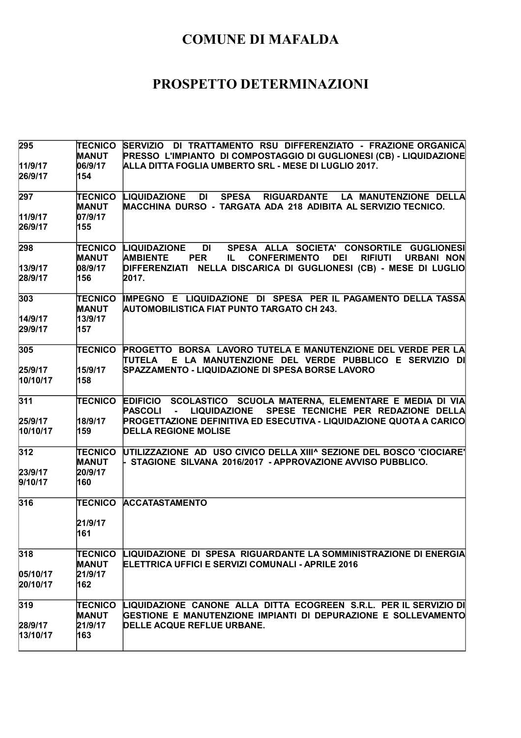| 295      | <b>TECNICO</b> | SERVIZIO DI TRATTAMENTO RSU DIFFERENZIATO - FRAZIONE ORGANICA                                                    |
|----------|----------------|------------------------------------------------------------------------------------------------------------------|
|          | <b>MANUT</b>   | PRESSO L'IMPIANTO DI COMPOSTAGGIO DI GUGLIONESI (CB) - LIQUIDAZIONE                                              |
| 11/9/17  | 06/9/17        | ALLA DITTA FOGLIA UMBERTO SRL - MESE DI LUGLIO 2017.                                                             |
| 26/9/17  | 154            |                                                                                                                  |
| 297      | <b>TECNICO</b> | <b>LIQUIDAZIONE</b><br><b>SPESA</b><br>RIGUARDANTE LA MANUTENZIONE DELLA<br>DI                                   |
|          | <b>MANUT</b>   | MACCHINA DURSO - TARGATA ADA 218 ADIBITA AL SERVIZIO TECNICO.                                                    |
| 11/9/17  | 07/9/17        |                                                                                                                  |
| 26/9/17  | 155            |                                                                                                                  |
| 298      | <b>TECNICO</b> | SPESA ALLA SOCIETA' CONSORTILE GUGLIONESI<br><b>LIQUIDAZIONE</b><br>DI                                           |
|          | <b>MANUT</b>   | <b>AMBIENTE</b><br><b>CONFERIMENTO</b><br><b>RIFIUTI</b><br><b>PER</b><br><b>DEI</b><br><b>URBANI NON</b><br>IL. |
| 13/9/17  | 08/9/17        | DIFFERENZIATI NELLA DISCARICA DI GUGLIONESI (CB) - MESE DI LUGLIO                                                |
| 28/9/17  | 156            | 2017.                                                                                                            |
| 303      | <b>TECNICO</b> | IMPEGNO E LIQUIDAZIONE DI SPESA PER IL PAGAMENTO DELLA TASSA                                                     |
|          | <b>MANUT</b>   | <b>AUTOMOBILISTICA FIAT PUNTO TARGATO CH 243.</b>                                                                |
| 14/9/17  | 13/9/17        |                                                                                                                  |
| 29/9/17  | 157            |                                                                                                                  |
| 305      | <b>TECNICO</b> | PROGETTO BORSA LAVORO TUTELA E MANUTENZIONE DEL VERDE PER LA                                                     |
|          |                | TUTELA E LA MANUTENZIONE DEL VERDE PUBBLICO E SERVIZIO DI                                                        |
| 25/9/17  | 15/9/17        | SPAZZAMENTO - LIQUIDAZIONE DI SPESA BORSE LAVORO                                                                 |
| 10/10/17 | 158            |                                                                                                                  |
| 311      | <b>TECNICO</b> | EDIFICIO SCOLASTICO SCUOLA MATERNA, ELEMENTARE E MEDIA DI VIA                                                    |
|          |                | SPESE TECNICHE PER REDAZIONE DELLA<br><b>PASCOLI</b><br><b>LIQUIDAZIONE</b><br>$\mathbf{u} = \mathbf{0}$         |
| 25/9/17  | 18/9/17        | PROGETTAZIONE DEFINITIVA ED ESECUTIVA - LIQUIDAZIONE QUOTA A CARICO                                              |
| 10/10/17 | 159            | <b>DELLA REGIONE MOLISE</b>                                                                                      |
| 312      | TECNICO        | UTILIZZAZIONE AD USO CIVICO DELLA XIII^ SEZIONE DEL BOSCO 'CIOCIARE'                                             |
|          | <b>MANUT</b>   | - STAGIONE SILVANA 2016/2017 -APPROVAZIONE AVVISO PUBBLICO.                                                      |
| 23/9/17  | 20/9/17        |                                                                                                                  |
| 9/10/17  | 160            |                                                                                                                  |
|          |                |                                                                                                                  |
| 316      | <b>TECNICO</b> | <b>ACCATASTAMENTO</b>                                                                                            |
|          | 21/9/17        |                                                                                                                  |
|          | 161            |                                                                                                                  |
|          |                |                                                                                                                  |
| 318      | <b>TECNICO</b> | LIQUIDAZIONE DI SPESA RIGUARDANTE LA SOMMINISTRAZIONE DI ENERGIA                                                 |
|          | <b>MANUT</b>   | ELETTRICA UFFICI E SERVIZI COMUNALI - APRILE 2016                                                                |
| 05/10/17 | 21/9/17        |                                                                                                                  |
| 20/10/17 | 162            |                                                                                                                  |
| 319      | <b>TECNICO</b> | LIQUIDAZIONE CANONE ALLA DITTA ECOGREEN S.R.L. PER IL SERVIZIO DI                                                |
|          | <b>MANUT</b>   | GESTIONE E MANUTENZIONE IMPIANTI DI DEPURAZIONE E SOLLEVAMENTO                                                   |
| 28/9/17  | 21/9/17        | <b>DELLE ACQUE REFLUE URBANE.</b>                                                                                |
| 13/10/17 | 163            |                                                                                                                  |
|          |                |                                                                                                                  |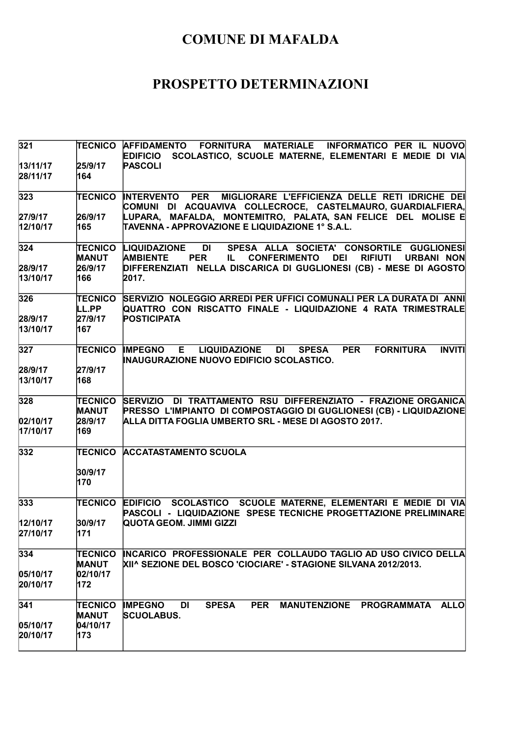| 321                  |                                | TECNICO AFFIDAMENTO FORNITURA MATERIALE INFORMATICO PER IL NUOVO<br>SCOLASTICO, SCUOLE MATERNE, ELEMENTARI E MEDIE DI VIA<br><b>EDIFICIO</b>                                          |
|----------------------|--------------------------------|---------------------------------------------------------------------------------------------------------------------------------------------------------------------------------------|
| 13/11/17<br>28/11/17 | 25/9/17<br>164                 | <b>PASCOLI</b>                                                                                                                                                                        |
| 323                  | <b>TECNICO</b>                 | <b>INTERVENTO PER</b><br>MIGLIORARE L'EFFICIENZA DELLE RETI IDRICHE DEI<br>COMUNI DI ACQUAVIVA COLLECROCE, CASTELMAURO, GUARDIALFIERA,                                                |
| 27/9/17              | 26/9/17                        | LUPARA, MAFALDA, MONTEMITRO, PALATA, SAN FELICE DEL MOLISE E                                                                                                                          |
| 12/10/17             | 165                            | TAVENNA - APPROVAZIONE E LIQUIDAZIONE 1° S.A.L.                                                                                                                                       |
| 324                  | TECNICO<br><b>MANUT</b>        | DI 1<br>SPESA ALLA SOCIETA' CONSORTILE GUGLIONESI<br>LIQUIDAZIONE<br><b>AMBIENTE</b><br><b>PER</b><br><b>CONFERIMENTO</b><br><b>DEI</b><br><b>RIFIUTI</b><br><b>URBANI NON</b><br>IL. |
| 28/9/17<br>13/10/17  | 26/9/17<br>166                 | DIFFERENZIATI NELLA DISCARICA DI GUGLIONESI (CB) - MESE DI AGOSTO<br>2017.                                                                                                            |
| 326                  | <b>TECNICO</b><br>LL.PP        | SERVIZIO NOLEGGIO ARREDI PER UFFICI COMUNALI PER LA DURATA DI ANNI<br>QUATTRO CON RISCATTO FINALE - LIQUIDAZIONE 4 RATA TRIMESTRALE                                                   |
| 28/9/17<br>13/10/17  | 27/9/17<br>167                 | <b>POSTICIPATA</b>                                                                                                                                                                    |
| 327                  | <b>TECNICO</b>                 | E LIQUIDAZIONE DI<br><b>SPESA</b><br><b>PER</b><br><b>FORNITURA</b><br><b>INVITI</b><br><b>IMPEGNO</b><br>INAUGURAZIONE NUOVO EDIFICIO SCOLASTICO.                                    |
| 28/9/17              | 27/9/17                        |                                                                                                                                                                                       |
| 13/10/17             | 168                            |                                                                                                                                                                                       |
| 328                  | TECNICO<br><b>MANUT</b>        | SERVIZIO DI TRATTAMENTO RSU DIFFERENZIATO - FRAZIONE ORGANICA<br>PRESSO L'IMPIANTO DI COMPOSTAGGIO DI GUGLIONESI (CB) - LIQUIDAZIONE                                                  |
| 02/10/17             | 28/9/17                        | ALLA DITTA FOGLIA UMBERTO SRL - MESE DI AGOSTO 2017.                                                                                                                                  |
| 17/10/17             | 169                            |                                                                                                                                                                                       |
| 332                  | <b>TECNICO</b>                 | <b>ACCATASTAMENTO SCUOLA</b>                                                                                                                                                          |
|                      | 30/9/17<br>170                 |                                                                                                                                                                                       |
| 333                  | TECNICO                        | EDIFICIO SCOLASTICO SCUOLE MATERNE, ELEMENTARI E MEDIE DI VIA<br>PASCOLI - LIQUIDAZIONE SPESE TECNICHE PROGETTAZIONE PRELIMINARE                                                      |
| 12/10/17             | 30/9/17                        | QUOTA GEOM. JIMMI GIZZI                                                                                                                                                               |
| 27/10/17             | 171                            |                                                                                                                                                                                       |
| 334                  | <b>TECNICO</b><br><b>MANUT</b> | INCARICO PROFESSIONALE PER COLLAUDO TAGLIO AD USO CIVICO DELLA<br>XII^ SEZIONE DEL BOSCO 'CIOCIARE' - STAGIONE SILVANA 2012/2013.                                                     |
| 05/10/17             | 02/10/17                       |                                                                                                                                                                                       |
| 20/10/17             | 172                            |                                                                                                                                                                                       |
| 341                  | <b>TECNICO</b>                 | <b>IMPEGNO</b><br><b>SPESA</b><br><b>PER</b><br>MANUTENZIONE PROGRAMMATA<br>DI<br><b>ALLO</b>                                                                                         |
|                      | <b>MANUT</b><br>04/10/17       | <b>SCUOLABUS.</b>                                                                                                                                                                     |
| 05/10/17<br>20/10/17 | 173                            |                                                                                                                                                                                       |
|                      |                                |                                                                                                                                                                                       |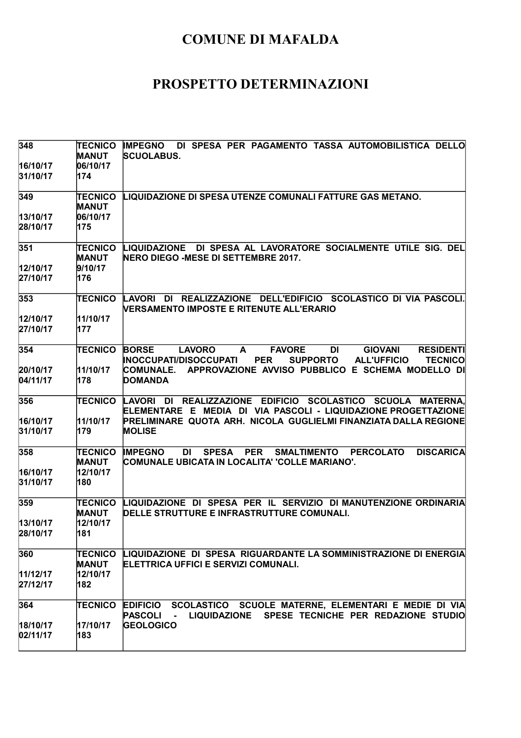| 348                  | <b>TECNICO</b><br><b>MANUT</b> | DI SPESA PER PAGAMENTO TASSA AUTOMOBILISTICA DELLO<br><b>IMPEGNO</b><br><b>SCUOLABUS.</b>                                                                                                                 |
|----------------------|--------------------------------|-----------------------------------------------------------------------------------------------------------------------------------------------------------------------------------------------------------|
| 16/10/17<br>31/10/17 | 06/10/17<br>174                |                                                                                                                                                                                                           |
| 349                  | <b>TECNICO</b><br><b>MANUT</b> | LIQUIDAZIONE DI SPESA UTENZE COMUNALI FATTURE GAS METANO.                                                                                                                                                 |
| 13/10/17             | 06/10/17                       |                                                                                                                                                                                                           |
| 28/10/17             | 175                            |                                                                                                                                                                                                           |
| 351                  | TECNICO<br><b>MANUT</b>        | DI SPESA AL LAVORATORE SOCIALMENTE UTILE SIG. DEL<br>LIQUIDAZIONE<br>NERO DIEGO -MESE DI SETTEMBRE 2017.                                                                                                  |
| 12/10/17             | 9/10/17                        |                                                                                                                                                                                                           |
| 27/10/17             | 176                            |                                                                                                                                                                                                           |
| 353                  | <b>TECNICO</b>                 | LAVORI DI REALIZZAZIONE DELL'EDIFICIO SCOLASTICO DI VIA PASCOLI.<br><b>NERSAMENTO IMPOSTE E RITENUTE ALL'ERARIO</b>                                                                                       |
| 12/10/17             | 11/10/17                       |                                                                                                                                                                                                           |
| 27/10/17             | 177                            |                                                                                                                                                                                                           |
| 354                  | TECNICO                        | <b>BORSE</b><br><b>LAVORO</b><br><b>FAVORE</b><br><b>GIOVANI</b><br><b>RESIDENTI</b><br>A<br>DI<br><b>INOCCUPATI/DISOCCUPATI</b><br><b>PER</b><br><b>SUPPORTO</b><br><b>ALL'UFFICIO</b><br><b>TECNICO</b> |
| 20/10/17             | 11/10/17                       | APPROVAZIONE AVVISO PUBBLICO E SCHEMA MODELLO DI<br><b>COMUNALE.</b>                                                                                                                                      |
| 04/11/17             | 178                            | <b>DOMANDA</b>                                                                                                                                                                                            |
| 356                  | <b>TECNICO</b>                 | REALIZZAZIONE EDIFICIO SCOLASTICO SCUOLA MATERNA.<br>LAVORI<br>DI<br>ELEMENTARE E MEDIA DI VIA PASCOLI - LIQUIDAZIONE PROGETTAZIONE                                                                       |
| 16/10/17             | 11/10/17                       | PRELIMINARE QUOTA ARH. NICOLA GUGLIELMI FINANZIATA DALLA REGIONE                                                                                                                                          |
| 31/10/17             | 179                            | <b>MOLISE</b>                                                                                                                                                                                             |
| 358                  | <b>TECNICO</b><br><b>MANUT</b> | <b>IMPEGNO</b><br>DI<br><b>SPESA</b><br><b>PER</b><br><b>SMALTIMENTO</b><br><b>PERCOLATO</b><br><b>DISCARICA</b><br>COMUNALE UBICATA IN LOCALITA' 'COLLE MARIANO'.                                        |
| 16/10/17             | 12/10/17                       |                                                                                                                                                                                                           |
| 31/10/17             | 180                            |                                                                                                                                                                                                           |
| 359                  | <b>TECNICO</b><br>MANUT        | LIQUIDAZIONE DI SPESA PER IL SERVIZIO DI MANUTENZIONE ORDINARIA<br>DELLE STRUTTURE E INFRASTRUTTURE COMUNALI.                                                                                             |
| 13/10/17             | 12/10/17                       |                                                                                                                                                                                                           |
| 28/10/17             | 181                            |                                                                                                                                                                                                           |
| 360                  | TECNICO<br>MANUT               | LIQUIDAZIONE DI SPESA RIGUARDANTE LA SOMMINISTRAZIONE DI ENERGIA<br>ELETTRICA UFFICI E SERVIZI COMUNALI.                                                                                                  |
| 11/12/17             | 12/10/17                       |                                                                                                                                                                                                           |
| 27/12/17             | 182                            |                                                                                                                                                                                                           |
| 364                  | TECNICO                        | <b>EDIFICIO</b><br>SCOLASTICO SCUOLE MATERNE, ELEMENTARI E MEDIE DI VIA<br>SPESE TECNICHE PER REDAZIONE STUDIO<br><b>PASCOLI</b><br><b>LIQUIDAZIONE</b><br>$\blacksquare$                                 |
| 18/10/17             | 17/10/17                       | <b>GEOLOGICO</b>                                                                                                                                                                                          |
| 02/11/17             | 183                            |                                                                                                                                                                                                           |
|                      |                                |                                                                                                                                                                                                           |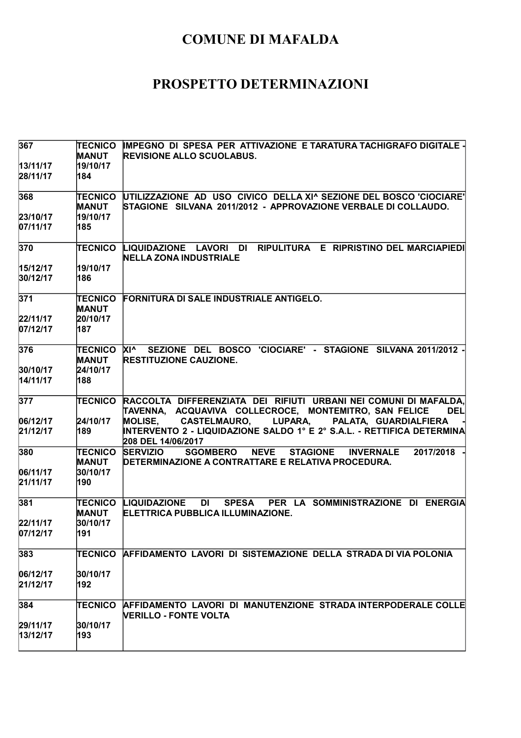| 367                  | TECNICO                        | IMPEGNO DI SPESA PER ATTIVAZIONE E TARATURA TACHIGRAFO DIGITALE -                                            |
|----------------------|--------------------------------|--------------------------------------------------------------------------------------------------------------|
|                      | <b>MANUT</b>                   | <b>REVISIONE ALLO SCUOLABUS.</b>                                                                             |
| 13/11/17             | 19/10/17                       |                                                                                                              |
| 28/11/17             | 184                            |                                                                                                              |
| 368                  | TECNICO                        | UTILIZZAZIONE AD USO CIVICO DELLA XI^ SEZIONE DEL BOSCO 'CIOCIARE'                                           |
|                      | <b>MANUT</b>                   | STAGIONE SILVANA 2011/2012 - APPROVAZIONE VERBALE DI COLLAUDO.                                               |
| 23/10/17             | 19/10/17                       |                                                                                                              |
| 07/11/17             | 185                            |                                                                                                              |
| 370                  | <b>TECNICO</b>                 | RIPULITURA E RIPRISTINO DEL MARCIAPIEDI<br>LIQUIDAZIONE LAVORI<br><b>DI</b><br><b>NELLA ZONA INDUSTRIALE</b> |
| 15/12/17             | 19/10/17                       |                                                                                                              |
| 30/12/17             | 186                            |                                                                                                              |
| 371                  |                                | <b>FORNITURA DI SALE INDUSTRIALE ANTIGELO.</b>                                                               |
|                      | <b>TECNICO</b><br><b>MANUT</b> |                                                                                                              |
| 22/11/17             | 20/10/17                       |                                                                                                              |
| 07/12/17             | 187                            |                                                                                                              |
| 376                  | TECNICO XI^                    | SEZIONE DEL BOSCO 'CIOCIARE' - STAGIONE SILVANA 2011/2012 -                                                  |
|                      | <b>MANUT</b>                   | <b>RESTITUZIONE CAUZIONE.</b>                                                                                |
| 30/10/17             | 24/10/17                       |                                                                                                              |
| 14/11/17             | 188                            |                                                                                                              |
| 377                  | <b>TECNICO</b>                 | RACCOLTA DIFFERENZIATA DEI RIFIUTI URBANI NEI COMUNI DI MAFALDA,                                             |
|                      |                                | TAVENNA, ACQUAVIVA COLLECROCE, MONTEMITRO, SAN FELICE<br><b>DEL</b>                                          |
| 06/12/17             | 24/10/17                       | MOLISE, CASTELMAURO, LUPARA,<br>PALATA, GUARDIALFIERA                                                        |
| 21/12/17             | 189                            | INTERVENTO 2 - LIQUIDAZIONE SALDO 1° E 2° S.A.L. - RETTIFICA DETERMINA<br>208 DEL 14/06/2017                 |
| 380                  | <b>TECNICO</b>                 | <b>SERVIZIO</b><br><b>NEVE</b><br><b>SGOMBERO</b><br><b>STAGIONE</b><br><b>INVERNALE</b><br>2017/2018        |
|                      | <b>MANUT</b>                   | DETERMINAZIONE A CONTRATTARE E RELATIVA PROCEDURA.                                                           |
| 06/11/17             | 30/10/17                       |                                                                                                              |
| 21/11/17             | 190                            |                                                                                                              |
| 381                  | TECNICO                        | <b>DI</b><br><b>SPESA</b><br>PER LA SOMMINISTRAZIONE DI ENERGIA<br><b>LIQUIDAZIONE</b>                       |
|                      | <b>MANUT</b>                   | ELETTRICA PUBBLICA ILLUMINAZIONE.                                                                            |
| 22/11/17<br>07/12/17 | 30/10/17<br>191                |                                                                                                              |
|                      |                                |                                                                                                              |
| 383                  | <b>TECNICO</b>                 | AFFIDAMENTO LAVORI DI SISTEMAZIONE DELLA STRADA DI VIA POLONIA                                               |
| 06/12/17             | 30/10/17                       |                                                                                                              |
| 21/12/17             | 192                            |                                                                                                              |
| 384                  | TECNICO                        | AFFIDAMENTO LAVORI DI MANUTENZIONE STRADA INTERPODERALE COLLE                                                |
|                      |                                | <b>NERILLO - FONTE VOLTA</b>                                                                                 |
| 29/11/17             | 30/10/17                       |                                                                                                              |
| 13/12/17             | 193                            |                                                                                                              |
|                      |                                |                                                                                                              |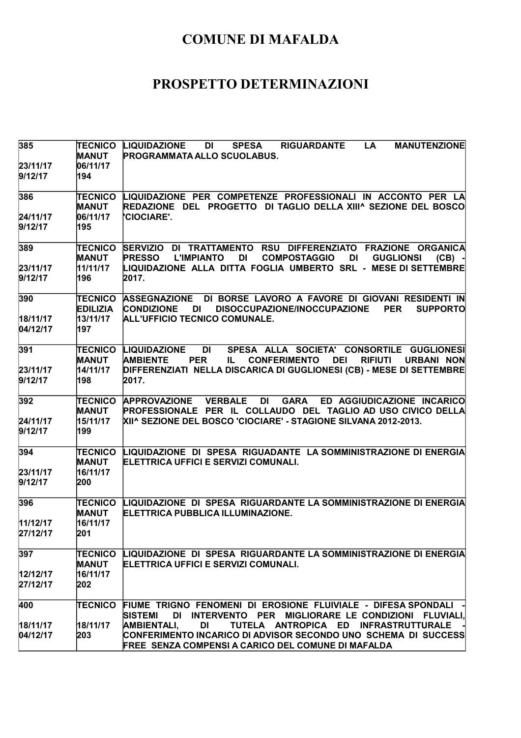| 385                  | <b>TECNICO</b><br><b>MANUT</b> | <b>MANUTENZIONE</b><br><b>LIQUIDAZIONE</b><br><b>SPESA</b><br><b>RIGUARDANTE</b><br>LA<br>DI<br><b>PROGRAMMATA ALLO SCUOLABUS.</b>                                                             |
|----------------------|--------------------------------|------------------------------------------------------------------------------------------------------------------------------------------------------------------------------------------------|
| 23/11/17<br>9/12/17  | 06/11/17<br>194                |                                                                                                                                                                                                |
| 386                  | <b>TECNICO</b><br><b>MANUT</b> | LIQUIDAZIONE PER COMPETENZE PROFESSIONALI IN ACCONTO PER LA<br>REDAZIONE DEL PROGETTO DI TAGLIO DELLA XIII^ SEZIONE DEL BOSCO                                                                  |
| 24/11/17<br>9/12/17  | 06/11/17<br>195                | 'CIOCIARE'.                                                                                                                                                                                    |
| 389                  | <b>TECNICO</b><br><b>MANUT</b> | SERVIZIO DI TRATTAMENTO RSU DIFFERENZIATO FRAZIONE ORGANICA<br><b>PRESSO</b><br><b>DI</b><br><b>COMPOSTAGGIO</b><br><b>L'IMPIANTO</b><br>DI<br><b>GUGLIONSI</b><br>$(CB) -$                    |
| 23/11/17<br>9/12/17  | 11/11/17<br>196                | LIQUIDAZIONE ALLA DITTA FOGLIA UMBERTO SRL - MESE DI SETTEMBRE<br>2017.                                                                                                                        |
| 390                  | TECNICO<br><b>EDILIZIA</b>     | DI BORSE LAVORO A FAVORE DI GIOVANI RESIDENTI IN<br><b>ASSEGNAZIONE</b><br><b>PER</b><br><b>CONDIZIONE</b><br>DISOCCUPAZIONE/INOCCUPAZIONE<br><b>SUPPORTO</b><br>DI                            |
| 18/11/17<br>04/12/17 | 13/11/17<br>197                | ALL'UFFICIO TECNICO COMUNALE.                                                                                                                                                                  |
| 391                  | <b>MANUT</b>                   | DI DI<br>SPESA ALLA SOCIETA' CONSORTILE GUGLIONESI<br>TECNICO LIQUIDAZIONE<br><b>AMBIENTE</b><br><b>PER</b><br><b>CONFERIMENTO</b><br><b>DEI</b><br><b>RIFIUTI</b><br><b>URBANI NON</b><br>IL. |
| 23/11/17<br>9/12/17  | 14/11/17<br>198                | DIFFERENZIATI NELLA DISCARICA DI GUGLIONESI (CB) - MESE DI SETTEMBRE<br>2017.                                                                                                                  |
| 392                  | TECNICO<br><b>MANUT</b>        | APPROVAZIONE VERBALE DI<br><b>GARA</b><br>ED AGGIUDICAZIONE INCARICO<br>PROFESSIONALE PER IL COLLAUDO DEL TAGLIO AD USO CIVICO DELLA                                                           |
| 24/11/17<br>9/12/17  | 15/11/17<br>199                | XII^ SEZIONE DEL BOSCO 'CIOCIARE' - STAGIONE SILVANA 2012-2013.                                                                                                                                |
| 394                  | <b>TECNICO</b><br><b>MANUT</b> | LIQUIDAZIONE DI SPESA RIGUADANTE LA SOMMINISTRAZIONE DI ENERGIA<br>ELETTRICA UFFICI E SERVIZI COMUNALI.                                                                                        |
| 23/11/17<br>9/12/17  | 16/11/17<br>200                |                                                                                                                                                                                                |
| 396                  | <b>TECNICO</b><br><b>MANUT</b> | LIQUIDAZIONE DI SPESA RIGUARDANTE LA SOMMINISTRAZIONE DI ENERGIA<br>ELETTRICA PUBBLICA ILLUMINAZIONE.                                                                                          |
| 11/12/17<br>27/12/17 | 16/11/17<br>201                |                                                                                                                                                                                                |
| 397                  | <b>TECNICO</b><br><b>MANUT</b> | LIQUIDAZIONE DI SPESA RIGUARDANTE LA SOMMINISTRAZIONE DI ENERGIA<br>ELETTRICA UFFICI E SERVIZI COMUNALI.                                                                                       |
| 12/12/17<br>27/12/17 | 16/11/17<br>202                |                                                                                                                                                                                                |
| 400                  | TECNICO                        | FIUME TRIGNO FENOMENI DI EROSIONE FLUIVIALE - DIFESA SPONDALI<br>INTERVENTO PER MIGLIORARE LE CONDIZIONI FLUVIALI,<br><b>SISTEMI</b><br>DI                                                     |
| 18/11/17             | 18/11/17                       | <b>AMBIENTALI,</b><br><b>DI</b><br>TUTELA ANTROPICA ED INFRASTRUTTURALE                                                                                                                        |
| 04/12/17             | 203                            | CONFERIMENTO INCARICO DI ADVISOR SECONDO UNO  SCHEMA  DI  SUCCESS<br><b>FREE SENZA COMPENSI A CARICO DEL COMUNE DI MAFALDA</b>                                                                 |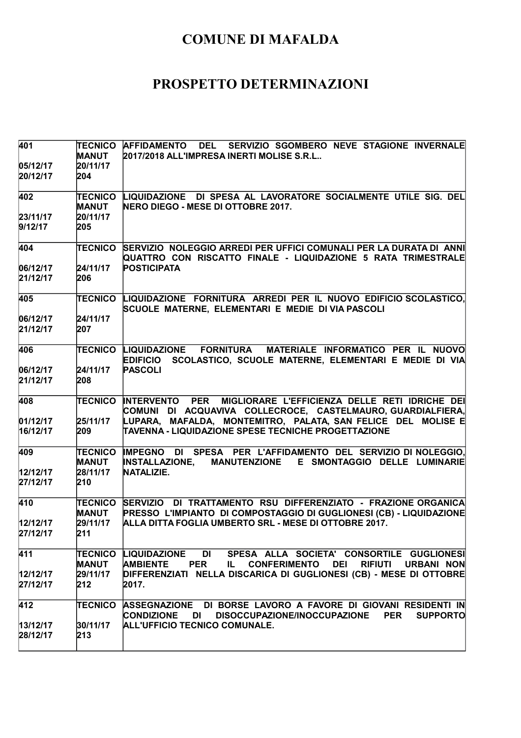| 401              | <b>TECNICO</b> | <b>AFFIDAMENTO DEL</b><br>SERVIZIO SGOMBERO NEVE STAGIONE INVERNALE                      |
|------------------|----------------|------------------------------------------------------------------------------------------|
|                  | <b>MANUT</b>   | 2017/2018 ALL'IMPRESA INERTI MOLISE S.R.L                                                |
| 05/12/17         | 20/11/17       |                                                                                          |
| 20/12/17         | 204            |                                                                                          |
| 402              | TECNICO        | LIQUIDAZIONE DI SPESA AL LAVORATORE SOCIALMENTE UTILE SIG. DEL                           |
|                  | <b>MANUT</b>   | <b>NERO DIEGO - MESE DI OTTOBRE 2017.</b>                                                |
| 23/11/17         | 20/11/17       |                                                                                          |
| 9/12/17          | 205            |                                                                                          |
| 404              | <b>TECNICO</b> | SERVIZIO NOLEGGIO ARREDI PER UFFICI COMUNALI PER LA DURATA DI ANNI                       |
|                  |                | QUATTRO CON RISCATTO FINALE - LIQUIDAZIONE 5 RATA TRIMESTRALE                            |
| 06/12/17         | 24/11/17       | <b>POSTICIPATA</b>                                                                       |
| 21/12/17         | 206            |                                                                                          |
| 405              | <b>TECNICO</b> | LIQUIDAZIONE FORNITURA ARREDI PER IL NUOVO EDIFICIO SCOLASTICO,                          |
|                  |                | SCUOLE MATERNE, ELEMENTARI E MEDIE DI VIA PASCOLI                                        |
| 06/12/17         | 24/11/17       |                                                                                          |
| 21/12/17         | 207            |                                                                                          |
| 406              | TECNICO        | FORNITURA MATERIALE INFORMATICO PER IL NUOVO<br><b>LIQUIDAZIONE</b>                      |
|                  |                | SCOLASTICO, SCUOLE MATERNE, ELEMENTARI E MEDIE DI VIA<br><b>EDIFICIO</b>                 |
| 06/12/17         | 24/11/17       | <b>PASCOLI</b>                                                                           |
| 21/12/17         | 208            |                                                                                          |
| 408              | <b>TECNICO</b> | <b>INTERVENTO PER</b><br>MIGLIORARE L'EFFICIENZA DELLE RETI IDRICHE DEI                  |
|                  |                | COMUNI DI ACQUAVIVA COLLECROCE, CASTELMAURO,GUARDIALFIERA,                               |
| 01/12/17         | 25/11/17       | LUPARA, MAFALDA, MONTEMITRO, PALATA, SAN FELICE DEL MOLISE E                             |
| 16/12/17         | 209            | TAVENNA - LIQUIDAZIONE SPESE TECNICHE PROGETTAZIONE                                      |
| 409              | <b>TECNICO</b> | IMPEGNO DI SPESA PER L'AFFIDAMENTO DEL SERVIZIO DI NOLEGGIO,                             |
|                  | <b>MANUT</b>   | <b>INSTALLAZIONE,</b><br><b>MANUTENZIONE</b><br>E SMONTAGGIO DELLE LUMINARIE             |
| 12/12/17         | 28/11/17       | NATALIZIE.                                                                               |
| 27/12/17         | 210            |                                                                                          |
| 410              | <b>TECNICO</b> | SERVIZIO DI TRATTAMENTO RSU DIFFERENZIATO - FRAZIONE ORGANICA                            |
|                  | <b>MANUT</b>   | PRESSO L'IMPIANTO DI COMPOSTAGGIO DI GUGLIONESI (CB) - LIQUIDAZIONE                      |
| 12/12/17         | 29/11/17       | ALLA DITTA FOGLIA UMBERTO SRL - MESE DI OTTOBRE 2017.                                    |
| 27/12/17         | 211            |                                                                                          |
| $\overline{411}$ |                | <b>DI</b><br>SPESA ALLA SOCIETA' CONSORTILE GUGLIONESI<br><b>TECNICO LIQUIDAZIONE</b>    |
|                  | MANUT          | <b>PER</b><br><b>CONFERIMENTO DEI</b><br>RIFIUTI URBANI NON<br><b>AMBIENTE</b><br>IL.    |
| 12/12/17         | 29/11/17       | DIFFERENZIATI NELLA DISCARICA DI GUGLIONESI (CB) - MESE DI OTTOBRE                       |
| 27/12/17         | 212            | 2017.                                                                                    |
| 412              | TECNICO        | ASSEGNAZIONE DI BORSE LAVORO A FAVORE DI GIOVANI RESIDENTI IN                            |
|                  |                | <b>CONDIZIONE</b><br>DI<br>DISOCCUPAZIONE/INOCCUPAZIONE<br><b>PER</b><br><b>SUPPORTO</b> |
| 13/12/17         | 30/11/17       | ALL'UFFICIO TECNICO COMUNALE.                                                            |
| 28/12/17         | 213            |                                                                                          |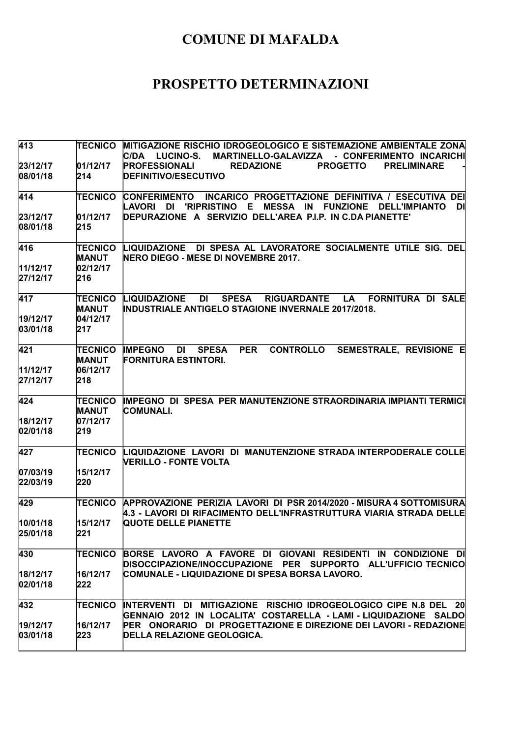| 413                  | <b>TECNICO</b>                 | MITIGAZIONE RISCHIO IDROGEOLOGICO E SISTEMAZIONE AMBIENTALE ZONA<br>MARTINELLO-GALAVIZZA - CONFERIMENTO INCARICHI<br>IC/DA<br><b>LUCINO-S.</b>                                                 |
|----------------------|--------------------------------|------------------------------------------------------------------------------------------------------------------------------------------------------------------------------------------------|
| 23/12/17             | 01/12/17                       | <b>PROFESSIONALI</b><br><b>REDAZIONE</b><br><b>PROGETTO</b><br><b>PRELIMINARE</b>                                                                                                              |
| 08/01/18             | 214                            | <b>DEFINITIVO/ESECUTIVO</b>                                                                                                                                                                    |
| 414                  | <b>TECNICO</b>                 | <b>CONFERIMENTO</b><br>INCARICO PROGETTAZIONE DEFINITIVA / ESECUTIVA DEI<br>LAVORI<br><b>'RIPRISTINO</b><br>Е<br><b>MESSA IN</b><br><b>FUNZIONE</b><br>DI<br><b>DI</b><br><b>DELL'IMPIANTO</b> |
| 23/12/17             | 01/12/17                       | DEPURAZIONE A SERVIZIO DELL'AREA P.I.P. IN C.DA PIANETTE'                                                                                                                                      |
| 08/01/18             | 215                            |                                                                                                                                                                                                |
| 416                  | TECNICO<br><b>MANUT</b>        | LIQUIDAZIONE DI SPESA AL LAVORATORE SOCIALMENTE UTILE SIG. DEL<br>NERO DIEGO - MESE DI NOVEMBRE 2017.                                                                                          |
| 11/12/17             | 02/12/17                       |                                                                                                                                                                                                |
| 27/12/17             | 216                            |                                                                                                                                                                                                |
| 417                  | TECNICO<br><b>MANUT</b>        | <b>LIQUIDAZIONE</b><br><b>SPESA</b><br><b>RIGUARDANTE</b><br><b>FORNITURA DI SALE</b><br>DI<br><b>LA</b><br><b>INDUSTRIALE ANTIGELO STAGIONE INVERNALE 2017/2018.</b>                          |
| 19/12/17             | 04/12/17                       |                                                                                                                                                                                                |
| 03/01/18             | 217                            |                                                                                                                                                                                                |
| 421                  | <b>TECNICO</b><br><b>MANUT</b> | <b>CONTROLLO</b><br>SEMESTRALE, REVISIONE E<br><b>IMPEGNO</b><br><b>SPESA</b><br><b>PER</b><br>DI<br><b>FORNITURA ESTINTORI.</b>                                                               |
| 11/12/17             | 06/12/17                       |                                                                                                                                                                                                |
| 27/12/17             | 218                            |                                                                                                                                                                                                |
| 424                  | <b>TECNICO</b><br><b>MANUT</b> | IMPEGNO DI SPESA PER MANUTENZIONE STRAORDINARIA IMPIANTI TERMICI<br><b>COMUNALI.</b>                                                                                                           |
| 18/12/17             | 07/12/17                       |                                                                                                                                                                                                |
| 02/01/18             | 219                            |                                                                                                                                                                                                |
| 427                  | <b>TECNICO</b>                 | LIQUIDAZIONE LAVORI DI MANUTENZIONE STRADA INTERPODERALE COLLE<br>VERILLO - FONTE VOLTA                                                                                                        |
| 07/03/19             | 15/12/17                       |                                                                                                                                                                                                |
| 22/03/19             | 220                            |                                                                                                                                                                                                |
| 429                  | <b>TECNICO</b>                 | APPROVAZIONE PERIZIA LAVORI DI PSR 2014/2020 - MISURA 4 SOTTOMISURA<br>4.3 - LAVORI DI RIFACIMENTO DELL'INFRASTRUTTURA VIARIA STRADA DELLE                                                     |
| 10/01/18             | 15/12/17                       | QUOTE DELLE PIANETTE                                                                                                                                                                           |
| 25/01/18             | 221                            |                                                                                                                                                                                                |
| 430                  | TECNICO                        | BORSE LAVORO A FAVORE DI GIOVANI RESIDENTI IN CONDIZIONE DI<br>DISOCCIPAZIONE/INOCCUPAZIONE PER SUPPORTO ALL'UFFICIO TECNICO                                                                   |
| 18/12/17             | 16/12/17                       | COMUNALE - LIQUIDAZIONE DI SPESA BORSA LAVORO.                                                                                                                                                 |
| 02/01/18             | 222                            |                                                                                                                                                                                                |
| 432                  | <b>TECNICO</b>                 | INTERVENTI DI MITIGAZIONE RISCHIO IDROGEOLOGICO CIPE N.8 DEL 20                                                                                                                                |
|                      |                                | GENNAIO 2012 IN LOCALITA' COSTARELLA - LAMI - LIQUIDAZIONE SALDO                                                                                                                               |
| 19/12/17<br>03/01/18 | 16/12/17<br>223                | PER ONORARIO DI PROGETTAZIONE E DIREZIONE DEI LAVORI - REDAZIONE<br><b>DELLA RELAZIONE GEOLOGICA.</b>                                                                                          |
|                      |                                |                                                                                                                                                                                                |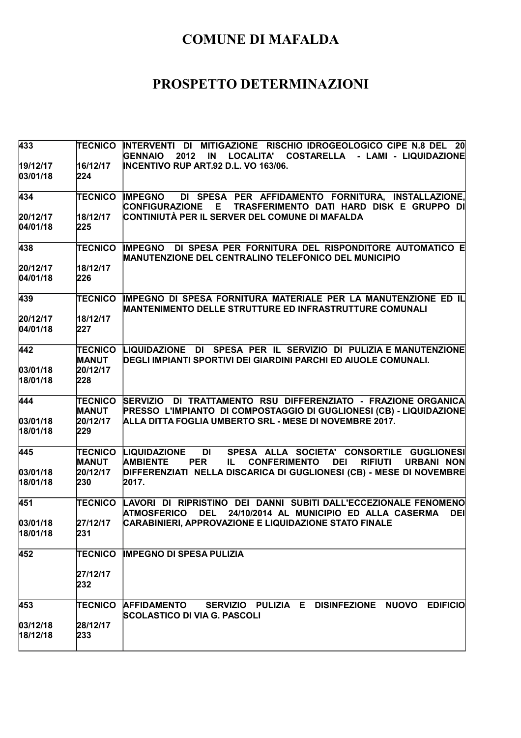| 433                  |                                | TECNICO INTERVENTI DI MITIGAZIONE RISCHIO IDROGEOLOGICO CIPE N.8 DEL 20<br>LOCALITA' COSTARELLA - LAMI - LIQUIDAZIONE<br><b>GENNAIO</b><br>2012<br>IN                                             |
|----------------------|--------------------------------|---------------------------------------------------------------------------------------------------------------------------------------------------------------------------------------------------|
| 19/12/17<br>03/01/18 | 16/12/17<br>224                | INCENTIVO RUP ART.92 D.L. VO 163/06.                                                                                                                                                              |
| 434                  | <b>TECNICO</b>                 | DI SPESA PER AFFIDAMENTO FORNITURA, INSTALLAZIONE,<br><b>IMPEGNO</b><br><b>CONFIGURAZIONE</b><br>E.<br>TRASFERIMENTO DATI HARD DISK E GRUPPO DI                                                   |
| 20/12/17             | 18/12/17                       | ∣CONTINIUTÀ PER IL SERVER DEL COMUNE DI MAFALDA                                                                                                                                                   |
| 04/01/18             | 225                            |                                                                                                                                                                                                   |
| 438                  | <b>TECNICO</b>                 | <b>IMPEGNO DI SPESA PER FORNITURA DEL RISPONDITORE AUTOMATICO E</b><br><b>MANUTENZIONE DEL CENTRALINO TELEFONICO DEL MUNICIPIO</b>                                                                |
| 20/12/17             | 18/12/17                       |                                                                                                                                                                                                   |
| 04/01/18             | 226                            |                                                                                                                                                                                                   |
| 439                  | <b>TECNICO</b>                 | IMPEGNO DI SPESA FORNITURA MATERIALE PER LA MANUTENZIONE ED IL<br><b>MANTENIMENTO DELLE STRUTTURE ED INFRASTRUTTURE COMUNALI</b>                                                                  |
| 20/12/17             | 18/12/17                       |                                                                                                                                                                                                   |
| 04/01/18             | 227                            |                                                                                                                                                                                                   |
| 442                  | <b>TECNICO</b><br><b>MANUT</b> | LIQUIDAZIONE DI SPESA PER IL SERVIZIO DI PULIZIA E MANUTENZIONE<br>DEGLI IMPIANTI SPORTIVI DEI GIARDINI PARCHI ED AIUOLE COMUNALI.                                                                |
| 03/01/18             | 20/12/17                       |                                                                                                                                                                                                   |
| 18/01/18             | 228                            |                                                                                                                                                                                                   |
| 444                  | TECNICO<br><b>MANUT</b>        | SERVIZIO DI TRATTAMENTO RSU DIFFERENZIATO - FRAZIONE ORGANICA<br>PRESSO L'IMPIANTO DI COMPOSTAGGIO DI GUGLIONESI (CB) - LIQUIDAZIONE                                                              |
| 03/01/18             | 20/12/17                       | ALLA DITTA FOGLIA UMBERTO SRL - MESE DI NOVEMBRE 2017.                                                                                                                                            |
| 18/01/18             | 229                            |                                                                                                                                                                                                   |
| 445                  | TECNICO<br><b>MANUT</b>        | <b>DI</b><br>SPESA ALLA SOCIETA' CONSORTILE GUGLIONESI<br><b>LIQUIDAZIONE</b><br><b>AMBIENTE</b><br><b>CONFERIMENTO</b><br><b>DEI</b><br><b>PER</b><br><b>RIFIUTI</b><br><b>URBANI NON</b><br>IL. |
| 03/01/18             | 20/12/17                       | DIFFERENZIATI NELLA DISCARICA DI GUGLIONESI (CB) - MESE DI NOVEMBRE                                                                                                                               |
| 18/01/18             | 230                            | 2017.                                                                                                                                                                                             |
| 451                  | TECNICO                        | LAVORI DI RIPRISTINO DEI DANNI SUBITI DALL'ECCEZIONALE FENOMENO<br>ATMOSFERICO DEL 24/10/2014 AL MUNICIPIO ED ALLA CASERMA<br><b>DEI</b>                                                          |
| 03/01/18             | 27/12/17                       | CARABINIERI, APPROVAZIONE E LIQUIDAZIONE STATO FINALE                                                                                                                                             |
| 18/01/18             | 231                            |                                                                                                                                                                                                   |
| 452                  | TECNICO                        | <b>IMPEGNO DI SPESA PULIZIA</b>                                                                                                                                                                   |
|                      | 27/12/17<br>232                |                                                                                                                                                                                                   |
| 453                  | TECNICO                        | SERVIZIO PULIZIA E DISINFEZIONE NUOVO EDIFICIO<br><b>AFFIDAMENTO</b><br>SCOLASTICO DI VIA G. PASCOLI                                                                                              |
| 03/12/18             | 28/12/17                       |                                                                                                                                                                                                   |
| 18/12/18             | 233                            |                                                                                                                                                                                                   |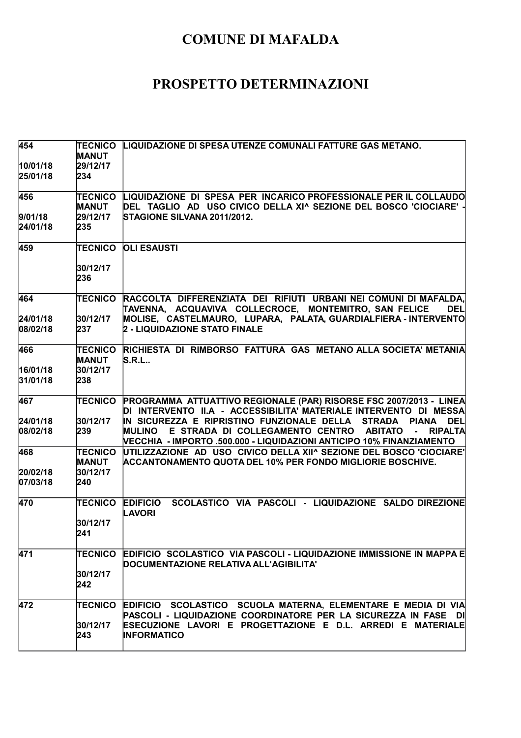| 454                  | <b>TECNICO</b><br><b>MANUT</b> | LIQUIDAZIONE DI SPESA UTENZE COMUNALI FATTURE GAS METANO.                                                                                                                                                                                           |
|----------------------|--------------------------------|-----------------------------------------------------------------------------------------------------------------------------------------------------------------------------------------------------------------------------------------------------|
| 10/01/18<br>25/01/18 | 29/12/17<br>234                |                                                                                                                                                                                                                                                     |
| 456                  | <b>TECNICO</b><br><b>MANUT</b> | LIQUIDAZIONE DI SPESA PER INCARICO PROFESSIONALE PER IL COLLAUDO<br>DEL TAGLIO AD USO CIVICO DELLA XI^ SEZIONE DEL BOSCO 'CIOCIARE' -                                                                                                               |
| 9/01/18<br>24/01/18  | 29/12/17<br>235                | STAGIONE SILVANA 2011/2012.                                                                                                                                                                                                                         |
| 459                  | <b>TECNICO</b>                 | <b>OLI ESAUSTI</b>                                                                                                                                                                                                                                  |
|                      | 30/12/17<br>236                |                                                                                                                                                                                                                                                     |
| 464                  | TECNICO                        | RACCOLTA DIFFERENZIATA DEI RIFIUTI URBANI NEI COMUNI DI MAFALDA,<br>TAVENNA, ACQUAVIVA COLLECROCE, MONTEMITRO, SAN FELICE<br><b>DEL</b>                                                                                                             |
| 24/01/18<br>08/02/18 | 30/12/17<br>237                | MOLISE, CASTELMAURO, LUPARA, PALATA, GUARDIALFIERA - INTERVENTO<br>2 - LIQUIDAZIONE STATO FINALE                                                                                                                                                    |
| 466                  | <b>TECNICO</b><br><b>MANUT</b> | RICHIESTA DI RIMBORSO FATTURA GAS METANO ALLA SOCIETA' METANIA<br>S.R.L                                                                                                                                                                             |
| 16/01/18<br>31/01/18 | 30/12/17<br>238                |                                                                                                                                                                                                                                                     |
| 467                  | TECNICO                        | PROGRAMMA ATTUATTIVO REGIONALE (PAR) RISORSE FSC 2007/2013 - LINEA<br>DI INTERVENTO II.A - ACCESSIBILITA' MATERIALE INTERVENTO DI MESSA                                                                                                             |
| 24/01/18<br>08/02/18 | 30/12/17<br>239                | IN SICUREZZA E RIPRISTINO FUNZIONALE DELLA STRADA<br><b>PIANA</b><br><b>DEL</b><br>E STRADA DI COLLEGAMENTO CENTRO ABITATO<br><b>MULINO</b><br><b>RIPALTA</b><br>$\sim 100$<br>VECCHIA - IMPORTO .500.000 - LIQUIDAZIONI ANTICIPO 10% FINANZIAMENTO |
| 468                  | <b>TECNICO</b><br><b>MANUT</b> | UTILIZZAZIONE AD USO CIVICO DELLA XII^ SEZIONE DEL BOSCO 'CIOCIARE'<br><b>ACCANTONAMENTO QUOTA DEL 10% PER FONDO MIGLIORIE BOSCHIVE.</b>                                                                                                            |
| 20/02/18<br>07/03/18 | 30/12/17<br>240                |                                                                                                                                                                                                                                                     |
| 470                  | <b>TECNICO</b>                 | SCOLASTICO VIA PASCOLI - LIQUIDAZIONE SALDO DIREZIONE<br><b>EDIFICIO</b><br>LAVORI                                                                                                                                                                  |
|                      | 30/12/17<br>241                |                                                                                                                                                                                                                                                     |
| 471                  | <b>TECNICO</b>                 | EDIFICIO SCOLASTICO VIA PASCOLI - LIQUIDAZIONE IMMISSIONE IN MAPPA E<br>DOCUMENTAZIONE RELATIVA ALL'AGIBILITA'                                                                                                                                      |
|                      | 30/12/17<br>242                |                                                                                                                                                                                                                                                     |
| 472                  | <b>TECNICO</b>                 | EDIFICIO SCOLASTICO SCUOLA MATERNA, ELEMENTARE E MEDIA DI VIA<br>PASCOLI - LIQUIDAZIONE COORDINATORE PER LA SICUREZZA IN FASE DI                                                                                                                    |
|                      | 30/12/17<br>243                | ESECUZIONE LAVORI E PROGETTAZIONE E D.L. ARREDI E MATERIALE<br><b>INFORMATICO</b>                                                                                                                                                                   |